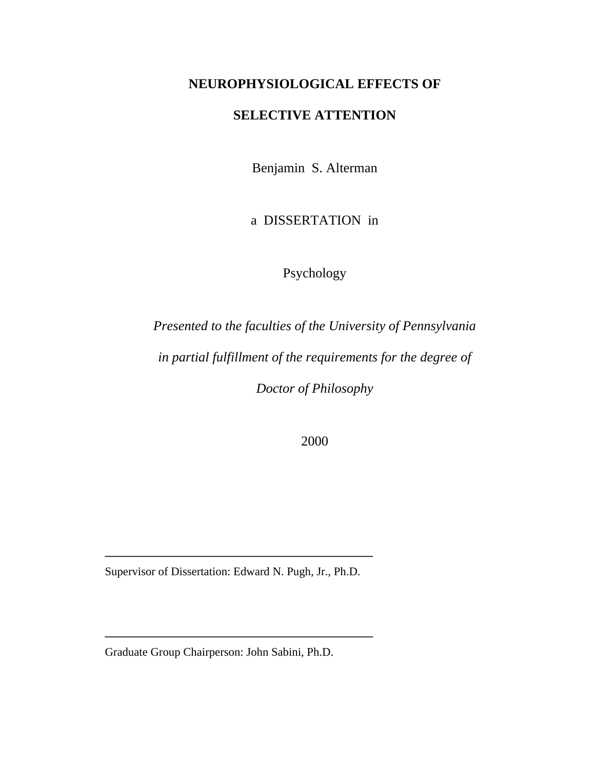# **NEUROPHYSIOLOGICAL EFFECTS OF**

# **SELECTIVE ATTENTION**

Benjamin S. Alterman

a DISSERTATION in

Psychology

*Presented to the faculties of the University of Pennsylvania in partial fulfillment of the requirements for the degree of Doctor of Philosophy* 

2000

Supervisor of Dissertation: Edward N. Pugh, Jr., Ph.D.

**\_\_\_\_\_\_\_\_\_\_\_\_\_\_\_\_\_\_\_\_\_\_\_\_\_\_\_\_\_\_\_\_\_\_\_\_\_\_\_\_\_\_\_\_\_\_**

**\_\_\_\_\_\_\_\_\_\_\_\_\_\_\_\_\_\_\_\_\_\_\_\_\_\_\_\_\_\_\_\_\_\_\_\_\_\_\_\_\_\_\_\_\_\_**

Graduate Group Chairperson: John Sabini, Ph.D.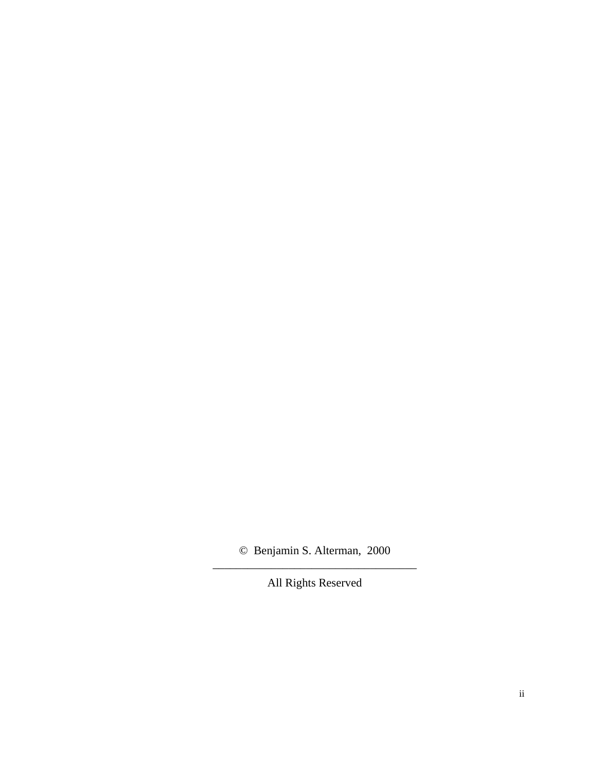© Benjamin S. Alterman, 2000 \_\_\_\_\_\_\_\_\_\_\_\_\_\_\_\_\_\_\_\_\_\_\_\_\_\_\_\_\_\_\_\_\_\_\_

All Rights Reserved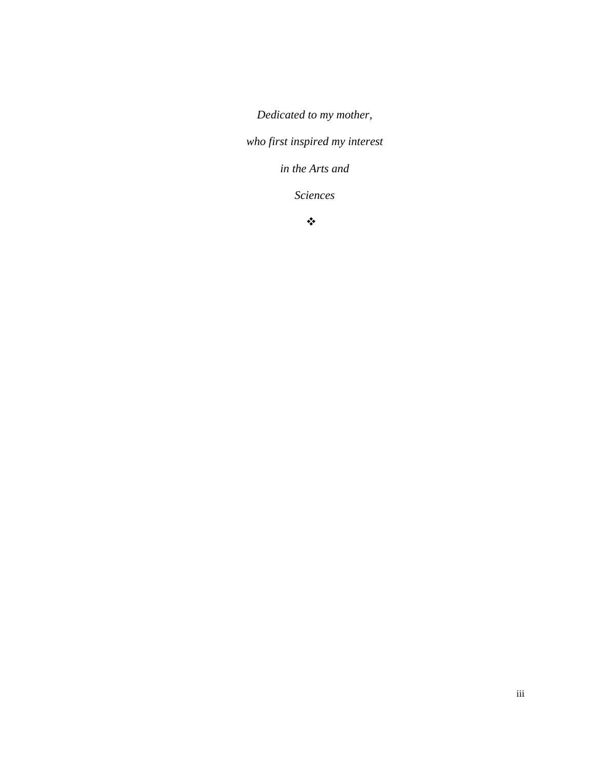*Dedicated to my mother,* 

*who first inspired my interest* 

*in the Arts and* 

*Sciences* 

 $\ddot{\bullet}$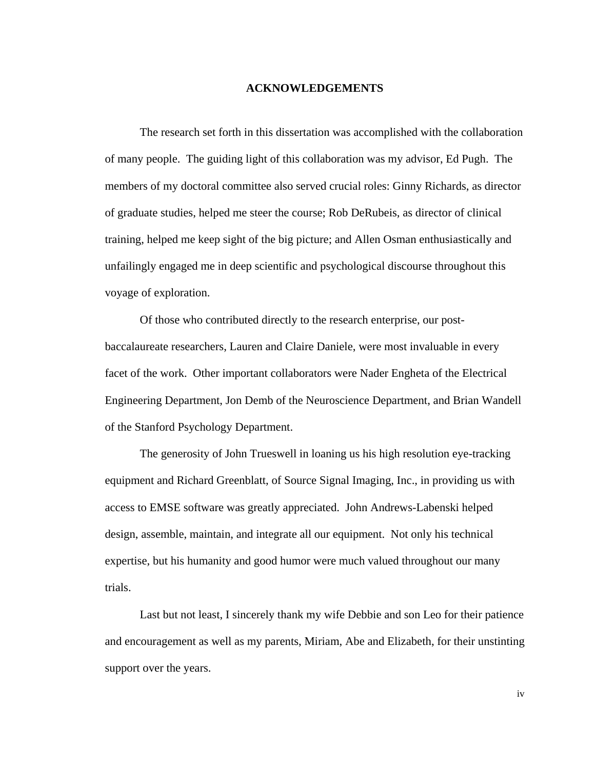#### **ACKNOWLEDGEMENTS**

The research set forth in this dissertation was accomplished with the collaboration of many people. The guiding light of this collaboration was my advisor, Ed Pugh. The members of my doctoral committee also served crucial roles: Ginny Richards, as director of graduate studies, helped me steer the course; Rob DeRubeis, as director of clinical training, helped me keep sight of the big picture; and Allen Osman enthusiastically and unfailingly engaged me in deep scientific and psychological discourse throughout this voyage of exploration.

Of those who contributed directly to the research enterprise, our postbaccalaureate researchers, Lauren and Claire Daniele, were most invaluable in every facet of the work. Other important collaborators were Nader Engheta of the Electrical Engineering Department, Jon Demb of the Neuroscience Department, and Brian Wandell of the Stanford Psychology Department.

The generosity of John Trueswell in loaning us his high resolution eye-tracking equipment and Richard Greenblatt, of Source Signal Imaging, Inc., in providing us with access to EMSE software was greatly appreciated. John Andrews-Labenski helped design, assemble, maintain, and integrate all our equipment. Not only his technical expertise, but his humanity and good humor were much valued throughout our many trials.

Last but not least, I sincerely thank my wife Debbie and son Leo for their patience and encouragement as well as my parents, Miriam, Abe and Elizabeth, for their unstinting support over the years.

iv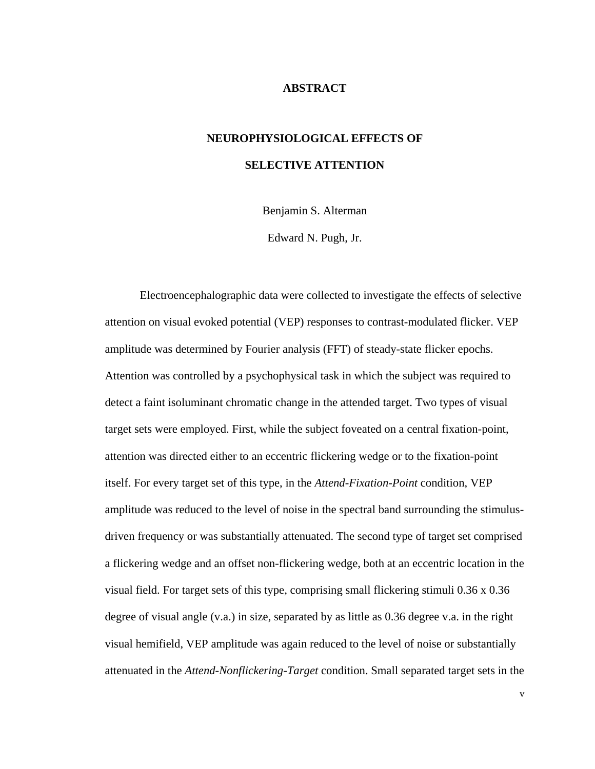#### **ABSTRACT**

# **NEUROPHYSIOLOGICAL EFFECTS OF SELECTIVE ATTENTION**

Benjamin S. Alterman

Edward N. Pugh, Jr.

Electroencephalographic data were collected to investigate the effects of selective attention on visual evoked potential (VEP) responses to contrast-modulated flicker. VEP amplitude was determined by Fourier analysis (FFT) of steady-state flicker epochs. Attention was controlled by a psychophysical task in which the subject was required to detect a faint isoluminant chromatic change in the attended target. Two types of visual target sets were employed. First, while the subject foveated on a central fixation-point, attention was directed either to an eccentric flickering wedge or to the fixation-point itself. For every target set of this type, in the *Attend-Fixation-Point* condition, VEP amplitude was reduced to the level of noise in the spectral band surrounding the stimulusdriven frequency or was substantially attenuated. The second type of target set comprised a flickering wedge and an offset non-flickering wedge, both at an eccentric location in the visual field. For target sets of this type, comprising small flickering stimuli 0.36 x 0.36 degree of visual angle (v.a.) in size, separated by as little as 0.36 degree v.a. in the right visual hemifield, VEP amplitude was again reduced to the level of noise or substantially attenuated in the *Attend-Nonflickering-Target* condition. Small separated target sets in the

v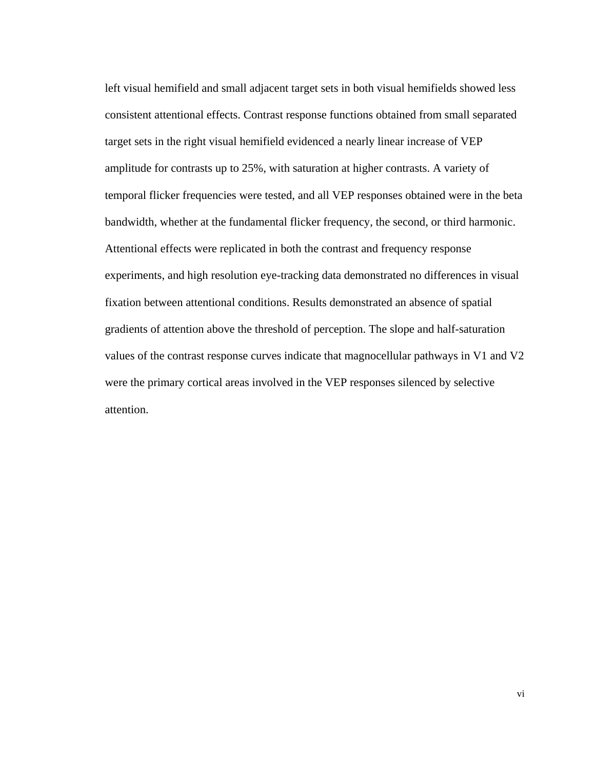left visual hemifield and small adjacent target sets in both visual hemifields showed less consistent attentional effects. Contrast response functions obtained from small separated target sets in the right visual hemifield evidenced a nearly linear increase of VEP amplitude for contrasts up to 25%, with saturation at higher contrasts. A variety of temporal flicker frequencies were tested, and all VEP responses obtained were in the beta bandwidth, whether at the fundamental flicker frequency, the second, or third harmonic. Attentional effects were replicated in both the contrast and frequency response experiments, and high resolution eye-tracking data demonstrated no differences in visual fixation between attentional conditions. Results demonstrated an absence of spatial gradients of attention above the threshold of perception. The slope and half-saturation values of the contrast response curves indicate that magnocellular pathways in V1 and V2 were the primary cortical areas involved in the VEP responses silenced by selective attention.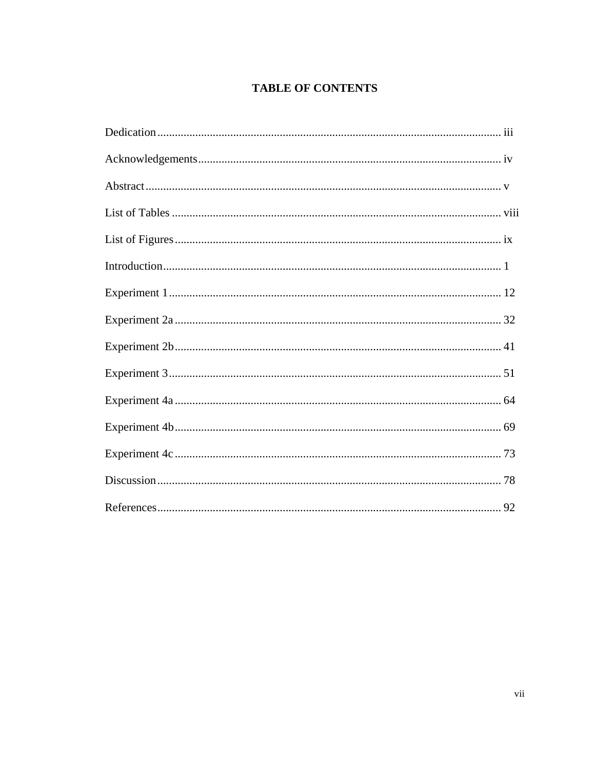# **TABLE OF CONTENTS**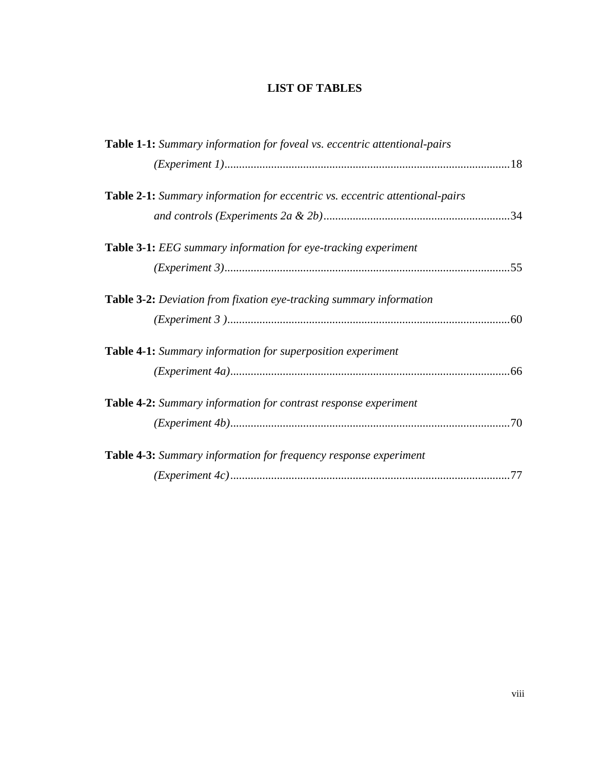# **LIST OF TABLES**

| Table 1-1: Summary information for foveal vs. eccentric attentional-pairs    |
|------------------------------------------------------------------------------|
|                                                                              |
|                                                                              |
| Table 2-1: Summary information for eccentric vs. eccentric attentional-pairs |
|                                                                              |
| <b>Table 3-1:</b> <i>EEG</i> summary information for eye-tracking experiment |
|                                                                              |
| Table 3-2: Deviation from fixation eye-tracking summary information          |
|                                                                              |
| Table 4-1: Summary information for superposition experiment                  |
|                                                                              |
| Table 4-2: Summary information for contrast response experiment              |
|                                                                              |
| Table 4-3: Summary information for frequency response experiment             |
|                                                                              |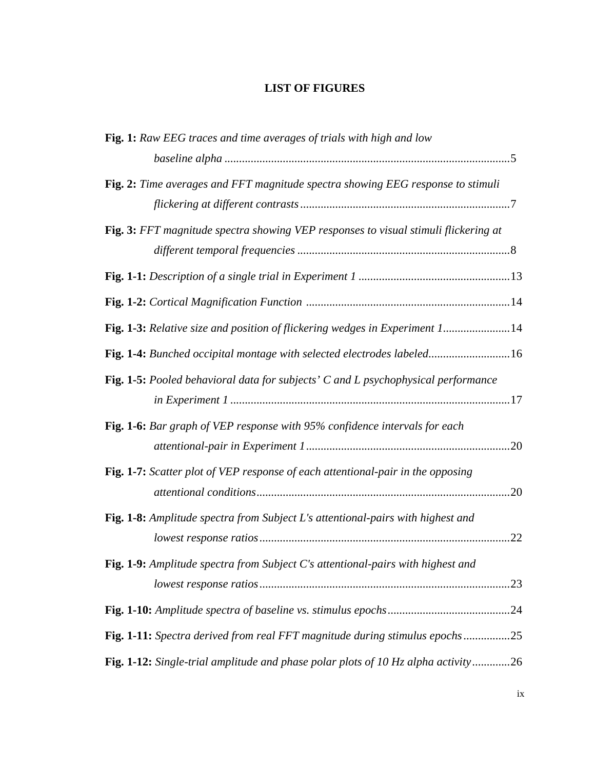# **LIST OF FIGURES**

| Fig. 1: Raw EEG traces and time averages of trials with high and low                |
|-------------------------------------------------------------------------------------|
|                                                                                     |
| Fig. 2: Time averages and FFT magnitude spectra showing EEG response to stimuli     |
| Fig. 3: FFT magnitude spectra showing VEP responses to visual stimuli flickering at |
|                                                                                     |
|                                                                                     |
| Fig. 1-3: Relative size and position of flickering wedges in Experiment 114         |
| Fig. 1-4: Bunched occipital montage with selected electrodes labeled16              |
| Fig. 1-5: Pooled behavioral data for subjects' C and L psychophysical performance   |
| Fig. 1-6: Bar graph of VEP response with 95% confidence intervals for each          |
| Fig. 1-7: Scatter plot of VEP response of each attentional-pair in the opposing     |
| Fig. 1-8: Amplitude spectra from Subject L's attentional-pairs with highest and     |
| Fig. 1-9: Amplitude spectra from Subject C's attentional-pairs with highest and     |
|                                                                                     |
|                                                                                     |
| Fig. 1-12: Single-trial amplitude and phase polar plots of 10 Hz alpha activity26   |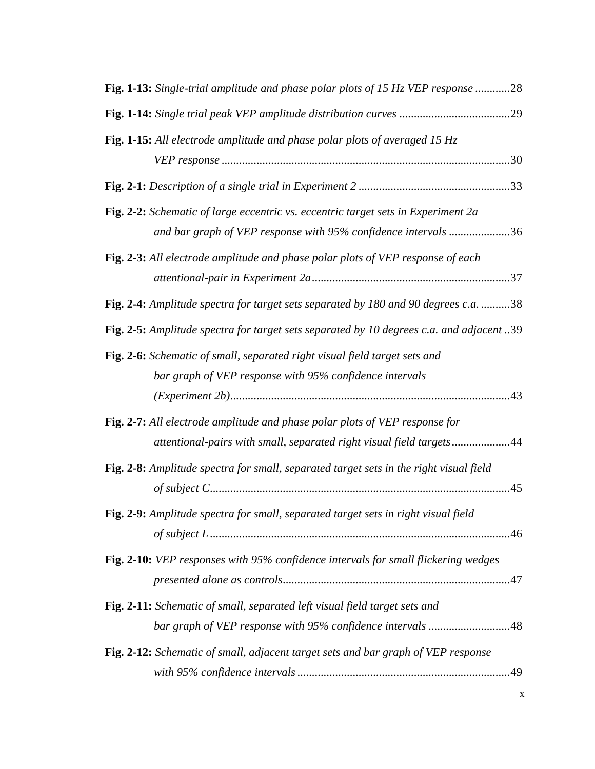| Fig. 1-13: Single-trial amplitude and phase polar plots of 15 Hz VEP response 28                                                                    |
|-----------------------------------------------------------------------------------------------------------------------------------------------------|
|                                                                                                                                                     |
| Fig. 1-15: All electrode amplitude and phase polar plots of averaged 15 $Hz$                                                                        |
|                                                                                                                                                     |
| Fig. 2-2: Schematic of large eccentric vs. eccentric target sets in Experiment 2a<br>and bar graph of VEP response with 95% confidence intervals 36 |
| Fig. 2-3: All electrode amplitude and phase polar plots of VEP response of each                                                                     |
|                                                                                                                                                     |
| Fig. 2-4: Amplitude spectra for target sets separated by 180 and 90 degrees c.a. 38                                                                 |
| Fig. 2-5: Amplitude spectra for target sets separated by 10 degrees c.a. and adjacent 39                                                            |
| Fig. 2-6: Schematic of small, separated right visual field target sets and                                                                          |
| bar graph of VEP response with 95% confidence intervals                                                                                             |
| Fig. 2-7: All electrode amplitude and phase polar plots of VEP response for                                                                         |
| attentional-pairs with small, separated right visual field targets44                                                                                |
| Fig. 2-8: Amplitude spectra for small, separated target sets in the right visual field                                                              |
| Fig. 2-9: Amplitude spectra for small, separated target sets in right visual field                                                                  |
| Fig. 2-10: VEP responses with 95% confidence intervals for small flickering wedges                                                                  |
|                                                                                                                                                     |
| Fig. 2-11: Schematic of small, separated left visual field target sets and                                                                          |
| bar graph of VEP response with 95% confidence intervals 48                                                                                          |
| Fig. 2-12: Schematic of small, adjacent target sets and bar graph of VEP response                                                                   |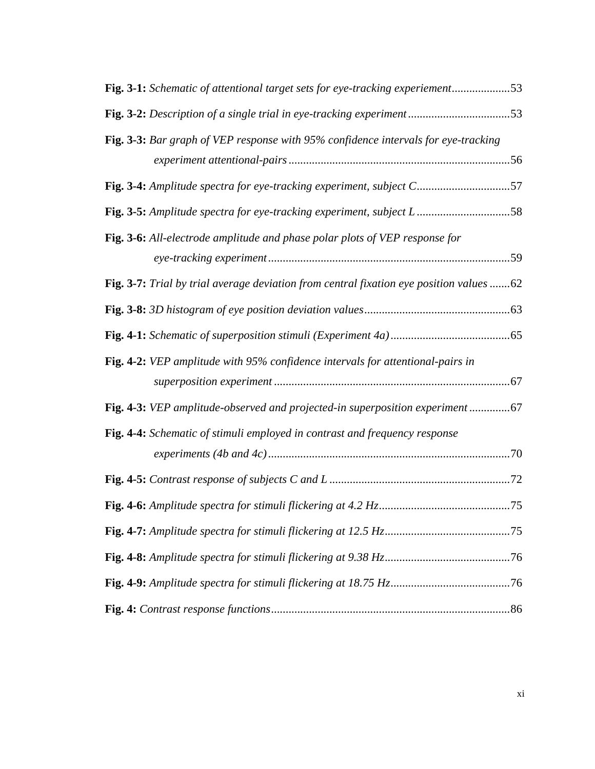| Fig. 3-1: Schematic of attentional target sets for eye-tracking experiement53           |
|-----------------------------------------------------------------------------------------|
|                                                                                         |
| Fig. 3-3: Bar graph of VEP response with 95% confidence intervals for eye-tracking      |
|                                                                                         |
| Fig. 3-4: Amplitude spectra for eye-tracking experiment, subject C57                    |
| Fig. 3-5: Amplitude spectra for eye-tracking experiment, subject L58                    |
| Fig. 3-6: All-electrode amplitude and phase polar plots of VEP response for             |
|                                                                                         |
| Fig. 3-7: Trial by trial average deviation from central fixation eye position values 62 |
|                                                                                         |
|                                                                                         |
| Fig. 4-2: VEP amplitude with 95% confidence intervals for attentional-pairs in          |
|                                                                                         |
| Fig. 4-3: VEP amplitude-observed and projected-in superposition experiment              |
| Fig. 4-4: Schematic of stimuli employed in contrast and frequency response              |
|                                                                                         |
|                                                                                         |
|                                                                                         |
|                                                                                         |
|                                                                                         |
|                                                                                         |
|                                                                                         |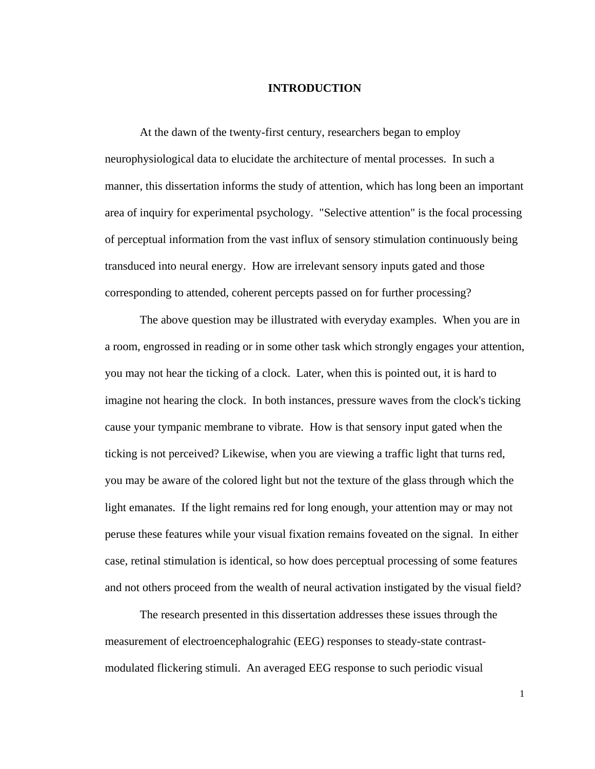#### **INTRODUCTION**

At the dawn of the twenty-first century, researchers began to employ neurophysiological data to elucidate the architecture of mental processes. In such a manner, this dissertation informs the study of attention, which has long been an important area of inquiry for experimental psychology. "Selective attention" is the focal processing of perceptual information from the vast influx of sensory stimulation continuously being transduced into neural energy. How are irrelevant sensory inputs gated and those corresponding to attended, coherent percepts passed on for further processing?

The above question may be illustrated with everyday examples. When you are in a room, engrossed in reading or in some other task which strongly engages your attention, you may not hear the ticking of a clock. Later, when this is pointed out, it is hard to imagine not hearing the clock. In both instances, pressure waves from the clock's ticking cause your tympanic membrane to vibrate. How is that sensory input gated when the ticking is not perceived? Likewise, when you are viewing a traffic light that turns red, you may be aware of the colored light but not the texture of the glass through which the light emanates. If the light remains red for long enough, your attention may or may not peruse these features while your visual fixation remains foveated on the signal. In either case, retinal stimulation is identical, so how does perceptual processing of some features and not others proceed from the wealth of neural activation instigated by the visual field?

The research presented in this dissertation addresses these issues through the measurement of electroencephalograhic (EEG) responses to steady-state contrastmodulated flickering stimuli. An averaged EEG response to such periodic visual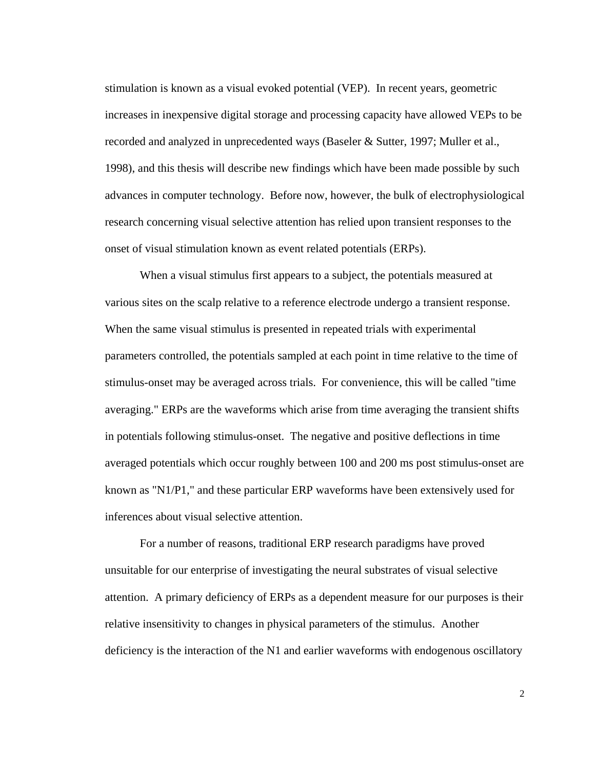stimulation is known as a visual evoked potential (VEP). In recent years, geometric increases in inexpensive digital storage and processing capacity have allowed VEPs to be recorded and analyzed in unprecedented ways (Baseler & Sutter, 1997; Muller et al., 1998), and this thesis will describe new findings which have been made possible by such advances in computer technology. Before now, however, the bulk of electrophysiological research concerning visual selective attention has relied upon transient responses to the onset of visual stimulation known as event related potentials (ERPs).

When a visual stimulus first appears to a subject, the potentials measured at various sites on the scalp relative to a reference electrode undergo a transient response. When the same visual stimulus is presented in repeated trials with experimental parameters controlled, the potentials sampled at each point in time relative to the time of stimulus-onset may be averaged across trials. For convenience, this will be called "time averaging." ERPs are the waveforms which arise from time averaging the transient shifts in potentials following stimulus-onset. The negative and positive deflections in time averaged potentials which occur roughly between 100 and 200 ms post stimulus-onset are known as "N1/P1," and these particular ERP waveforms have been extensively used for inferences about visual selective attention.

For a number of reasons, traditional ERP research paradigms have proved unsuitable for our enterprise of investigating the neural substrates of visual selective attention. A primary deficiency of ERPs as a dependent measure for our purposes is their relative insensitivity to changes in physical parameters of the stimulus. Another deficiency is the interaction of the N1 and earlier waveforms with endogenous oscillatory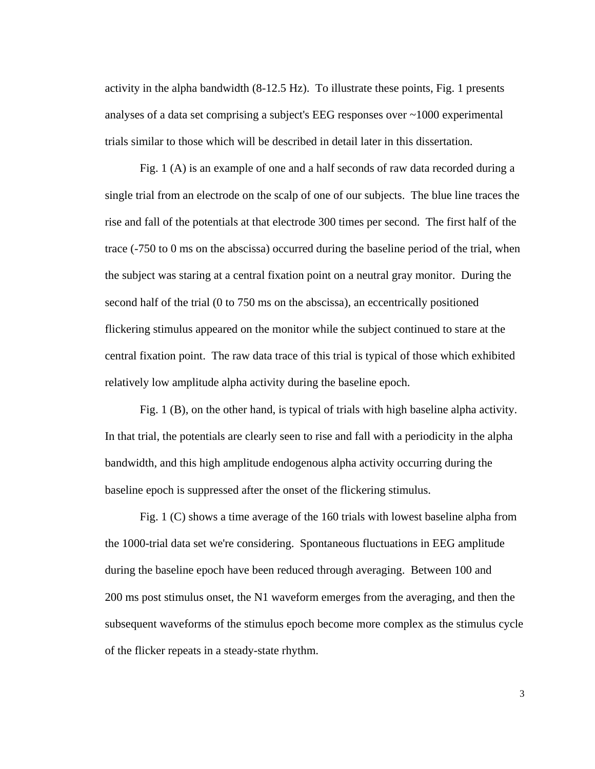activity in the alpha bandwidth (8-12.5 Hz). To illustrate these points, Fig. 1 presents analyses of a data set comprising a subject's EEG responses over ~1000 experimental trials similar to those which will be described in detail later in this dissertation.

Fig. 1 (A) is an example of one and a half seconds of raw data recorded during a single trial from an electrode on the scalp of one of our subjects. The blue line traces the rise and fall of the potentials at that electrode 300 times per second. The first half of the trace (-750 to 0 ms on the abscissa) occurred during the baseline period of the trial, when the subject was staring at a central fixation point on a neutral gray monitor. During the second half of the trial (0 to 750 ms on the abscissa), an eccentrically positioned flickering stimulus appeared on the monitor while the subject continued to stare at the central fixation point. The raw data trace of this trial is typical of those which exhibited relatively low amplitude alpha activity during the baseline epoch.

Fig. 1 (B), on the other hand, is typical of trials with high baseline alpha activity. In that trial, the potentials are clearly seen to rise and fall with a periodicity in the alpha bandwidth, and this high amplitude endogenous alpha activity occurring during the baseline epoch is suppressed after the onset of the flickering stimulus.

Fig. 1 (C) shows a time average of the 160 trials with lowest baseline alpha from the 1000-trial data set we're considering. Spontaneous fluctuations in EEG amplitude during the baseline epoch have been reduced through averaging. Between 100 and 200 ms post stimulus onset, the N1 waveform emerges from the averaging, and then the subsequent waveforms of the stimulus epoch become more complex as the stimulus cycle of the flicker repeats in a steady-state rhythm.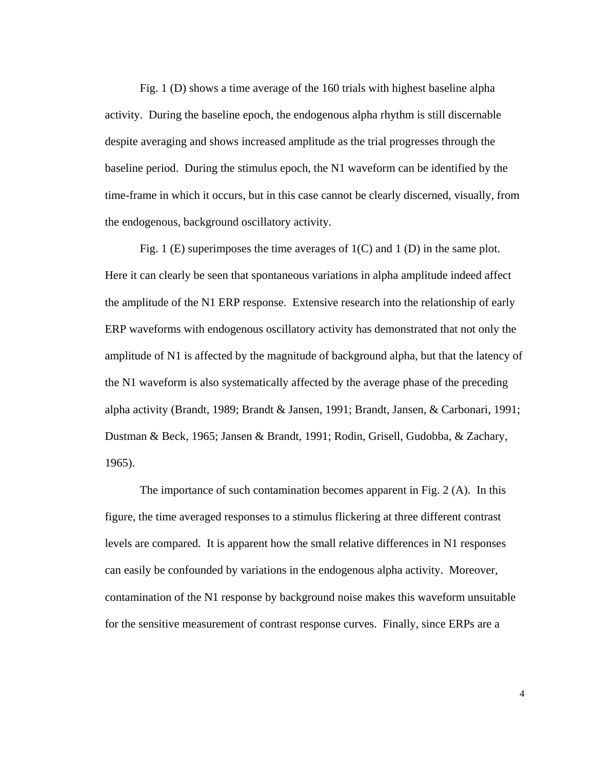Fig. 1 (D) shows a time average of the 160 trials with highest baseline alpha activity. During the baseline epoch, the endogenous alpha rhythm is still discernable despite averaging and shows increased amplitude as the trial progresses through the baseline period. During the stimulus epoch, the N1 waveform can be identified by the time-frame in which it occurs, but in this case cannot be clearly discerned, visually, from the endogenous, background oscillatory activity.

Fig. 1 (E) superimposes the time averages of  $1(C)$  and 1 (D) in the same plot. Here it can clearly be seen that spontaneous variations in alpha amplitude indeed affect the amplitude of the N1 ERP response. Extensive research into the relationship of early ERP waveforms with endogenous oscillatory activity has demonstrated that not only the amplitude of N1 is affected by the magnitude of background alpha, but that the latency of the N1 waveform is also systematically affected by the average phase of the preceding alpha activity (Brandt, 1989; Brandt & Jansen, 1991; Brandt, Jansen, & Carbonari, 1991; Dustman & Beck, 1965; Jansen & Brandt, 1991; Rodin, Grisell, Gudobba, & Zachary, 1965).

The importance of such contamination becomes apparent in Fig. 2 (A). In this figure, the time averaged responses to a stimulus flickering at three different contrast levels are compared. It is apparent how the small relative differences in N1 responses can easily be confounded by variations in the endogenous alpha activity. Moreover, contamination of the N1 response by background noise makes this waveform unsuitable for the sensitive measurement of contrast response curves. Finally, since ERPs are a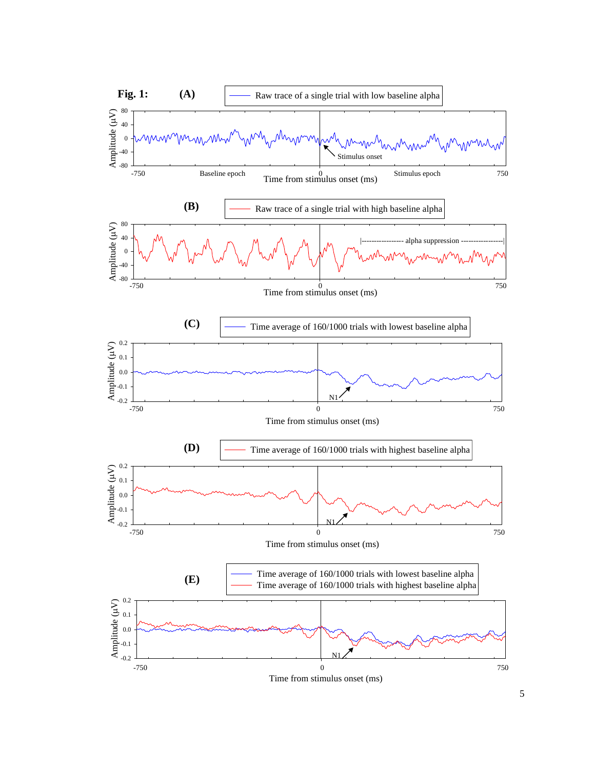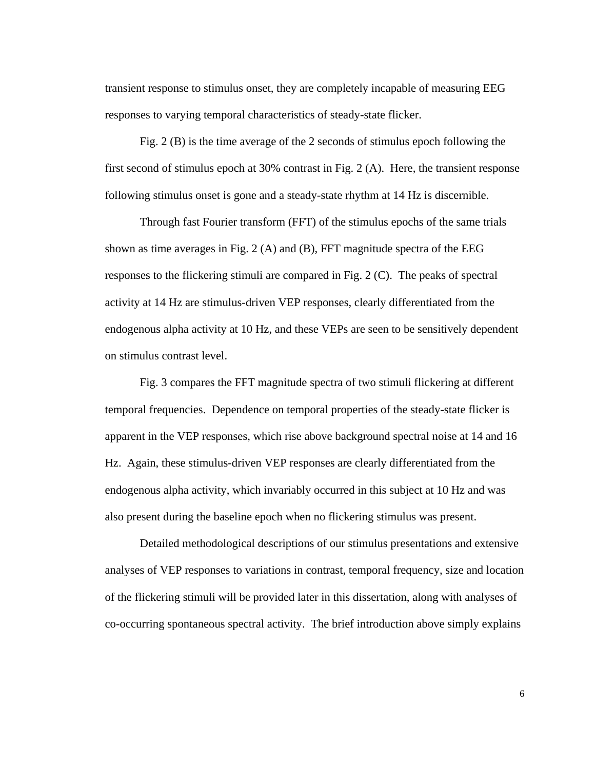transient response to stimulus onset, they are completely incapable of measuring EEG responses to varying temporal characteristics of steady-state flicker.

Fig. 2 (B) is the time average of the 2 seconds of stimulus epoch following the first second of stimulus epoch at 30% contrast in Fig. 2 (A). Here, the transient response following stimulus onset is gone and a steady-state rhythm at 14 Hz is discernible.

Through fast Fourier transform (FFT) of the stimulus epochs of the same trials shown as time averages in Fig. 2  $(A)$  and  $(B)$ , FFT magnitude spectra of the EEG responses to the flickering stimuli are compared in Fig. 2 (C). The peaks of spectral activity at 14 Hz are stimulus-driven VEP responses, clearly differentiated from the endogenous alpha activity at 10 Hz, and these VEPs are seen to be sensitively dependent on stimulus contrast level.

Fig. 3 compares the FFT magnitude spectra of two stimuli flickering at different temporal frequencies. Dependence on temporal properties of the steady-state flicker is apparent in the VEP responses, which rise above background spectral noise at 14 and 16 Hz. Again, these stimulus-driven VEP responses are clearly differentiated from the endogenous alpha activity, which invariably occurred in this subject at 10 Hz and was also present during the baseline epoch when no flickering stimulus was present.

Detailed methodological descriptions of our stimulus presentations and extensive analyses of VEP responses to variations in contrast, temporal frequency, size and location of the flickering stimuli will be provided later in this dissertation, along with analyses of co-occurring spontaneous spectral activity. The brief introduction above simply explains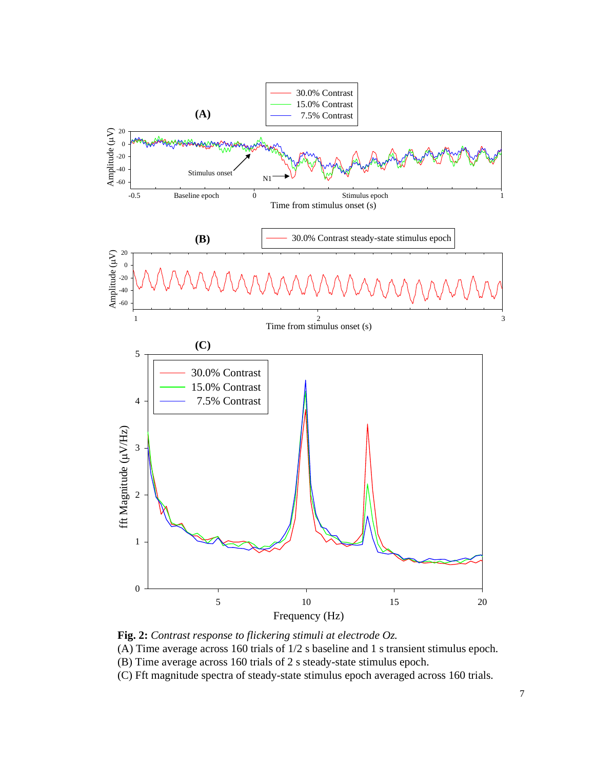

**Fig. 2:** *Contrast response to flickering stimuli at electrode Oz.*

(A) Time average across 160 trials of 1/2 s baseline and 1 s transient stimulus epoch.

- (B) Time average across 160 trials of 2 s steady-state stimulus epoch.
- (C) Fft magnitude spectra of steady-state stimulus epoch averaged across 160 trials.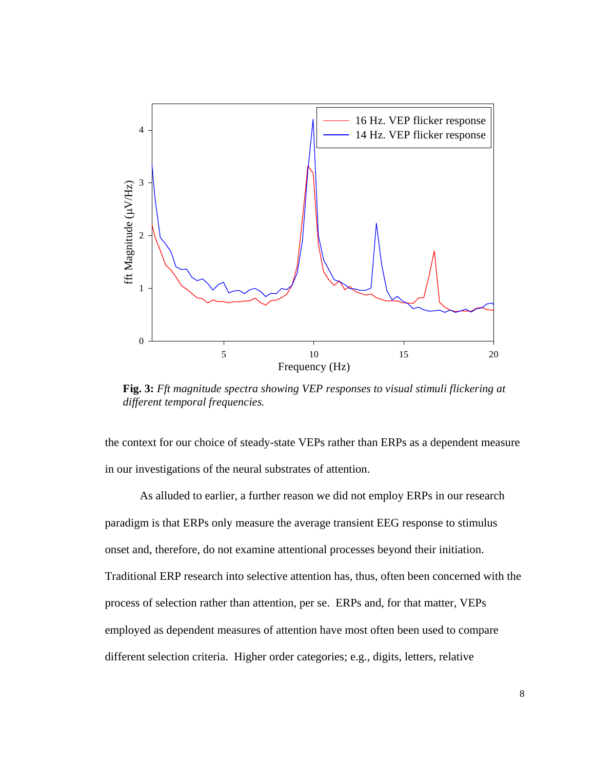

**Fig. 3:** *Fft magnitude spectra showing VEP responses to visual stimuli flickering at different temporal frequencies.*

the context for our choice of steady-state VEPs rather than ERPs as a dependent measure in our investigations of the neural substrates of attention.

As alluded to earlier, a further reason we did not employ ERPs in our research paradigm is that ERPs only measure the average transient EEG response to stimulus onset and, therefore, do not examine attentional processes beyond their initiation. Traditional ERP research into selective attention has, thus, often been concerned with the process of selection rather than attention, per se. ERPs and, for that matter, VEPs employed as dependent measures of attention have most often been used to compare different selection criteria. Higher order categories; e.g., digits, letters, relative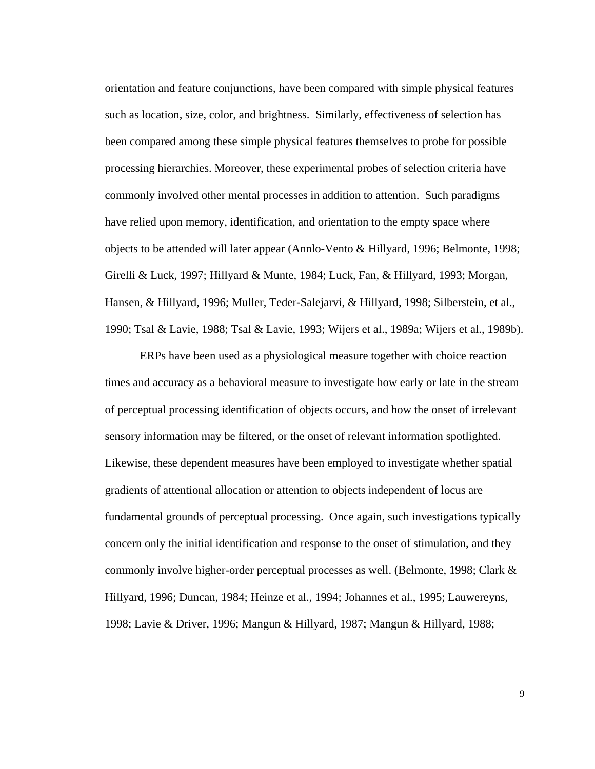orientation and feature conjunctions, have been compared with simple physical features such as location, size, color, and brightness. Similarly, effectiveness of selection has been compared among these simple physical features themselves to probe for possible processing hierarchies. Moreover, these experimental probes of selection criteria have commonly involved other mental processes in addition to attention. Such paradigms have relied upon memory, identification, and orientation to the empty space where objects to be attended will later appear (Annlo-Vento & Hillyard, 1996; Belmonte, 1998; Girelli & Luck, 1997; Hillyard & Munte, 1984; Luck, Fan, & Hillyard, 1993; Morgan, Hansen, & Hillyard, 1996; Muller, Teder-Salejarvi, & Hillyard, 1998; Silberstein, et al., 1990; Tsal & Lavie, 1988; Tsal & Lavie, 1993; Wijers et al., 1989a; Wijers et al., 1989b).

ERPs have been used as a physiological measure together with choice reaction times and accuracy as a behavioral measure to investigate how early or late in the stream of perceptual processing identification of objects occurs, and how the onset of irrelevant sensory information may be filtered, or the onset of relevant information spotlighted. Likewise, these dependent measures have been employed to investigate whether spatial gradients of attentional allocation or attention to objects independent of locus are fundamental grounds of perceptual processing. Once again, such investigations typically concern only the initial identification and response to the onset of stimulation, and they commonly involve higher-order perceptual processes as well. (Belmonte, 1998; Clark & Hillyard, 1996; Duncan, 1984; Heinze et al., 1994; Johannes et al., 1995; Lauwereyns, 1998; Lavie & Driver, 1996; Mangun & Hillyard, 1987; Mangun & Hillyard, 1988;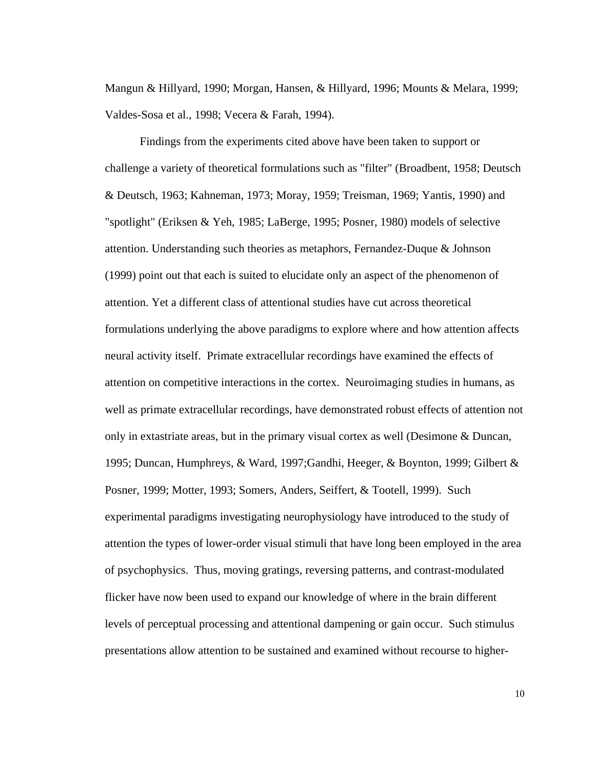Mangun & Hillyard, 1990; Morgan, Hansen, & Hillyard, 1996; Mounts & Melara, 1999; Valdes-Sosa et al., 1998; Vecera & Farah, 1994).

Findings from the experiments cited above have been taken to support or challenge a variety of theoretical formulations such as "filter" (Broadbent, 1958; Deutsch & Deutsch, 1963; Kahneman, 1973; Moray, 1959; Treisman, 1969; Yantis, 1990) and "spotlight" (Eriksen & Yeh, 1985; LaBerge, 1995; Posner, 1980) models of selective attention. Understanding such theories as metaphors, Fernandez-Duque & Johnson (1999) point out that each is suited to elucidate only an aspect of the phenomenon of attention. Yet a different class of attentional studies have cut across theoretical formulations underlying the above paradigms to explore where and how attention affects neural activity itself. Primate extracellular recordings have examined the effects of attention on competitive interactions in the cortex. Neuroimaging studies in humans, as well as primate extracellular recordings, have demonstrated robust effects of attention not only in extastriate areas, but in the primary visual cortex as well (Desimone & Duncan, 1995; Duncan, Humphreys, & Ward, 1997;Gandhi, Heeger, & Boynton, 1999; Gilbert & Posner, 1999; Motter, 1993; Somers, Anders, Seiffert, & Tootell, 1999). Such experimental paradigms investigating neurophysiology have introduced to the study of attention the types of lower-order visual stimuli that have long been employed in the area of psychophysics. Thus, moving gratings, reversing patterns, and contrast-modulated flicker have now been used to expand our knowledge of where in the brain different levels of perceptual processing and attentional dampening or gain occur. Such stimulus presentations allow attention to be sustained and examined without recourse to higher-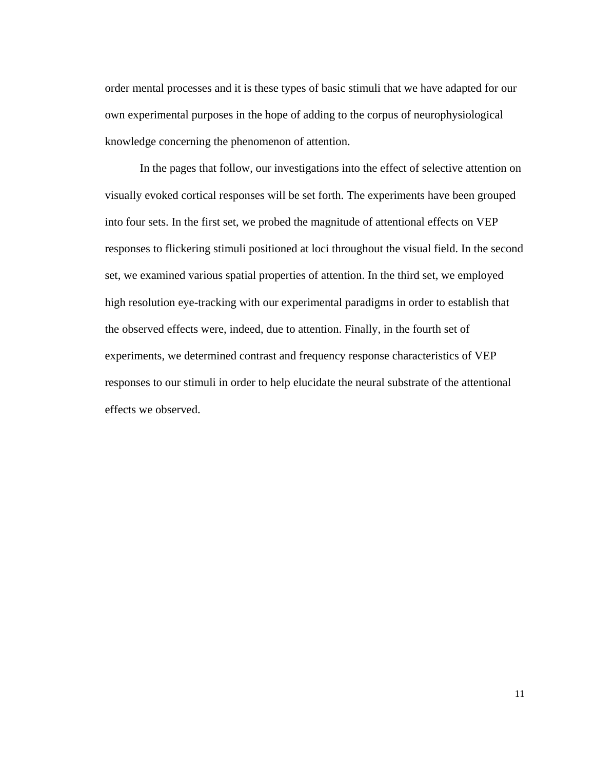order mental processes and it is these types of basic stimuli that we have adapted for our own experimental purposes in the hope of adding to the corpus of neurophysiological knowledge concerning the phenomenon of attention.

In the pages that follow, our investigations into the effect of selective attention on visually evoked cortical responses will be set forth. The experiments have been grouped into four sets. In the first set, we probed the magnitude of attentional effects on VEP responses to flickering stimuli positioned at loci throughout the visual field. In the second set, we examined various spatial properties of attention. In the third set, we employed high resolution eye-tracking with our experimental paradigms in order to establish that the observed effects were, indeed, due to attention. Finally, in the fourth set of experiments, we determined contrast and frequency response characteristics of VEP responses to our stimuli in order to help elucidate the neural substrate of the attentional effects we observed.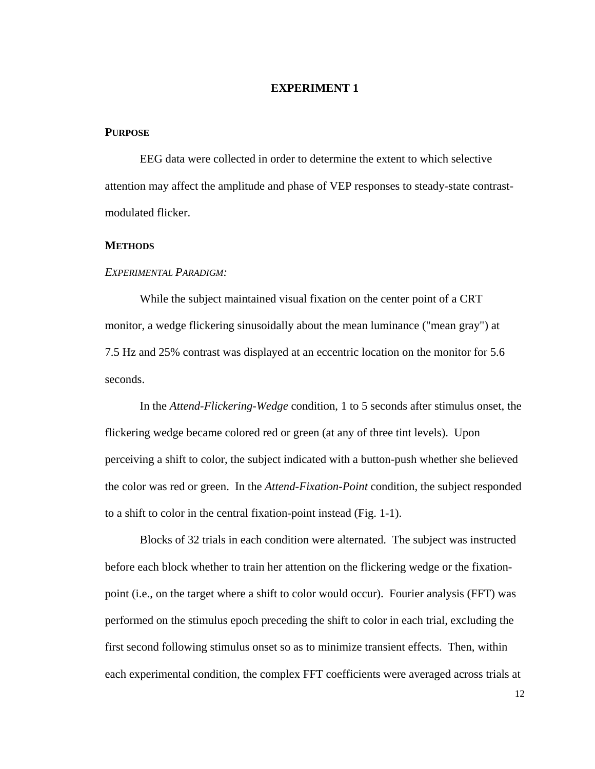#### **EXPERIMENT 1**

#### **PURPOSE**

EEG data were collected in order to determine the extent to which selective attention may affect the amplitude and phase of VEP responses to steady-state contrastmodulated flicker.

#### **METHODS**

#### *EXPERIMENTAL PARADIGM:*

While the subject maintained visual fixation on the center point of a CRT monitor, a wedge flickering sinusoidally about the mean luminance ("mean gray") at 7.5 Hz and 25% contrast was displayed at an eccentric location on the monitor for 5.6 seconds.

In the *Attend-Flickering-Wedge* condition, 1 to 5 seconds after stimulus onset, the flickering wedge became colored red or green (at any of three tint levels). Upon perceiving a shift to color, the subject indicated with a button-push whether she believed the color was red or green. In the *Attend-Fixation-Point* condition, the subject responded to a shift to color in the central fixation-point instead (Fig. 1-1).

Blocks of 32 trials in each condition were alternated. The subject was instructed before each block whether to train her attention on the flickering wedge or the fixationpoint (i.e., on the target where a shift to color would occur). Fourier analysis (FFT) was performed on the stimulus epoch preceding the shift to color in each trial, excluding the first second following stimulus onset so as to minimize transient effects. Then, within each experimental condition, the complex FFT coefficients were averaged across trials at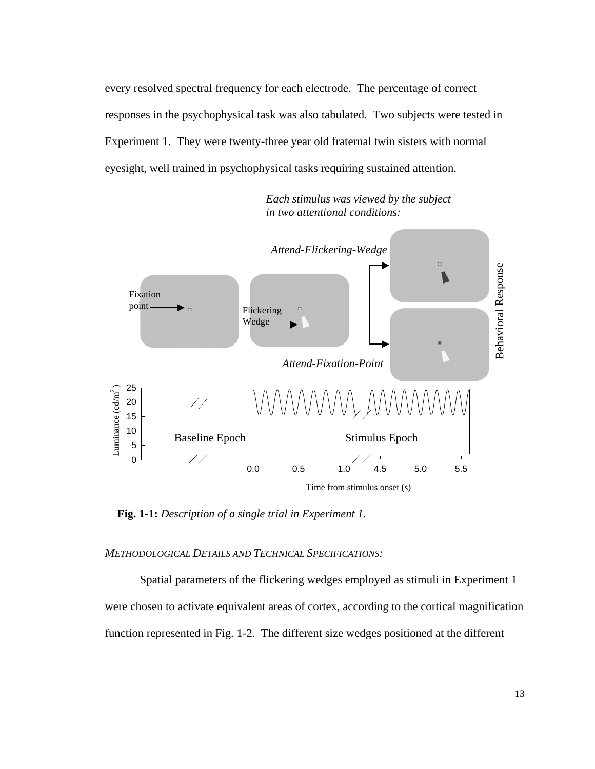every resolved spectral frequency for each electrode. The percentage of correct responses in the psychophysical task was also tabulated. Two subjects were tested in Experiment 1. They were twenty-three year old fraternal twin sisters with normal eyesight, well trained in psychophysical tasks requiring sustained attention.

 *Each stimulus was viewed by the subject in two attentional conditions:*



**Fig. 1-1:** *Description of a single trial in Experiment 1.*

*METHODOLOGICAL DETAILS AND TECHNICAL SPECIFICATIONS:*

Spatial parameters of the flickering wedges employed as stimuli in Experiment 1 were chosen to activate equivalent areas of cortex, according to the cortical magnification function represented in Fig. 1-2. The different size wedges positioned at the different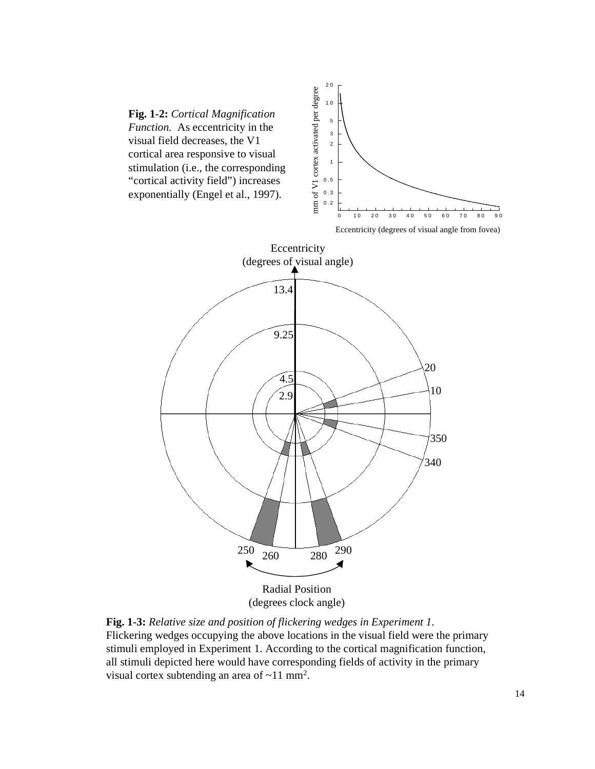



Eccentricity (degrees of visual angle from fovea)



**Fig. 1-3:** *Relative size and position of flickering wedges in Experiment 1*. Flickering wedges occupying the above locations in the visual field were the primary stimuli employed in Experiment 1. According to the cortical magnification function, all stimuli depicted here would have corresponding fields of activity in the primary visual cortex subtending an area of  $\sim$ 11 mm<sup>2</sup>.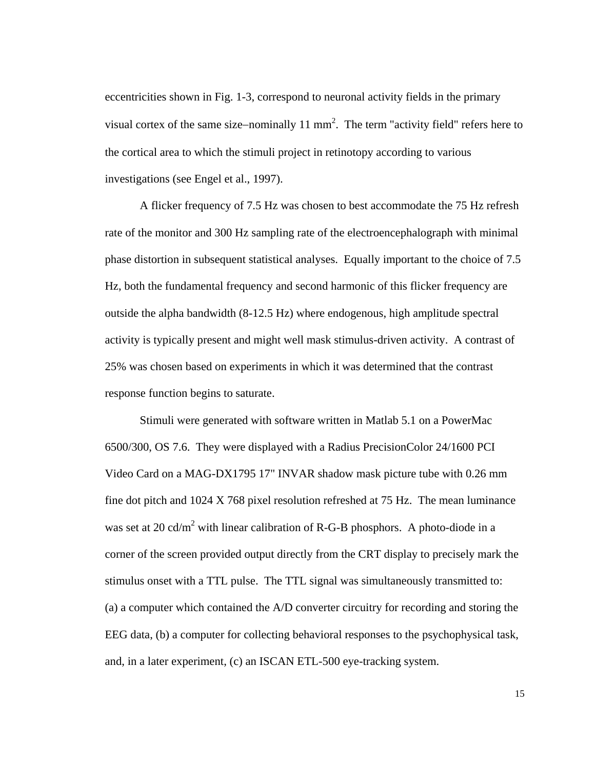eccentricities shown in Fig. 1-3, correspond to neuronal activity fields in the primary visual cortex of the same size–nominally  $11 \text{ mm}^2$ . The term "activity field" refers here to the cortical area to which the stimuli project in retinotopy according to various investigations (see Engel et al., 1997).

A flicker frequency of 7.5 Hz was chosen to best accommodate the 75 Hz refresh rate of the monitor and 300 Hz sampling rate of the electroencephalograph with minimal phase distortion in subsequent statistical analyses. Equally important to the choice of 7.5 Hz, both the fundamental frequency and second harmonic of this flicker frequency are outside the alpha bandwidth (8-12.5 Hz) where endogenous, high amplitude spectral activity is typically present and might well mask stimulus-driven activity. A contrast of 25% was chosen based on experiments in which it was determined that the contrast response function begins to saturate.

Stimuli were generated with software written in Matlab 5.1 on a PowerMac 6500/300, OS 7.6. They were displayed with a Radius PrecisionColor 24/1600 PCI Video Card on a MAG-DX1795 17" INVAR shadow mask picture tube with 0.26 mm fine dot pitch and 1024 X 768 pixel resolution refreshed at 75 Hz. The mean luminance was set at 20 cd/m<sup>2</sup> with linear calibration of R-G-B phosphors. A photo-diode in a corner of the screen provided output directly from the CRT display to precisely mark the stimulus onset with a TTL pulse. The TTL signal was simultaneously transmitted to: (a) a computer which contained the A/D converter circuitry for recording and storing the EEG data, (b) a computer for collecting behavioral responses to the psychophysical task, and, in a later experiment, (c) an ISCAN ETL-500 eye-tracking system.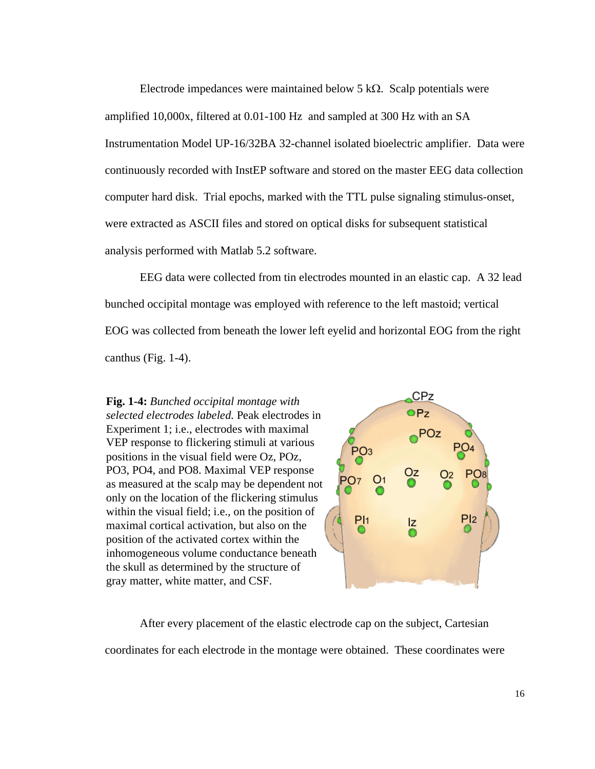Electrode impedances were maintained below 5 kΩ. Scalp potentials were amplified 10,000x, filtered at 0.01-100 Hz and sampled at 300 Hz with an SA Instrumentation Model UP-16/32BA 32-channel isolated bioelectric amplifier. Data were continuously recorded with InstEP software and stored on the master EEG data collection computer hard disk. Trial epochs, marked with the TTL pulse signaling stimulus-onset, were extracted as ASCII files and stored on optical disks for subsequent statistical analysis performed with Matlab 5.2 software.

EEG data were collected from tin electrodes mounted in an elastic cap. A 32 lead bunched occipital montage was employed with reference to the left mastoid; vertical EOG was collected from beneath the lower left eyelid and horizontal EOG from the right canthus (Fig. 1-4).

**Fig. 1-4:** *Bunched occipital montage with selected electrodes labeled.* Peak electrodes in Experiment 1; i.e., electrodes with maximal VEP response to flickering stimuli at various positions in the visual field were Oz, POz, PO3, PO4, and PO8. Maximal VEP response as measured at the scalp may be dependent not only on the location of the flickering stimulus within the visual field; i.e., on the position of maximal cortical activation, but also on the position of the activated cortex within the inhomogeneous volume conductance beneath the skull as determined by the structure of gray matter, white matter, and CSF.



After every placement of the elastic electrode cap on the subject, Cartesian coordinates for each electrode in the montage were obtained. These coordinates were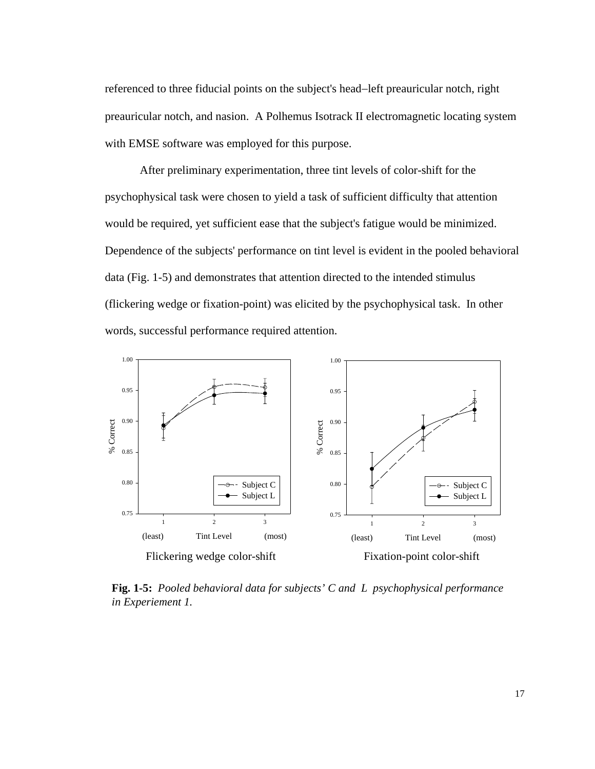referenced to three fiducial points on the subject's head−left preauricular notch, right preauricular notch, and nasion. A Polhemus Isotrack II electromagnetic locating system with EMSE software was employed for this purpose.

After preliminary experimentation, three tint levels of color-shift for the psychophysical task were chosen to yield a task of sufficient difficulty that attention would be required, yet sufficient ease that the subject's fatigue would be minimized. Dependence of the subjects' performance on tint level is evident in the pooled behavioral data (Fig. 1-5) and demonstrates that attention directed to the intended stimulus (flickering wedge or fixation-point) was elicited by the psychophysical task. In other words, successful performance required attention.



**Fig. 1-5:** *Pooled behavioral data for subjects' C and L psychophysical performance in Experiement 1.*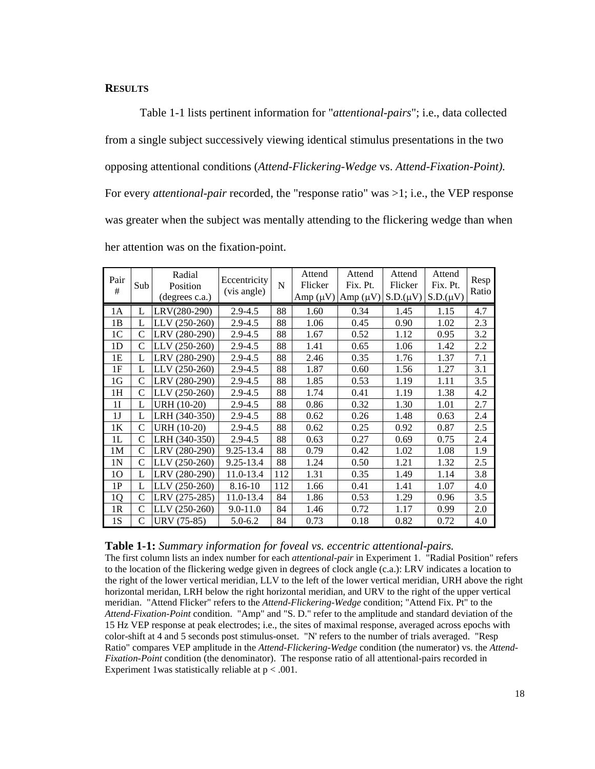#### **RESULTS**

Table 1-1 lists pertinent information for "*attentional-pairs*"; i.e., data collected from a single subject successively viewing identical stimulus presentations in the two opposing attentional conditions (*Attend-Flickering-Wedge* vs. *Attend-Fixation-Point).*  For every *attentional-pair* recorded, the "response ratio" was >1; i.e., the VEP response was greater when the subject was mentally attending to the flickering wedge than when her attention was on the fixation-point.

| Pair<br>#      | Sub           | Radial<br>Position<br>(degrees c.a.) | Eccentricity<br>(vis angle) | $\mathbf N$ | Attend<br>Flicker | Attend<br>Fix. Pt.<br>Amp $(\mu V)$ Amp $(\mu V)$ S.D. $(\mu V)$ | Attend<br>Flicker | Attend<br>Fix. Pt.<br>$S.D.(\mu V)$ | Resp<br>Ratio |
|----------------|---------------|--------------------------------------|-----------------------------|-------------|-------------------|------------------------------------------------------------------|-------------------|-------------------------------------|---------------|
| 1A             | L             | LRV(280-290)                         | $2.9 - 4.5$                 | 88          | 1.60              | 0.34                                                             | 1.45              | 1.15                                | 4.7           |
| 1B             | L             | LLV (250-260)                        | 2.9-4.5                     | 88          | 1.06              | 0.45                                                             | 0.90              | 1.02                                | 2.3           |
| 1 <sup>C</sup> | C             | LRV (280-290)                        | $2.9 - 4.5$                 | 88          | 1.67              | 0.52                                                             | 1.12              | 0.95                                | 3.2           |
| 1 <sub>D</sub> | C             | LLV (250-260)                        | $2.9 - 4.5$                 | 88          | 1.41              | 0.65                                                             | 1.06              | 1.42                                | 2.2           |
| 1E             | L             | LRV (280-290)                        | 2.9-4.5                     | 88          | 2.46              | 0.35                                                             | 1.76              | 1.37                                | 7.1           |
| 1F             | L             | $LLV(250-260)$                       | $2.9 - 4.5$                 | 88          | 1.87              | 0.60                                                             | 1.56              | 1.27                                | 3.1           |
| 1G             | C             | LRV (280-290)                        | $2.9 - 4.5$                 | 88          | 1.85              | 0.53                                                             | 1.19              | 1.11                                | 3.5           |
| 1H             | $\mathcal{C}$ | LLV (250-260)                        | $2.9 - 4.5$                 | 88          | 1.74              | 0.41                                                             | 1.19              | 1.38                                | 4.2           |
| 1 <sub>I</sub> | L             | URH (10-20)                          | $2.9 - 4.5$                 | 88          | 0.86              | 0.32                                                             | 1.30              | 1.01                                | 2.7           |
| 1J             | L             | LRH (340-350)                        | 2.9-4.5                     | 88          | 0.62              | 0.26                                                             | 1.48              | 0.63                                | 2.4           |
| 1 <sub>K</sub> | C             | URH (10-20)                          | $2.9 - 4.5$                 | 88          | 0.62              | 0.25                                                             | 0.92              | 0.87                                | 2.5           |
| 1L             | C             | LRH (340-350)                        | $2.9 - 4.5$                 | 88          | 0.63              | 0.27                                                             | 0.69              | 0.75                                | 2.4           |
| 1M             | C             | LRV (280-290)                        | 9.25-13.4                   | 88          | 0.79              | 0.42                                                             | 1.02              | 1.08                                | 1.9           |
| 1 <sub>N</sub> | C             | LLV (250-260)                        | 9.25-13.4                   | 88          | 1.24              | 0.50                                                             | 1.21              | 1.32                                | 2.5           |
| 10             | L             | LRV (280-290)                        | 11.0-13.4                   | 112         | 1.31              | 0.35                                                             | 1.49              | 1.14                                | 3.8           |
| 1P             | L             | LLV (250-260)                        | 8.16-10                     | 112         | 1.66              | 0.41                                                             | 1.41              | 1.07                                | 4.0           |
| 1 <sub>Q</sub> | $\mathcal{C}$ | LRV (275-285)                        | 11.0-13.4                   | 84          | 1.86              | 0.53                                                             | 1.29              | 0.96                                | 3.5           |
| 1 <sub>R</sub> | C             | $LLV(250-260)$                       | $9.0 - 11.0$                | 84          | 1.46              | 0.72                                                             | 1.17              | 0.99                                | 2.0           |
| 1S             | C             | URV (75-85)                          | $5.0 - 6.2$                 | 84          | 0.73              | 0.18                                                             | 0.82              | 0.72                                | 4.0           |

#### **Table 1-1:** *Summary information for foveal vs. eccentric attentional-pairs.*

The first column lists an index number for each *attentional-pair* in Experiment 1. "Radial Position" refers to the location of the flickering wedge given in degrees of clock angle (c.a.): LRV indicates a location to the right of the lower vertical meridian, LLV to the left of the lower vertical meridian, URH above the right horizontal meridan, LRH below the right horizontal meridian, and URV to the right of the upper vertical meridian. "Attend Flicker" refers to the *Attend-Flickering-Wedge* condition; "Attend Fix. Pt" to the *Attend-Fixation-Point* condition. "Amp" and "S. D." refer to the amplitude and standard deviation of the 15 Hz VEP response at peak electrodes; i.e., the sites of maximal response, averaged across epochs with color-shift at 4 and 5 seconds post stimulus-onset. "N' refers to the number of trials averaged. "Resp Ratio" compares VEP amplitude in the *Attend-Flickering-Wedge* condition (the numerator) vs. the *Attend-Fixation-Point* condition (the denominator). The response ratio of all attentional-pairs recorded in Experiment 1 was statistically reliable at  $p < .001$ .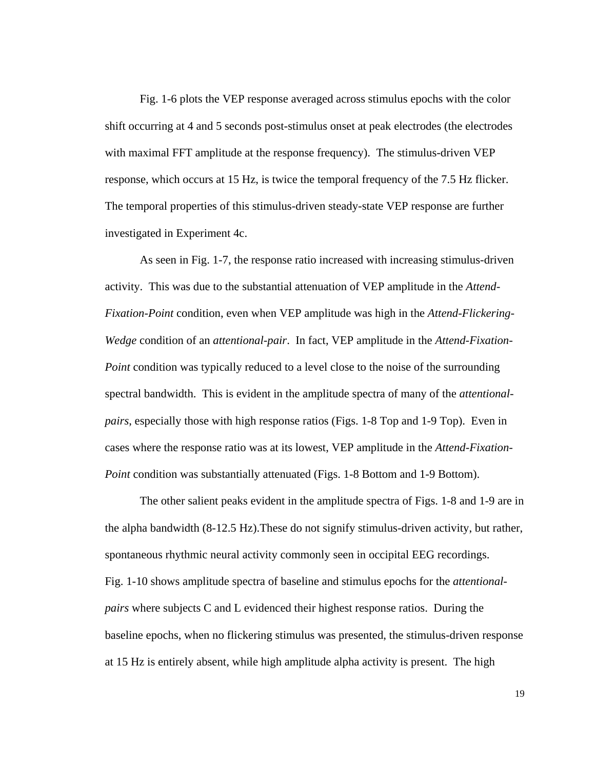Fig. 1-6 plots the VEP response averaged across stimulus epochs with the color shift occurring at 4 and 5 seconds post-stimulus onset at peak electrodes (the electrodes with maximal FFT amplitude at the response frequency). The stimulus-driven VEP response, which occurs at 15 Hz, is twice the temporal frequency of the 7.5 Hz flicker. The temporal properties of this stimulus-driven steady-state VEP response are further investigated in Experiment 4c.

As seen in Fig. 1-7, the response ratio increased with increasing stimulus-driven activity. This was due to the substantial attenuation of VEP amplitude in the *Attend-Fixation-Point* condition, even when VEP amplitude was high in the *Attend-Flickering-Wedge* condition of an *attentional-pair*. In fact, VEP amplitude in the *Attend-Fixation-Point* condition was typically reduced to a level close to the noise of the surrounding spectral bandwidth. This is evident in the amplitude spectra of many of the *attentionalpairs*, especially those with high response ratios (Figs. 1-8 Top and 1-9 Top). Even in cases where the response ratio was at its lowest, VEP amplitude in the *Attend-Fixation-Point* condition was substantially attenuated (Figs. 1-8 Bottom and 1-9 Bottom).

The other salient peaks evident in the amplitude spectra of Figs. 1-8 and 1-9 are in the alpha bandwidth (8-12.5 Hz).These do not signify stimulus-driven activity, but rather, spontaneous rhythmic neural activity commonly seen in occipital EEG recordings. Fig. 1-10 shows amplitude spectra of baseline and stimulus epochs for the *attentionalpairs* where subjects C and L evidenced their highest response ratios. During the baseline epochs, when no flickering stimulus was presented, the stimulus-driven response at 15 Hz is entirely absent, while high amplitude alpha activity is present. The high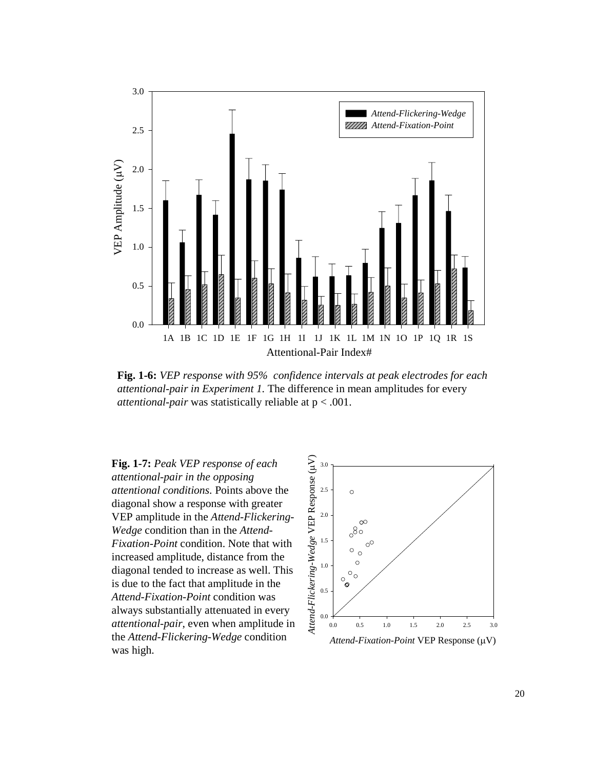

**Fig. 1-6:** *VEP response with 95% confidence intervals at peak electrodes for each attentional-pair in Experiment 1.* The difference in mean amplitudes for every *attentional-pair* was statistically reliable at p < .001.

**Fig. 1-7:** *Peak VEP response of each attentional-pair in the opposing attentional conditions.* Points above the diagonal show a response with greater VEP amplitude in the *Attend-Flickering-Wedge* condition than in the *Attend-Fixation-Point* condition. Note that with increased amplitude, distance from the diagonal tended to increase as well. This is due to the fact that amplitude in the *Attend-Fixation-Point* condition was always substantially attenuated in every *attentional-pair*, even when amplitude in the *Attend-Flickering-Wedge* condition was high.

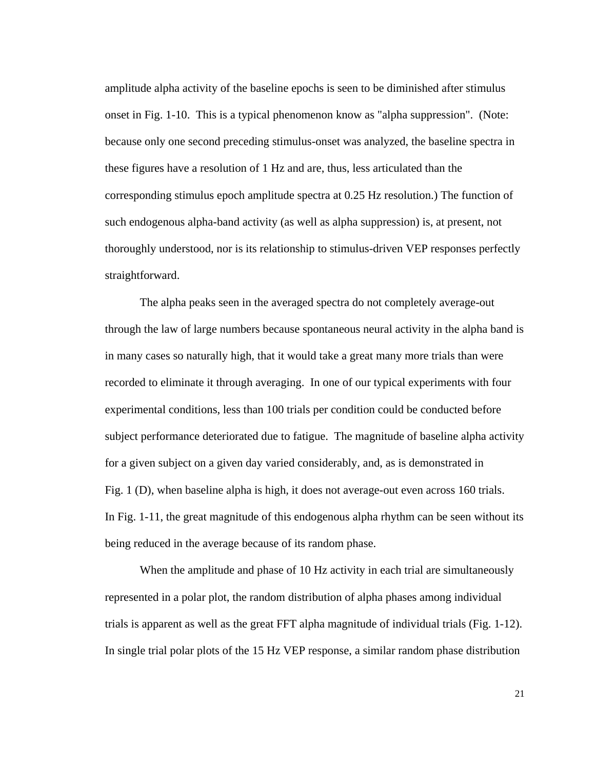amplitude alpha activity of the baseline epochs is seen to be diminished after stimulus onset in Fig. 1-10. This is a typical phenomenon know as "alpha suppression". (Note: because only one second preceding stimulus-onset was analyzed, the baseline spectra in these figures have a resolution of 1 Hz and are, thus, less articulated than the corresponding stimulus epoch amplitude spectra at 0.25 Hz resolution.) The function of such endogenous alpha-band activity (as well as alpha suppression) is, at present, not thoroughly understood, nor is its relationship to stimulus-driven VEP responses perfectly straightforward.

The alpha peaks seen in the averaged spectra do not completely average-out through the law of large numbers because spontaneous neural activity in the alpha band is in many cases so naturally high, that it would take a great many more trials than were recorded to eliminate it through averaging. In one of our typical experiments with four experimental conditions, less than 100 trials per condition could be conducted before subject performance deteriorated due to fatigue. The magnitude of baseline alpha activity for a given subject on a given day varied considerably, and, as is demonstrated in Fig. 1 (D), when baseline alpha is high, it does not average-out even across 160 trials. In Fig. 1-11, the great magnitude of this endogenous alpha rhythm can be seen without its being reduced in the average because of its random phase.

When the amplitude and phase of 10 Hz activity in each trial are simultaneously represented in a polar plot, the random distribution of alpha phases among individual trials is apparent as well as the great FFT alpha magnitude of individual trials (Fig. 1-12). In single trial polar plots of the 15 Hz VEP response, a similar random phase distribution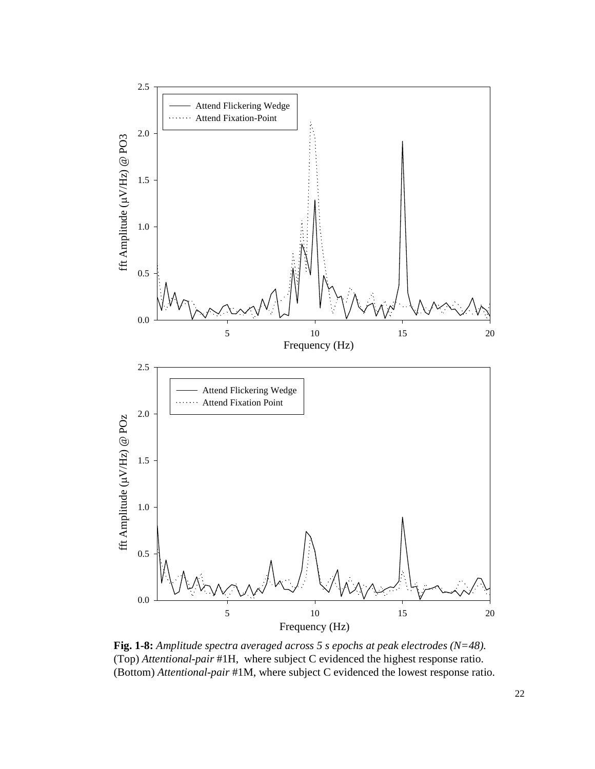

**Fig. 1-8:** *Amplitude spectra averaged across 5 s epochs at peak electrodes (N=48).* (Top) *Attentional-pair* #1H, where subject C evidenced the highest response ratio. (Bottom) *Attentional-pair* #1M, where subject C evidenced the lowest response ratio.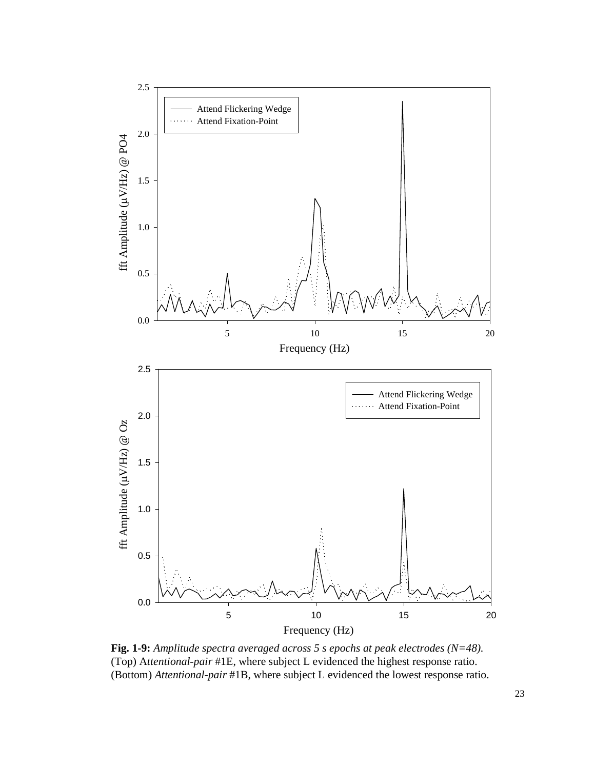

**Fig. 1-9:** *Amplitude spectra averaged across 5 s epochs at peak electrodes (N=48).*  (Top) A*ttentional-pair* #1E, where subject L evidenced the highest response ratio. (Bottom) *Attentional-pair* #1B, where subject L evidenced the lowest response ratio.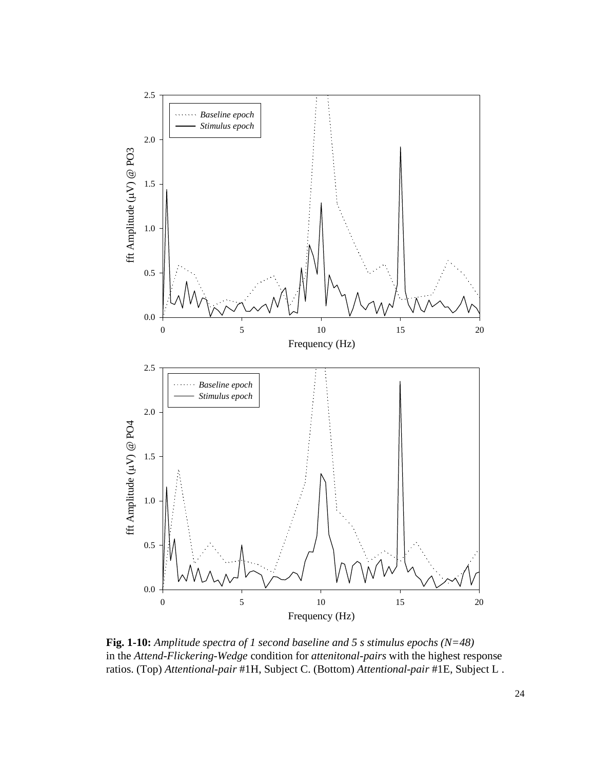

**Fig. 1-10:** *Amplitude spectra of 1 second baseline and 5 s stimulus epochs (N=48)* in the *Attend-Flickering-Wedge* condition for *attenitonal-pairs* with the highest response ratios. (Top) *Attentional-pair* #1H, Subject C. (Bottom) *Attentional-pair* #1E, Subject L .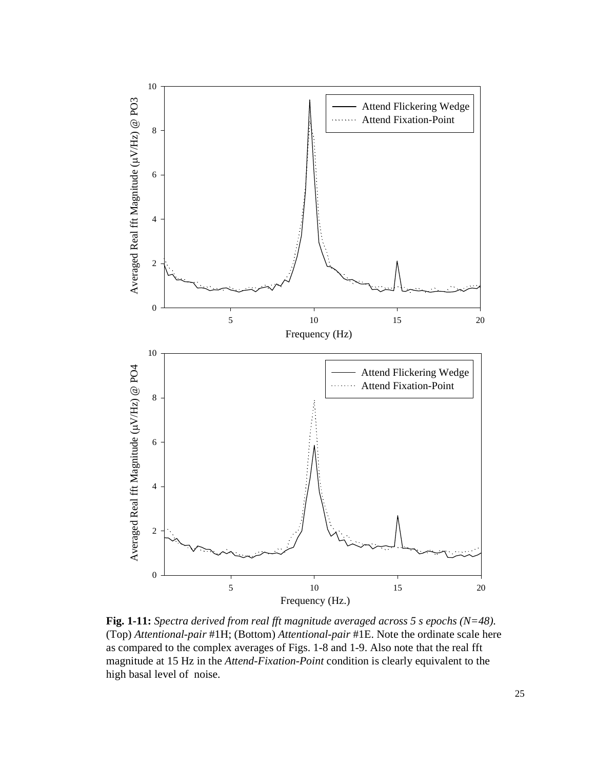

**Fig. 1-11:** *Spectra derived from real fft magnitude averaged across 5 s epochs (N=48).* (Top) *Attentional-pair* #1H; (Bottom) *Attentional-pair* #1E. Note the ordinate scale here as compared to the complex averages of Figs. 1-8 and 1-9. Also note that the real fft magnitude at 15 Hz in the *Attend-Fixation-Point* condition is clearly equivalent to the high basal level of noise.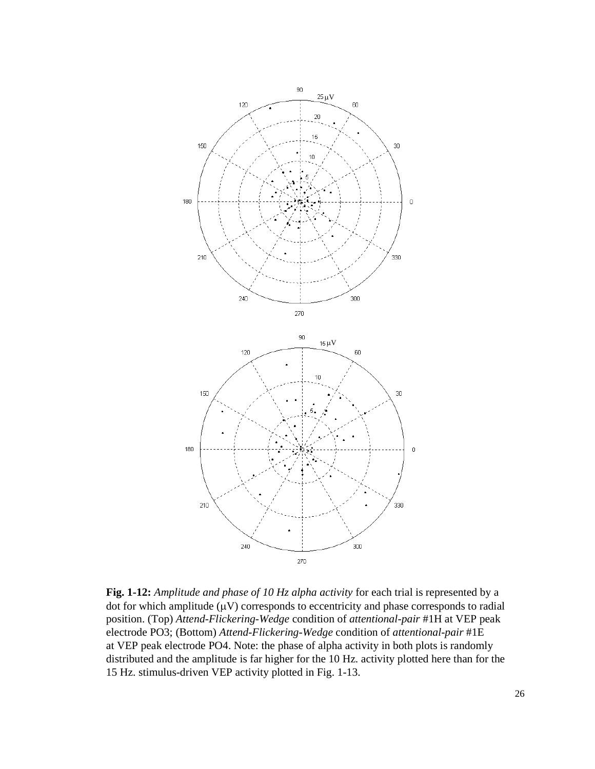

**Fig. 1-12:** *Amplitude and phase of 10 Hz alpha activity* for each trial is represented by a dot for which amplitude  $(\mu V)$  corresponds to eccentricity and phase corresponds to radial position. (Top) *Attend-Flickering-Wedge* condition of *attentional-pair* #1H at VEP peak electrode PO3; (Bottom) *Attend-Flickering-Wedge* condition of *attentional-pair* #1E at VEP peak electrode PO4. Note: the phase of alpha activity in both plots is randomly distributed and the amplitude is far higher for the 10 Hz. activity plotted here than for the 15 Hz. stimulus-driven VEP activity plotted in Fig. 1-13.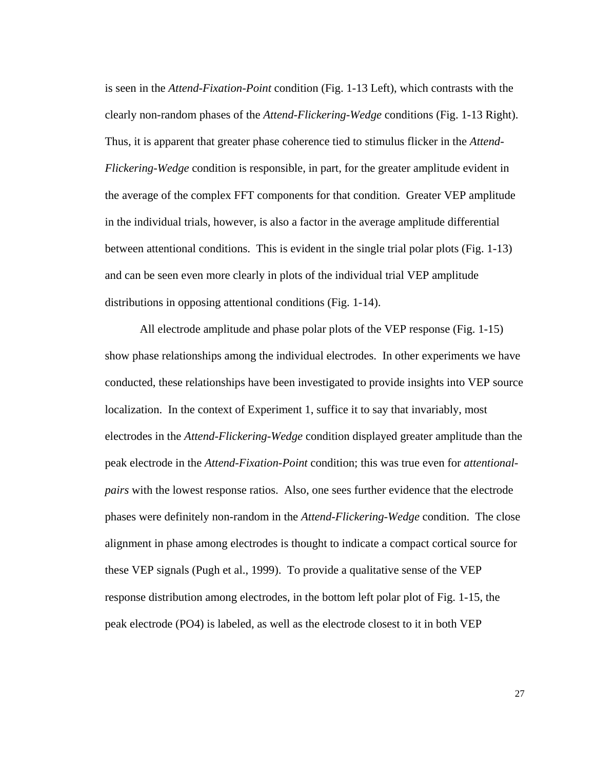is seen in the *Attend-Fixation-Point* condition (Fig. 1-13 Left), which contrasts with the clearly non-random phases of the *Attend-Flickering-Wedge* conditions (Fig. 1-13 Right). Thus, it is apparent that greater phase coherence tied to stimulus flicker in the *Attend-Flickering-Wedge* condition is responsible, in part, for the greater amplitude evident in the average of the complex FFT components for that condition. Greater VEP amplitude in the individual trials, however, is also a factor in the average amplitude differential between attentional conditions. This is evident in the single trial polar plots (Fig. 1-13) and can be seen even more clearly in plots of the individual trial VEP amplitude distributions in opposing attentional conditions (Fig. 1-14).

All electrode amplitude and phase polar plots of the VEP response (Fig. 1-15) show phase relationships among the individual electrodes. In other experiments we have conducted, these relationships have been investigated to provide insights into VEP source localization. In the context of Experiment 1, suffice it to say that invariably, most electrodes in the *Attend-Flickering-Wedge* condition displayed greater amplitude than the peak electrode in the *Attend-Fixation-Point* condition; this was true even for *attentionalpairs* with the lowest response ratios. Also, one sees further evidence that the electrode phases were definitely non-random in the *Attend-Flickering-Wedge* condition. The close alignment in phase among electrodes is thought to indicate a compact cortical source for these VEP signals (Pugh et al., 1999). To provide a qualitative sense of the VEP response distribution among electrodes, in the bottom left polar plot of Fig. 1-15, the peak electrode (PO4) is labeled, as well as the electrode closest to it in both VEP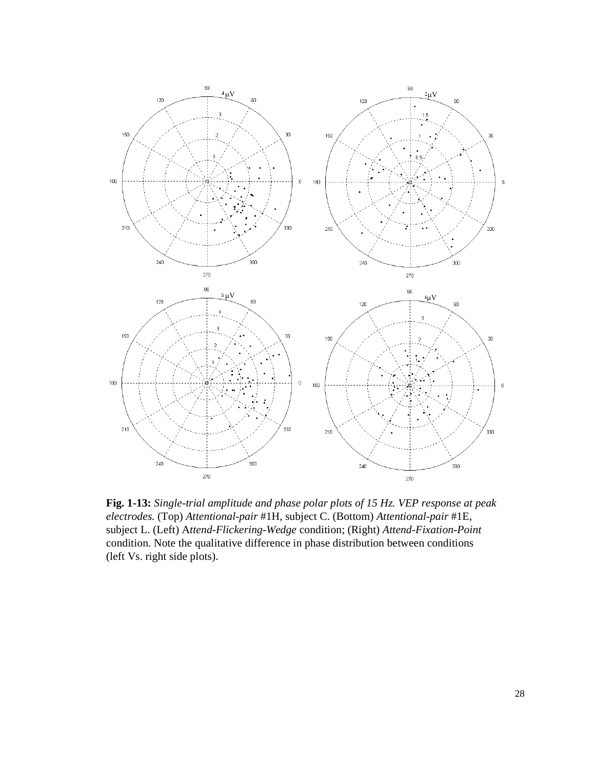

**Fig. 1-13:** *Single-trial amplitude and phase polar plots of 15 Hz. VEP response at peak electrodes.* (Top) *Attentional-pair* #1H, subject C. (Bottom) *Attentional-pair* #1E, subject L. (Left) A*ttend-Flickering-Wedge* condition; (Right) *Attend-Fixation-Point* condition. Note the qualitative difference in phase distribution between conditions (left Vs. right side plots).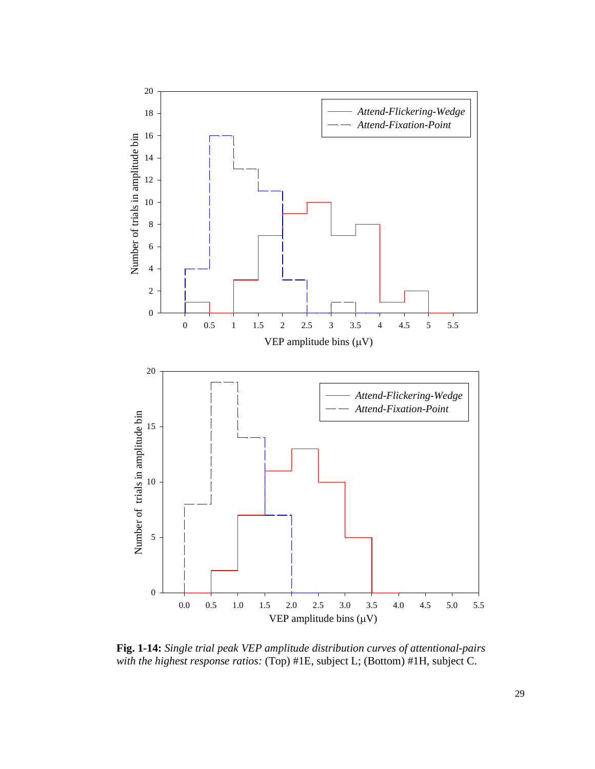

**Fig. 1-14:** *Single trial peak VEP amplitude distribution curves of attentional-pairs with the highest response ratios:* (Top) #1E, subject L; (Bottom) #1H, subject C.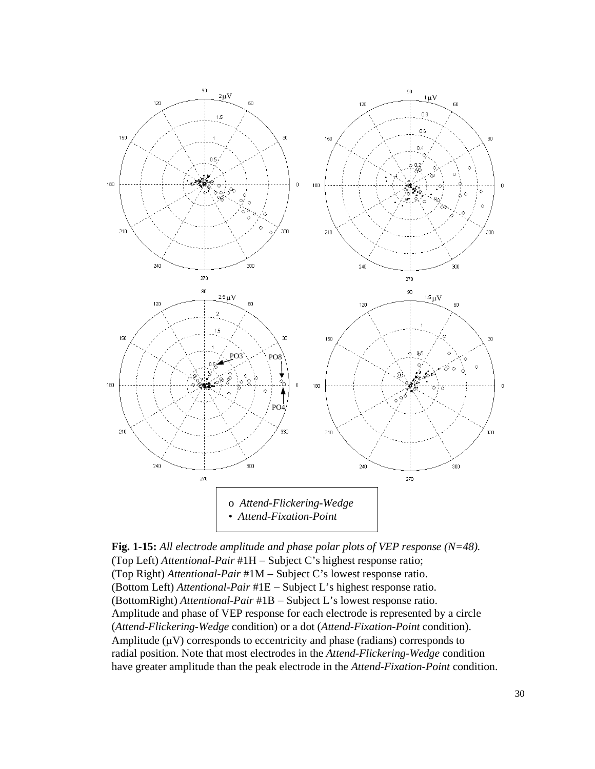

**Fig. 1-15:** *All electrode amplitude and phase polar plots of VEP response (N=48).* (Top Left) *Attentional-Pair* #1H − Subject C's highest response ratio; (Top Right) *Attentional-Pair* #1M − Subject C's lowest response ratio. (Bottom Left) *Attentional-Pair* #1E − Subject L's highest response ratio. (BottomRight) *Attentional-Pair* #1B − Subject L's lowest response ratio. Amplitude and phase of VEP response for each electrode is represented by a circle (*Attend-Flickering-Wedge* condition) or a dot (*Attend-Fixation-Point* condition). Amplitude  $(\mu V)$  corresponds to eccentricity and phase (radians) corresponds to radial position. Note that most electrodes in the *Attend-Flickering-Wedge* condition have greater amplitude than the peak electrode in the *Attend-Fixation-Point* condition.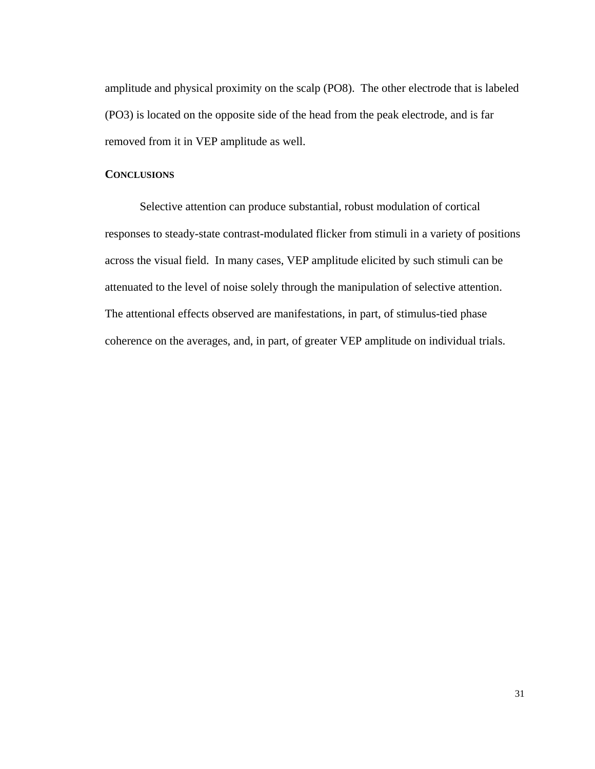amplitude and physical proximity on the scalp (PO8). The other electrode that is labeled (PO3) is located on the opposite side of the head from the peak electrode, and is far removed from it in VEP amplitude as well.

## **CONCLUSIONS**

Selective attention can produce substantial, robust modulation of cortical responses to steady-state contrast-modulated flicker from stimuli in a variety of positions across the visual field. In many cases, VEP amplitude elicited by such stimuli can be attenuated to the level of noise solely through the manipulation of selective attention. The attentional effects observed are manifestations, in part, of stimulus-tied phase coherence on the averages, and, in part, of greater VEP amplitude on individual trials.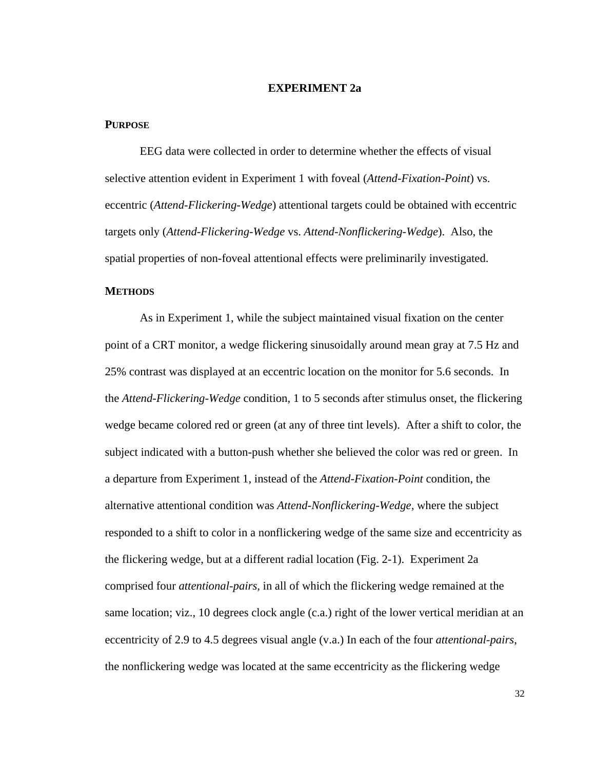# **EXPERIMENT 2a**

## **PURPOSE**

EEG data were collected in order to determine whether the effects of visual selective attention evident in Experiment 1 with foveal (*Attend-Fixation-Point*) vs. eccentric (*Attend-Flickering-Wedge*) attentional targets could be obtained with eccentric targets only (*Attend-Flickering-Wedge* vs. *Attend-Nonflickering-Wedge*). Also, the spatial properties of non-foveal attentional effects were preliminarily investigated.

## **METHODS**

As in Experiment 1, while the subject maintained visual fixation on the center point of a CRT monitor, a wedge flickering sinusoidally around mean gray at 7.5 Hz and 25% contrast was displayed at an eccentric location on the monitor for 5.6 seconds. In the *Attend-Flickering-Wedge* condition, 1 to 5 seconds after stimulus onset, the flickering wedge became colored red or green (at any of three tint levels). After a shift to color, the subject indicated with a button-push whether she believed the color was red or green. In a departure from Experiment 1, instead of the *Attend-Fixation-Point* condition, the alternative attentional condition was *Attend-Nonflickering-Wedge,* where the subject responded to a shift to color in a nonflickering wedge of the same size and eccentricity as the flickering wedge, but at a different radial location (Fig. 2-1). Experiment 2a comprised four *attentional-pairs,* in all of which the flickering wedge remained at the same location; viz., 10 degrees clock angle (c.a.) right of the lower vertical meridian at an eccentricity of 2.9 to 4.5 degrees visual angle (v.a.) In each of the four *attentional-pairs*, the nonflickering wedge was located at the same eccentricity as the flickering wedge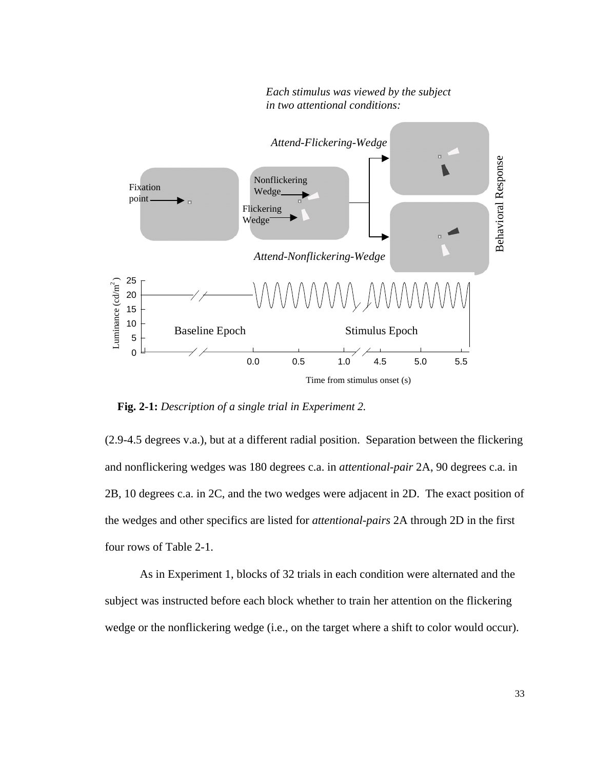

 *Each stimulus was viewed by the subject in two attentional conditions:*

**Fig. 2-1:** *Description of a single trial in Experiment 2.*

(2.9-4.5 degrees v.a.), but at a different radial position. Separation between the flickering and nonflickering wedges was 180 degrees c.a. in *attentional-pair* 2A, 90 degrees c.a. in 2B, 10 degrees c.a. in 2C, and the two wedges were adjacent in 2D. The exact position of the wedges and other specifics are listed for *attentional-pairs* 2A through 2D in the first four rows of Table 2-1.

As in Experiment 1, blocks of 32 trials in each condition were alternated and the subject was instructed before each block whether to train her attention on the flickering wedge or the nonflickering wedge (i.e., on the target where a shift to color would occur).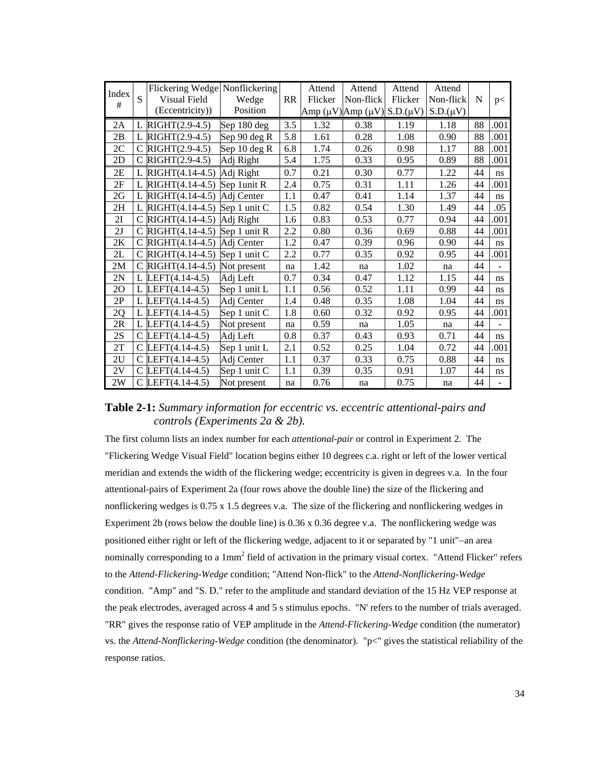| Index |   |                                   | Flickering Wedge Nonflickering |           | Attend  | Attend                                     | Attend  | Attend        |    |      |
|-------|---|-----------------------------------|--------------------------------|-----------|---------|--------------------------------------------|---------|---------------|----|------|
| #     | S | Visual Field                      | Wedge                          | <b>RR</b> | Flicker | Non-flick                                  | Flicker | Non-flick     | N  | p<   |
|       |   | (Eccentricity))                   | Position                       |           |         | Amp $(\mu V)$ Amp $(\mu V)$ S.D. $(\mu V)$ |         | $S.D.(\mu V)$ |    |      |
| 2A    | L | $RIGHT(2.9-4.5)$                  | Sep 180 deg                    | 3.5       | 1.32    | 0.38                                       | 1.19    | 1.18          | 88 | .001 |
| 2B    |   | L RIGHT $(2.9-4.5)$               | Sep 90 deg R                   | 5.8       | 1.61    | 0.28                                       | 1.08    | 0.90          | 88 | .001 |
| 2C    | C | RIGHT(2.9-4.5)                    | Sep 10 deg R                   | 6.8       | 1.74    | 0.26                                       | 0.98    | 1.17          | 88 | .001 |
| 2D    |   | C RIGHT $(2.9-4.5)$               | Adj Right                      | 5.4       | 1.75    | 0.33                                       | 0.95    | 0.89          | 88 | .001 |
| 2E    |   | L RIGHT $(4.14-4.5)$ Adj Right    |                                | 0.7       | 0.21    | 0.30                                       | 0.77    | 1.22          | 44 | ns   |
| 2F    |   | L RIGHT $(4.14-4.5)$ Sep 1unit R  |                                | 2.4       | 0.75    | 0.31                                       | 1.11    | 1.26          | 44 | .001 |
| 2G    | L | RIGHT(4.14-4.5)                   | Adi Center                     | 1.1       | 0.47    | 0.41                                       | 1.14    | 1.37          | 44 | ns   |
| 2H    |   | L RIGHT $(4.14-4.5)$ Sep 1 unit C |                                | 1.5       | 0.82    | 0.54                                       | 1.30    | 1.49          | 44 | .05  |
| 2I    |   | C RIGHT $(4.14-4.5)$ Adj Right    |                                | 1.6       | 0.83    | 0.53                                       | 0.77    | 0.94          | 44 | .001 |
| 2J    |   | $RIGHT(4.14-4.5)$ Sep 1 unit R    |                                | 2.2       | 0.80    | 0.36                                       | 0.69    | 0.88          | 44 | .001 |
| 2K    |   | C RIGHT $(4.14-4.5)$              | Adj Center                     | 1.2       | 0.47    | 0.39                                       | 0.96    | 0.90          | 44 | ns   |
| 2L    | C | RIGHT(4.14-4.5)                   | Sep 1 unit C                   | 2.2       | 0.77    | 0.35                                       | 0.92    | 0.95          | 44 | .001 |
| 2M    |   | C RIGHT $(4.14-4.5)$              | Not present                    | na        | 1.42    | na                                         | 1.02    | na            | 44 |      |
| 2N    |   | L LEFT $(4.14-4.5)$               | Adi Left                       | 0.7       | 0.34    | 0.47                                       | 1.12    | 1.15          | 44 | ns   |
| 20    |   | L LEFT $(4.14-4.5)$               | Sep 1 unit L                   | 1.1       | 0.56    | 0.52                                       | 1.11    | 0.99          | 44 | ns.  |
| 2P    |   | L LEFT $(4.14-4.5)$               | Adj Center                     | 1.4       | 0.48    | 0.35                                       | 1.08    | 1.04          | 44 | ns   |
| 2Q    |   | L LEFT $(4.14-4.5)$               | Sep 1 unit C                   | 1.8       | 0.60    | 0.32                                       | 0.92    | 0.95          | 44 | .001 |
| 2R    |   | L LEFT $(4.14-4.5)$               | Not present                    | na        | 0.59    | na                                         | 1.05    | na            | 44 |      |
| 2S    |   | C LEFT $(4.14-4.5)$               | Adj Left                       | 0.8       | 0.37    | 0.43                                       | 0.93    | 0.71          | 44 | ns   |
| 2T    |   | C LEFT $(4.14-4.5)$               | Sep 1 unit L                   | 2.1       | 0.52    | 0.25                                       | 1.04    | 0.72          | 44 | .001 |
| 2U    |   | C LEFT $(4.14-4.5)$               | Adj Center                     | 1.1       | 0.37    | 0.33                                       | 0.75    | 0.88          | 44 | ns   |
| 2V    |   | C LEFT $(4.14-4.5)$               | Sep 1 unit C                   | 1.1       | 0.39    | 0.35                                       | 0.91    | 1.07          | 44 | ns   |
| 2W    |   | C $LEFT(4.14-4.5)$                | Not present                    | na        | 0.76    | na                                         | 0.75    | na            | 44 |      |

**Table 2-1:** *Summary information for eccentric vs. eccentric attentional-pairs and controls (Experiments 2a & 2b).* 

The first column lists an index number for each *attentional-pair* or control in Experiment 2. The "Flickering Wedge Visual Field" location begins either 10 degrees c.a. right or left of the lower vertical meridian and extends the width of the flickering wedge; eccentricity is given in degrees v.a. In the four attentional-pairs of Experiment 2a (four rows above the double line) the size of the flickering and nonflickering wedges is 0.75 x 1.5 degrees v.a. The size of the flickering and nonflickering wedges in Experiment 2b (rows below the double line) is  $0.36 \times 0.36$  degree v.a. The nonflickering wedge was positioned either right or left of the flickering wedge, adjacent to it or separated by "1 unit"−an area nominally corresponding to a 1mm<sup>2</sup> field of activation in the primary visual cortex. "Attend Flicker" refers to the *Attend-Flickering-Wedge* condition; "Attend Non-flick" to the *Attend-Nonflickering-Wedge* condition. "Amp" and "S. D." refer to the amplitude and standard deviation of the 15 Hz VEP response at the peak electrodes, averaged across 4 and 5 s stimulus epochs. "N' refers to the number of trials averaged. "RR" gives the response ratio of VEP amplitude in the *Attend-Flickering-Wedge* condition (the numerator) vs. the *Attend-Nonflickering-Wedge* condition (the denominator). "p<" gives the statistical reliability of the response ratios.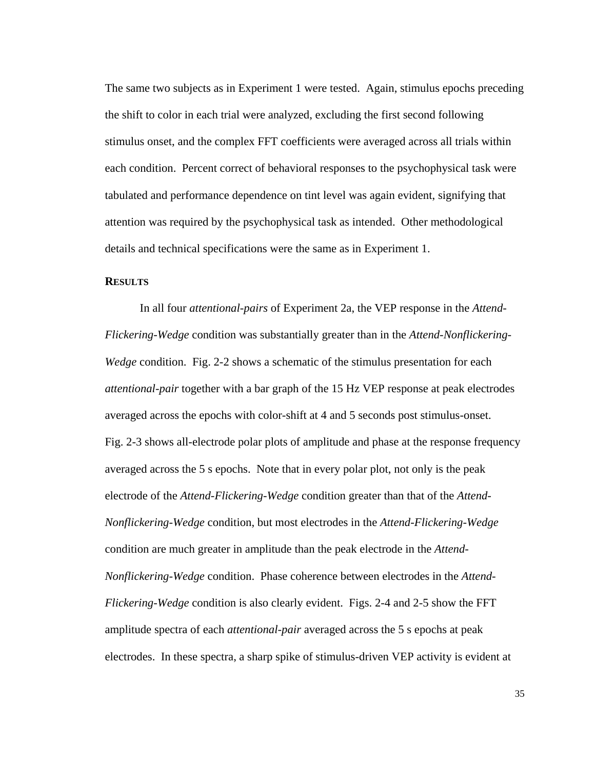The same two subjects as in Experiment 1 were tested. Again, stimulus epochs preceding the shift to color in each trial were analyzed, excluding the first second following stimulus onset, and the complex FFT coefficients were averaged across all trials within each condition. Percent correct of behavioral responses to the psychophysical task were tabulated and performance dependence on tint level was again evident, signifying that attention was required by the psychophysical task as intended. Other methodological details and technical specifications were the same as in Experiment 1.

#### **RESULTS**

In all four *attentional-pairs* of Experiment 2a, the VEP response in the *Attend-Flickering-Wedge* condition was substantially greater than in the *Attend-Nonflickering-Wedge* condition. Fig. 2-2 shows a schematic of the stimulus presentation for each *attentional-pair* together with a bar graph of the 15 Hz VEP response at peak electrodes averaged across the epochs with color-shift at 4 and 5 seconds post stimulus-onset. Fig. 2-3 shows all-electrode polar plots of amplitude and phase at the response frequency averaged across the 5 s epochs. Note that in every polar plot, not only is the peak electrode of the *Attend-Flickering-Wedge* condition greater than that of the *Attend-Nonflickering-Wedge* condition, but most electrodes in the *Attend-Flickering-Wedge* condition are much greater in amplitude than the peak electrode in the *Attend-Nonflickering-Wedge* condition. Phase coherence between electrodes in the *Attend-Flickering-Wedge* condition is also clearly evident. Figs. 2-4 and 2-5 show the FFT amplitude spectra of each *attentional-pair* averaged across the 5 s epochs at peak electrodes. In these spectra, a sharp spike of stimulus-driven VEP activity is evident at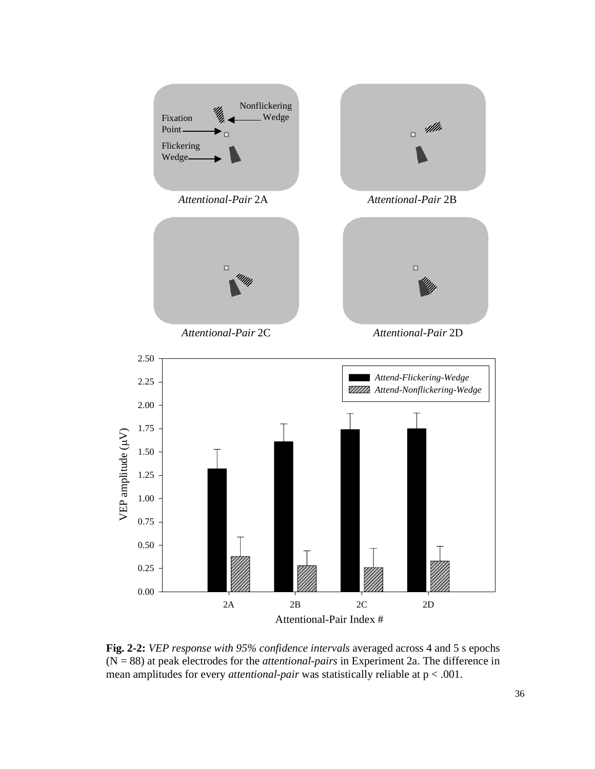

**Fig. 2-2:** *VEP response with 95% confidence intervals* averaged across 4 and 5 s epochs (N = 88) at peak electrodes for the *attentional-pairs* in Experiment 2a. The difference in mean amplitudes for every *attentional-pair* was statistically reliable at p < .001.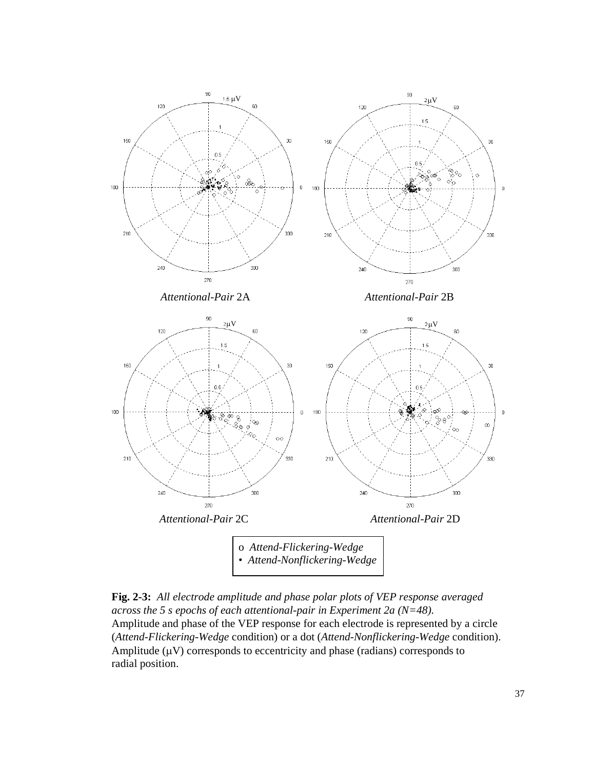

**Fig. 2-3:** *All electrode amplitude and phase polar plots of VEP response averaged across the 5 s epochs of each attentional-pair in Experiment 2a (N=48).*  Amplitude and phase of the VEP response for each electrode is represented by a circle (*Attend-Flickering-Wedge* condition) or a dot (*Attend-Nonflickering-Wedge* condition). Amplitude  $(\mu V)$  corresponds to eccentricity and phase (radians) corresponds to radial position.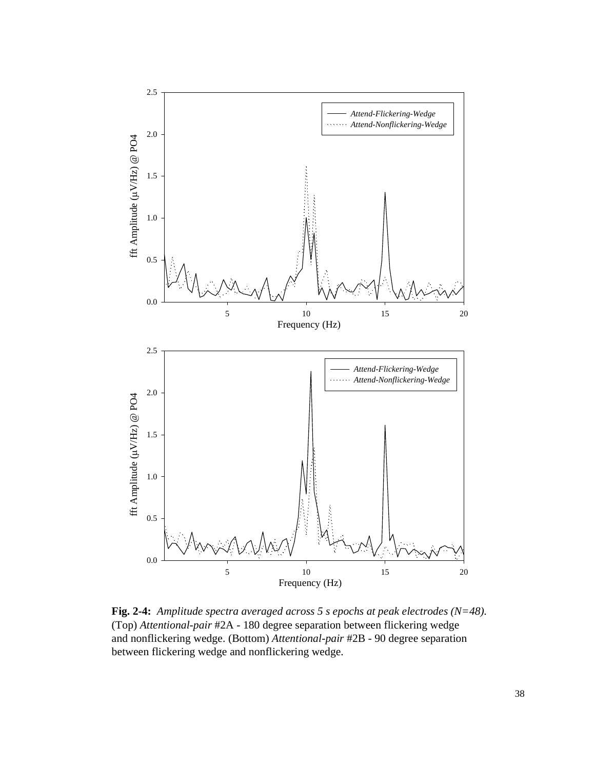

**Fig. 2-4:** *Amplitude spectra averaged across 5 s epochs at peak electrodes (N=48).* (Top) *Attentional-pair* #2A - 180 degree separation between flickering wedge and nonflickering wedge. (Bottom) *Attentional-pair* #2B - 90 degree separation between flickering wedge and nonflickering wedge.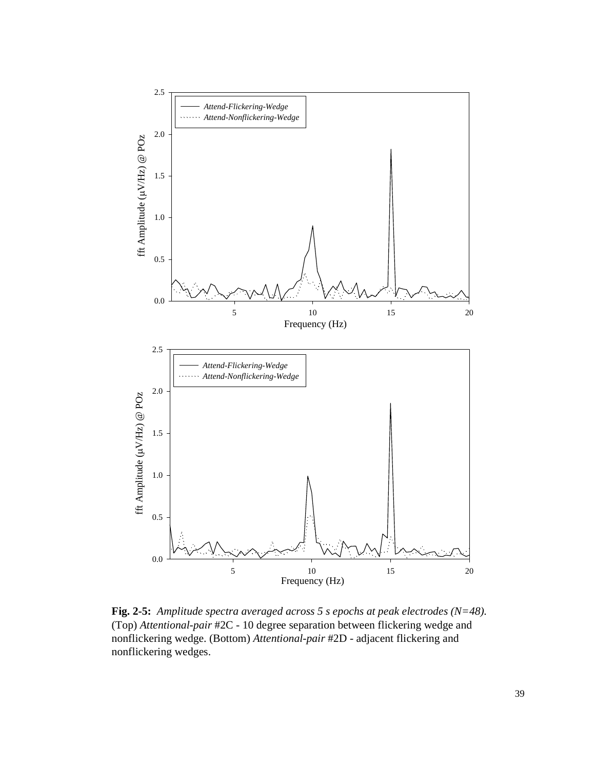

**Fig. 2-5:** *Amplitude spectra averaged across 5 s epochs at peak electrodes (N=48).* (Top) *Attentional-pair* #2C - 10 degree separation between flickering wedge and nonflickering wedge. (Bottom) *Attentional-pair* #2D - adjacent flickering and nonflickering wedges.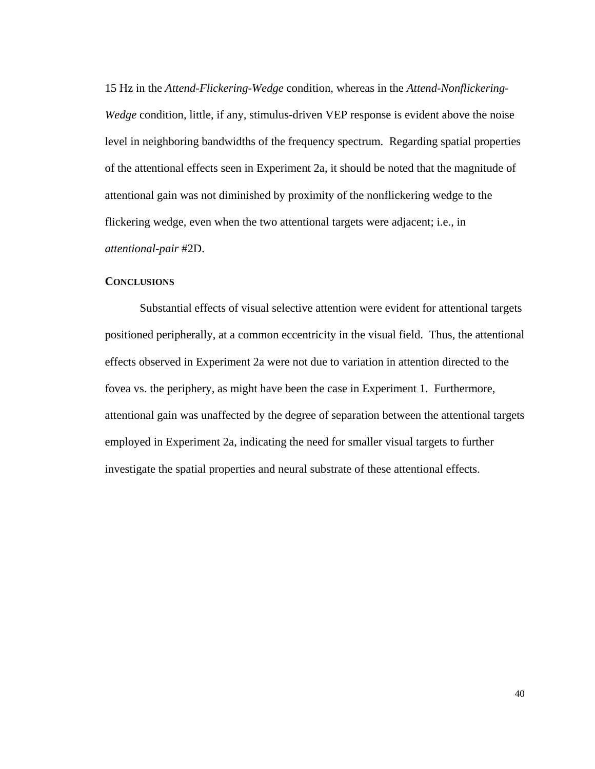15 Hz in the *Attend-Flickering-Wedge* condition, whereas in the *Attend-Nonflickering-Wedge* condition, little, if any, stimulus-driven VEP response is evident above the noise level in neighboring bandwidths of the frequency spectrum. Regarding spatial properties of the attentional effects seen in Experiment 2a, it should be noted that the magnitude of attentional gain was not diminished by proximity of the nonflickering wedge to the flickering wedge, even when the two attentional targets were adjacent; i.e., in *attentional-pair* #2D.

#### **CONCLUSIONS**

Substantial effects of visual selective attention were evident for attentional targets positioned peripherally, at a common eccentricity in the visual field. Thus, the attentional effects observed in Experiment 2a were not due to variation in attention directed to the fovea vs. the periphery, as might have been the case in Experiment 1. Furthermore, attentional gain was unaffected by the degree of separation between the attentional targets employed in Experiment 2a, indicating the need for smaller visual targets to further investigate the spatial properties and neural substrate of these attentional effects.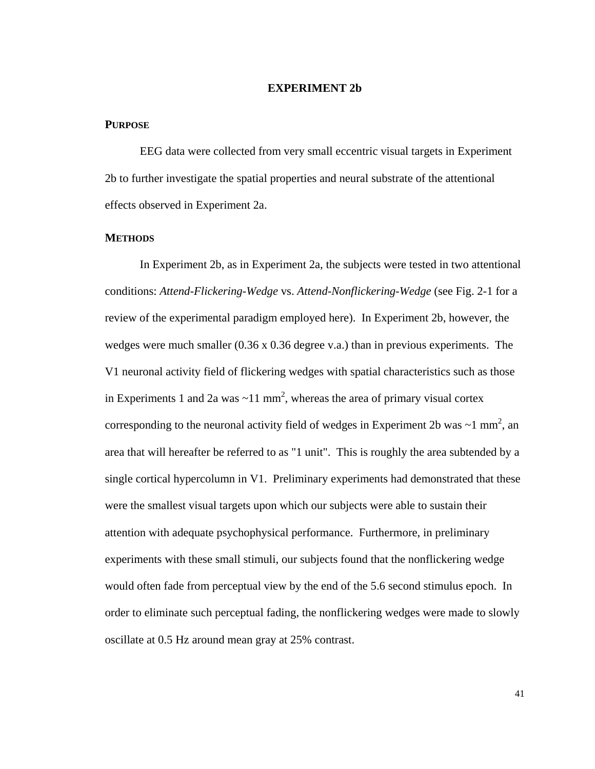## **EXPERIMENT 2b**

## **PURPOSE**

EEG data were collected from very small eccentric visual targets in Experiment 2b to further investigate the spatial properties and neural substrate of the attentional effects observed in Experiment 2a.

### **METHODS**

In Experiment 2b, as in Experiment 2a, the subjects were tested in two attentional conditions: *Attend-Flickering-Wedge* vs. *Attend-Nonflickering-Wedge* (see Fig. 2-1 for a review of the experimental paradigm employed here). In Experiment 2b, however, the wedges were much smaller (0.36 x 0.36 degree v.a.) than in previous experiments. The V1 neuronal activity field of flickering wedges with spatial characteristics such as those in Experiments 1 and 2a was  $\sim$ 11 mm<sup>2</sup>, whereas the area of primary visual cortex corresponding to the neuronal activity field of wedges in Experiment 2b was  $\sim$ 1 mm<sup>2</sup>, an area that will hereafter be referred to as "1 unit". This is roughly the area subtended by a single cortical hypercolumn in V1. Preliminary experiments had demonstrated that these were the smallest visual targets upon which our subjects were able to sustain their attention with adequate psychophysical performance. Furthermore, in preliminary experiments with these small stimuli, our subjects found that the nonflickering wedge would often fade from perceptual view by the end of the 5.6 second stimulus epoch. In order to eliminate such perceptual fading, the nonflickering wedges were made to slowly oscillate at 0.5 Hz around mean gray at 25% contrast.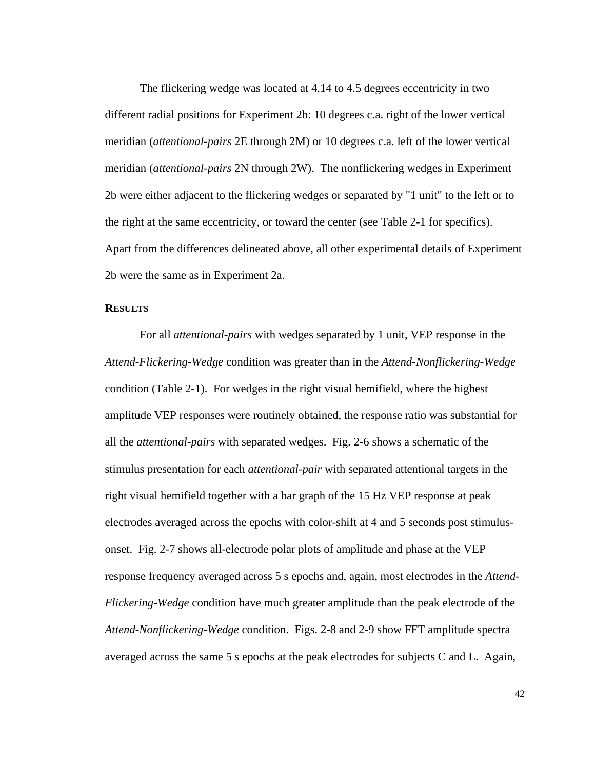The flickering wedge was located at 4.14 to 4.5 degrees eccentricity in two different radial positions for Experiment 2b: 10 degrees c.a. right of the lower vertical meridian (*attentional-pairs* 2E through 2M) or 10 degrees c.a. left of the lower vertical meridian (*attentional-pairs* 2N through 2W). The nonflickering wedges in Experiment 2b were either adjacent to the flickering wedges or separated by "1 unit" to the left or to the right at the same eccentricity, or toward the center (see Table 2-1 for specifics). Apart from the differences delineated above, all other experimental details of Experiment 2b were the same as in Experiment 2a.

#### **RESULTS**

For all *attentional-pairs* with wedges separated by 1 unit, VEP response in the *Attend-Flickering-Wedge* condition was greater than in the *Attend-Nonflickering-Wedge* condition (Table 2-1). For wedges in the right visual hemifield, where the highest amplitude VEP responses were routinely obtained, the response ratio was substantial for all the *attentional-pairs* with separated wedges. Fig. 2-6 shows a schematic of the stimulus presentation for each *attentional-pair* with separated attentional targets in the right visual hemifield together with a bar graph of the 15 Hz VEP response at peak electrodes averaged across the epochs with color-shift at 4 and 5 seconds post stimulusonset. Fig. 2-7 shows all-electrode polar plots of amplitude and phase at the VEP response frequency averaged across 5 s epochs and, again, most electrodes in the *Attend-Flickering-Wedge* condition have much greater amplitude than the peak electrode of the *Attend-Nonflickering-Wedge* condition. Figs. 2-8 and 2-9 show FFT amplitude spectra averaged across the same 5 s epochs at the peak electrodes for subjects C and L. Again,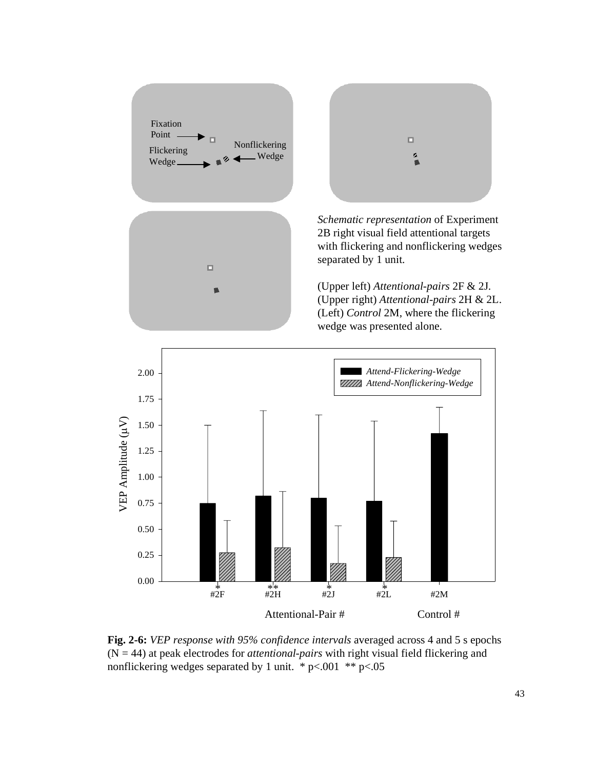

**Fig. 2-6:** *VEP response with 95% confidence intervals* averaged across 4 and 5 s epochs (N = 44) at peak electrodes for *attentional-pairs* with right visual field flickering and nonflickering wedges separated by 1 unit. \*  $p<.001$  \*\*  $p<.05$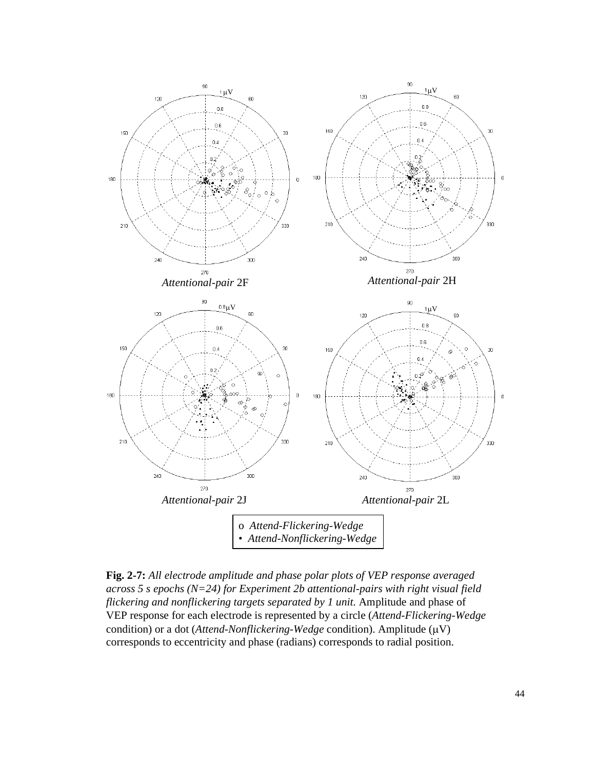

**Fig. 2-7:** *All electrode amplitude and phase polar plots of VEP response averaged across 5 s epochs (N=24) for Experiment 2b attentional-pairs with right visual field flickering and nonflickering targets separated by 1 unit.* Amplitude and phase of VEP response for each electrode is represented by a circle (*Attend-Flickering-Wedge* condition) or a dot (*Attend-Nonflickering-Wedge* condition). Amplitude ( $\mu$ V) corresponds to eccentricity and phase (radians) corresponds to radial position.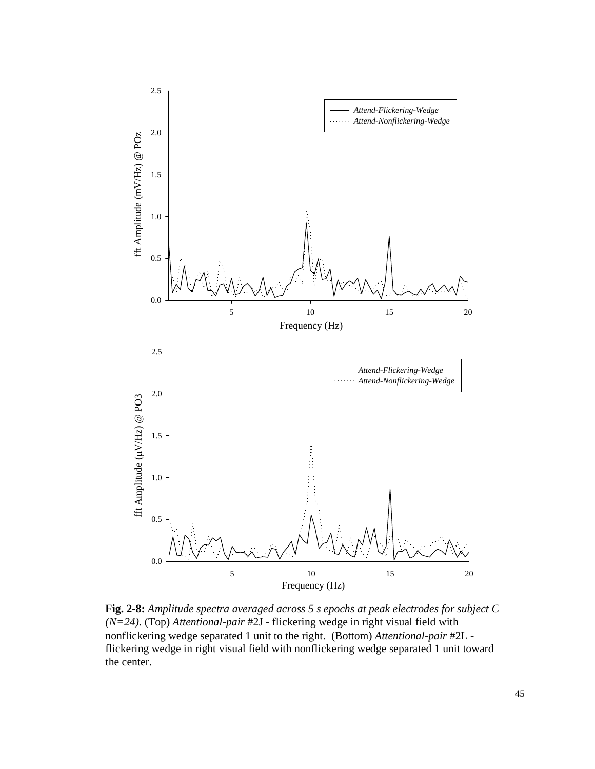

**Fig. 2-8:** *Amplitude spectra averaged across 5 s epochs at peak electrodes for subject C (N=24).* (Top) *Attentional-pair* #2J - flickering wedge in right visual field with nonflickering wedge separated 1 unit to the right. (Bottom) *Attentional-pair* #2L flickering wedge in right visual field with nonflickering wedge separated 1 unit toward the center.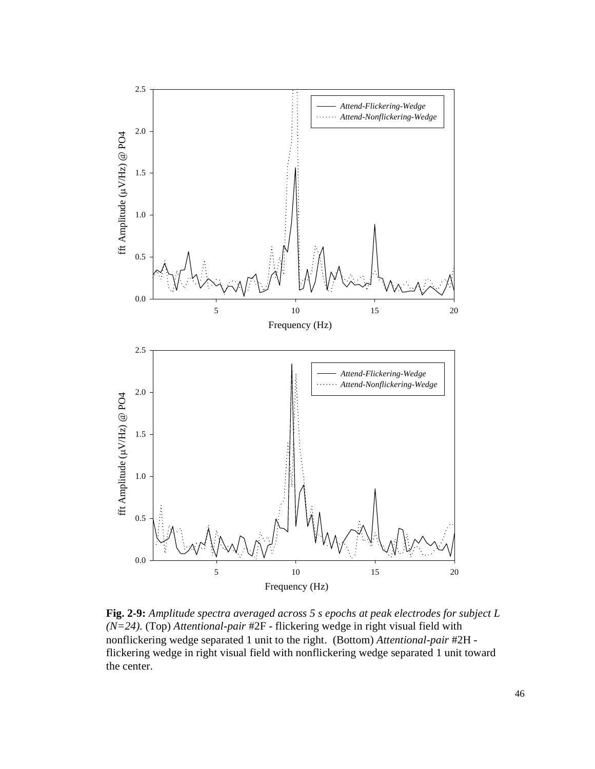

**Fig. 2-9:** *Amplitude spectra averaged across 5 s epochs at peak electrodes for subject L (N=24).* (Top) *Attentional-pair* #2F - flickering wedge in right visual field with nonflickering wedge separated 1 unit to the right. (Bottom) *Attentional-pair* #2H flickering wedge in right visual field with nonflickering wedge separated 1 unit toward the center.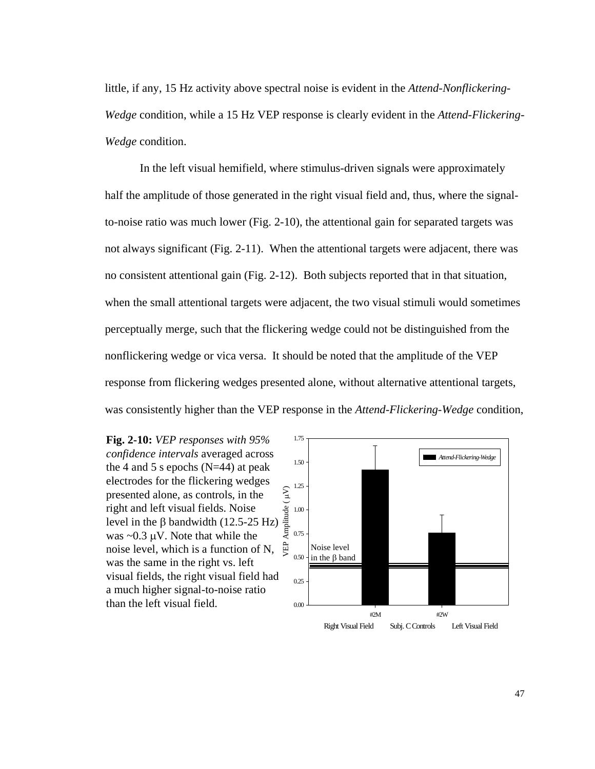little, if any, 15 Hz activity above spectral noise is evident in the *Attend-Nonflickering-Wedge* condition, while a 15 Hz VEP response is clearly evident in the *Attend-Flickering-Wedge* condition.

In the left visual hemifield, where stimulus-driven signals were approximately half the amplitude of those generated in the right visual field and, thus, where the signalto-noise ratio was much lower (Fig. 2-10), the attentional gain for separated targets was not always significant (Fig. 2-11). When the attentional targets were adjacent, there was no consistent attentional gain (Fig. 2-12). Both subjects reported that in that situation, when the small attentional targets were adjacent, the two visual stimuli would sometimes perceptually merge, such that the flickering wedge could not be distinguished from the nonflickering wedge or vica versa. It should be noted that the amplitude of the VEP response from flickering wedges presented alone, without alternative attentional targets, was consistently higher than the VEP response in the *Attend-Flickering-Wedge* condition,



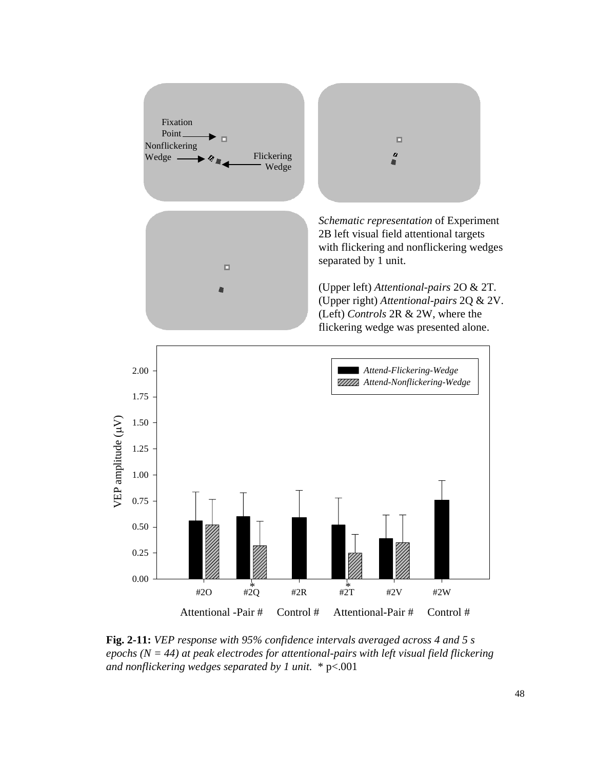

**Fig. 2-11:** *VEP response with 95% confidence intervals averaged across 4 and 5 s epochs (N = 44) at peak electrodes for attentional-pairs with left visual field flickering and nonflickering wedges separated by 1 unit.* \* p<.001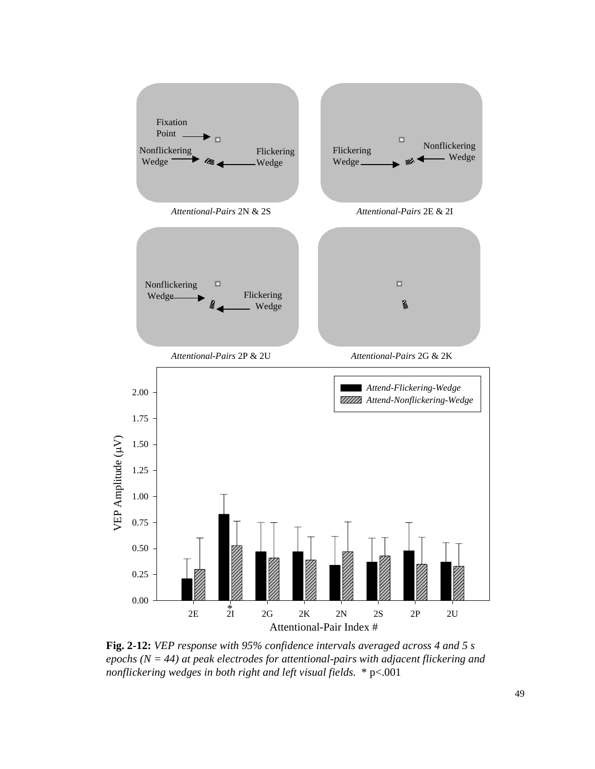

**Fig. 2-12:** *VEP response with 95% confidence intervals averaged across 4 and 5 s epochs (N = 44) at peak electrodes for attentional-pairs with adjacent flickering and nonflickering wedges in both right and left visual fields.* \* p<.001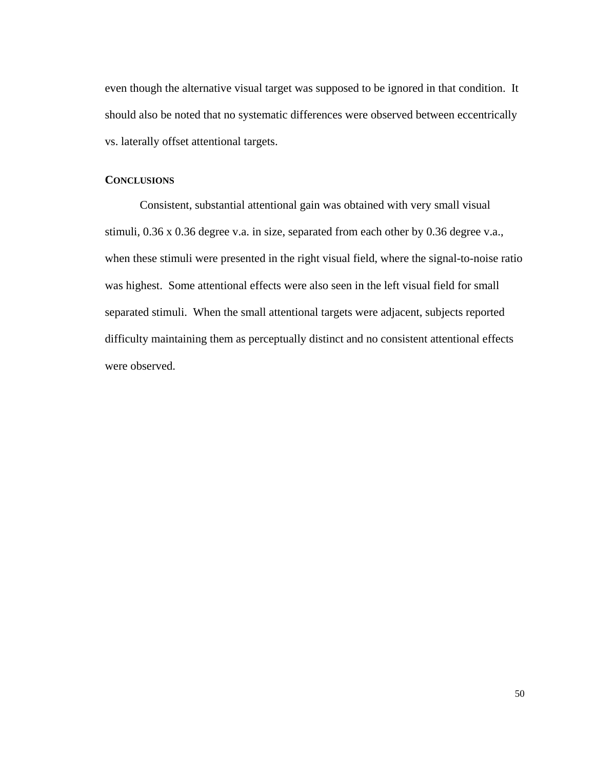even though the alternative visual target was supposed to be ignored in that condition. It should also be noted that no systematic differences were observed between eccentrically vs. laterally offset attentional targets.

## **CONCLUSIONS**

Consistent, substantial attentional gain was obtained with very small visual stimuli, 0.36 x 0.36 degree v.a. in size, separated from each other by 0.36 degree v.a., when these stimuli were presented in the right visual field, where the signal-to-noise ratio was highest. Some attentional effects were also seen in the left visual field for small separated stimuli. When the small attentional targets were adjacent, subjects reported difficulty maintaining them as perceptually distinct and no consistent attentional effects were observed.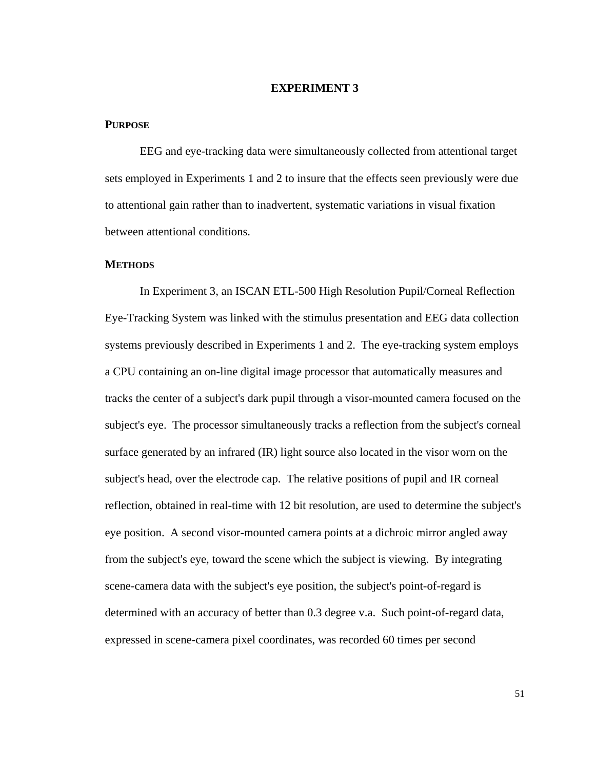## **EXPERIMENT 3**

## **PURPOSE**

EEG and eye-tracking data were simultaneously collected from attentional target sets employed in Experiments 1 and 2 to insure that the effects seen previously were due to attentional gain rather than to inadvertent, systematic variations in visual fixation between attentional conditions.

#### **METHODS**

In Experiment 3, an ISCAN ETL-500 High Resolution Pupil/Corneal Reflection Eye-Tracking System was linked with the stimulus presentation and EEG data collection systems previously described in Experiments 1 and 2. The eye-tracking system employs a CPU containing an on-line digital image processor that automatically measures and tracks the center of a subject's dark pupil through a visor-mounted camera focused on the subject's eye. The processor simultaneously tracks a reflection from the subject's corneal surface generated by an infrared (IR) light source also located in the visor worn on the subject's head, over the electrode cap. The relative positions of pupil and IR corneal reflection, obtained in real-time with 12 bit resolution, are used to determine the subject's eye position. A second visor-mounted camera points at a dichroic mirror angled away from the subject's eye, toward the scene which the subject is viewing. By integrating scene-camera data with the subject's eye position, the subject's point-of-regard is determined with an accuracy of better than 0.3 degree v.a. Such point-of-regard data, expressed in scene-camera pixel coordinates, was recorded 60 times per second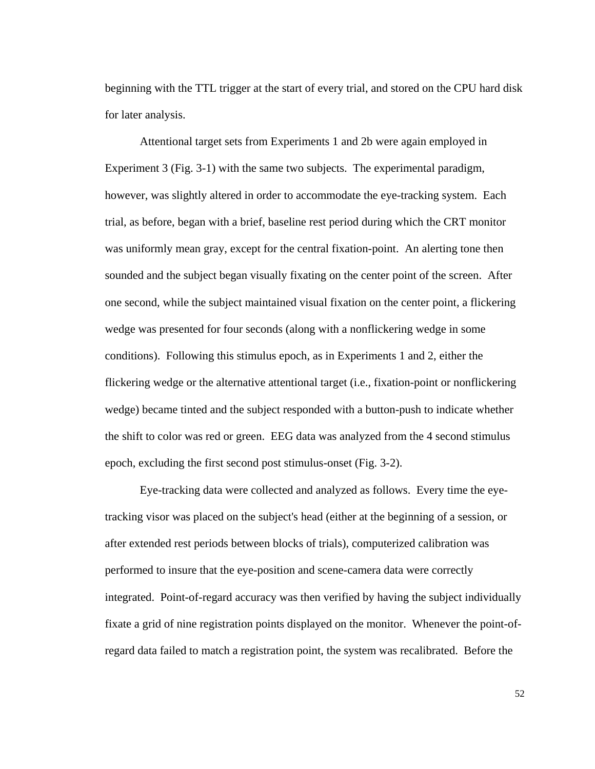beginning with the TTL trigger at the start of every trial, and stored on the CPU hard disk for later analysis.

Attentional target sets from Experiments 1 and 2b were again employed in Experiment 3 (Fig. 3-1) with the same two subjects. The experimental paradigm, however, was slightly altered in order to accommodate the eye-tracking system. Each trial, as before, began with a brief, baseline rest period during which the CRT monitor was uniformly mean gray, except for the central fixation-point. An alerting tone then sounded and the subject began visually fixating on the center point of the screen. After one second, while the subject maintained visual fixation on the center point, a flickering wedge was presented for four seconds (along with a nonflickering wedge in some conditions). Following this stimulus epoch, as in Experiments 1 and 2, either the flickering wedge or the alternative attentional target (i.e., fixation-point or nonflickering wedge) became tinted and the subject responded with a button-push to indicate whether the shift to color was red or green. EEG data was analyzed from the 4 second stimulus epoch, excluding the first second post stimulus-onset (Fig. 3-2).

Eye-tracking data were collected and analyzed as follows. Every time the eyetracking visor was placed on the subject's head (either at the beginning of a session, or after extended rest periods between blocks of trials), computerized calibration was performed to insure that the eye-position and scene-camera data were correctly integrated. Point-of-regard accuracy was then verified by having the subject individually fixate a grid of nine registration points displayed on the monitor. Whenever the point-ofregard data failed to match a registration point, the system was recalibrated. Before the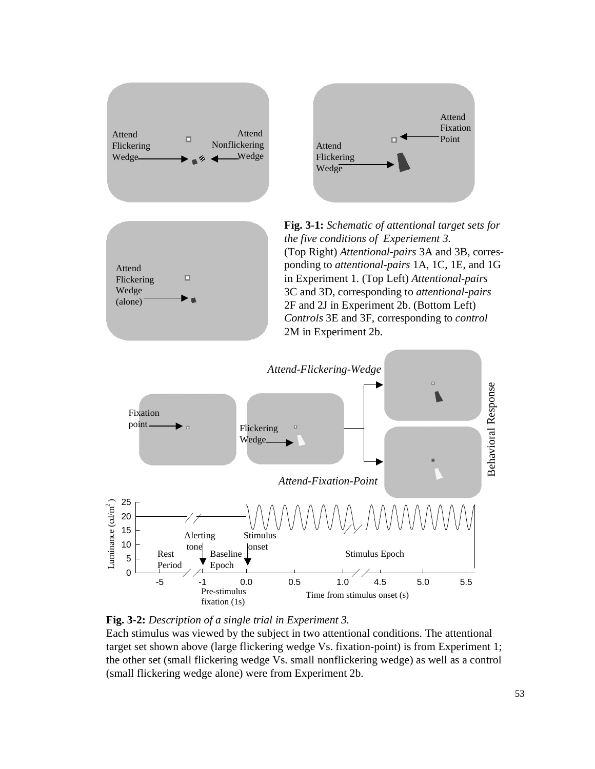





**Fig. 3-1:** *Schematic of attentional target sets for the five conditions of Experiement 3.* (Top Right) *Attentional-pairs* 3A and 3B, corresponding to *attentional-pairs* 1A, 1C, 1E, and 1G in Experiment 1. (Top Left) *Attentional-pairs* 3C and 3D, corresponding to *attentional-pairs* 2F and 2J in Experiment 2b. (Bottom Left) *Controls* 3E and 3F, corresponding to *control* 2M in Experiment 2b.





Each stimulus was viewed by the subject in two attentional conditions. The attentional target set shown above (large flickering wedge Vs. fixation-point) is from Experiment 1; the other set (small flickering wedge Vs. small nonflickering wedge) as well as a control (small flickering wedge alone) were from Experiment 2b.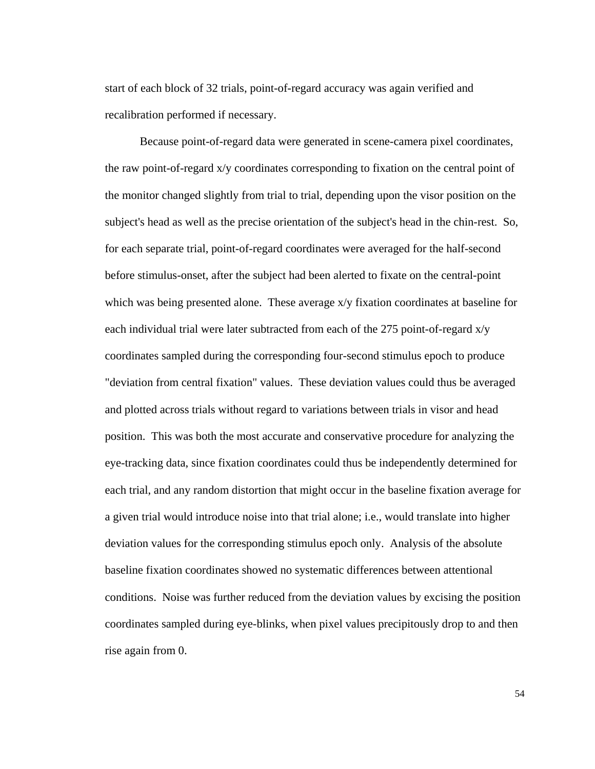start of each block of 32 trials, point-of-regard accuracy was again verified and recalibration performed if necessary.

Because point-of-regard data were generated in scene-camera pixel coordinates, the raw point-of-regard x/y coordinates corresponding to fixation on the central point of the monitor changed slightly from trial to trial, depending upon the visor position on the subject's head as well as the precise orientation of the subject's head in the chin-rest. So, for each separate trial, point-of-regard coordinates were averaged for the half-second before stimulus-onset, after the subject had been alerted to fixate on the central-point which was being presented alone. These average  $x/y$  fixation coordinates at baseline for each individual trial were later subtracted from each of the 275 point-of-regard x/y coordinates sampled during the corresponding four-second stimulus epoch to produce "deviation from central fixation" values. These deviation values could thus be averaged and plotted across trials without regard to variations between trials in visor and head position. This was both the most accurate and conservative procedure for analyzing the eye-tracking data, since fixation coordinates could thus be independently determined for each trial, and any random distortion that might occur in the baseline fixation average for a given trial would introduce noise into that trial alone; i.e., would translate into higher deviation values for the corresponding stimulus epoch only. Analysis of the absolute baseline fixation coordinates showed no systematic differences between attentional conditions. Noise was further reduced from the deviation values by excising the position coordinates sampled during eye-blinks, when pixel values precipitously drop to and then rise again from 0.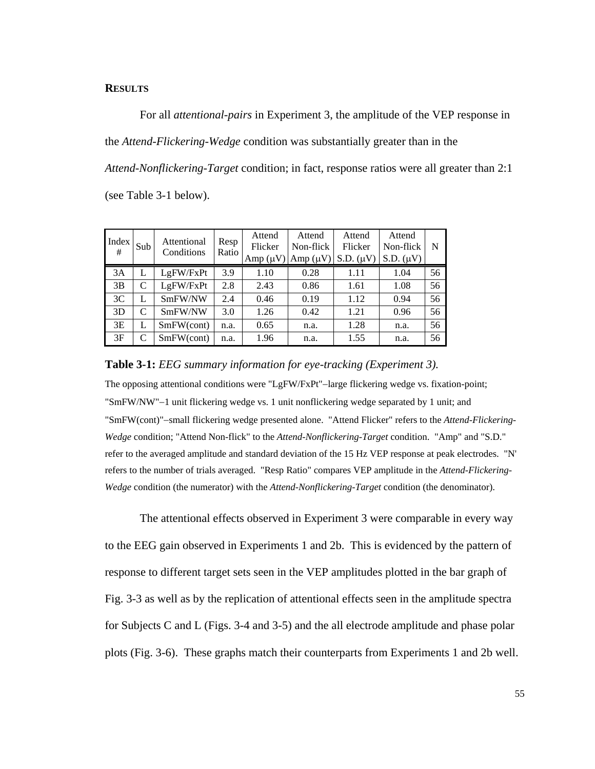# **RESULTS**

For all *attentional-pairs* in Experiment 3, the amplitude of the VEP response in the *Attend-Flickering-Wedge* condition was substantially greater than in the *Attend-Nonflickering-Target* condition; in fact, response ratios were all greater than 2:1 (see Table 3-1 below).

| Index<br># | Sub | Attentional<br>Conditions | Resp<br>Ratio | Attend<br>Flicker<br>$Amp (\mu V)$ | Attend<br>Non-flick<br>$Amp (\mu V)$ | Attend<br>Flicker<br>$S.D. (\mu V)$ | Attend<br>Non-flick<br>$S.D. (\mu V)$ | N  |
|------------|-----|---------------------------|---------------|------------------------------------|--------------------------------------|-------------------------------------|---------------------------------------|----|
| 3A         | L   | LgFW/FxPt                 | 3.9           | 1.10                               | 0.28                                 | 1.11                                | 1.04                                  | 56 |
| 3B         | C   | LgFW/FxPt                 | 2.8           | 2.43                               | 0.86                                 | 1.61                                | 1.08                                  | 56 |
| 3C         | L   | SmFW/NW                   | 2.4           | 0.46                               | 0.19                                 | 1.12                                | 0.94                                  | 56 |
| 3D         | C   | SmFW/NW                   | 3.0           | 1.26                               | 0.42                                 | 1.21                                | 0.96                                  | 56 |
| 3E         | L   | SmFW(cont)                | n.a.          | 0.65                               | n.a.                                 | 1.28                                | n.a.                                  | 56 |
| 3F         | C   | SmFW(cont)                | n.a.          | 1.96                               | n.a.                                 | 1.55                                | n.a.                                  | 56 |

### **Table 3-1:** *EEG summary information for eye-tracking (Experiment 3).*

The opposing attentional conditions were "LgFW/FxPt"−large flickering wedge vs. fixation-point; "SmFW/NW"−1 unit flickering wedge vs. 1 unit nonflickering wedge separated by 1 unit; and "SmFW(cont)"−small flickering wedge presented alone. "Attend Flicker" refers to the *Attend-Flickering-Wedge* condition; "Attend Non-flick" to the *Attend-Nonflickering-Target* condition. "Amp" and "S.D." refer to the averaged amplitude and standard deviation of the 15 Hz VEP response at peak electrodes. "N' refers to the number of trials averaged. "Resp Ratio" compares VEP amplitude in the *Attend-Flickering-Wedge* condition (the numerator) with the *Attend-Nonflickering-Target* condition (the denominator).

The attentional effects observed in Experiment 3 were comparable in every way to the EEG gain observed in Experiments 1 and 2b. This is evidenced by the pattern of response to different target sets seen in the VEP amplitudes plotted in the bar graph of Fig. 3-3 as well as by the replication of attentional effects seen in the amplitude spectra for Subjects C and L (Figs. 3-4 and 3-5) and the all electrode amplitude and phase polar plots (Fig. 3-6). These graphs match their counterparts from Experiments 1 and 2b well.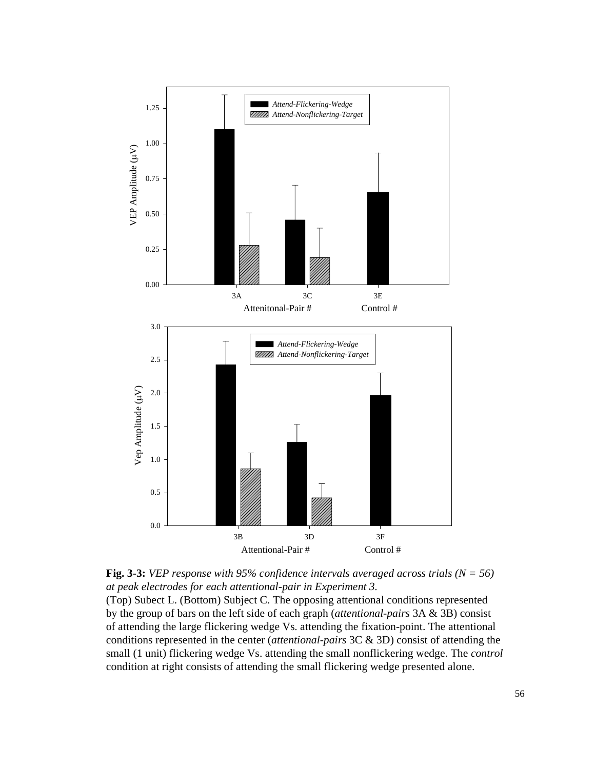

**Fig. 3-3:** *VEP response with 95% confidence intervals averaged across trials (N = 56) at peak electrodes for each attentional-pair in Experiment 3.*

(Top) Subect L. (Bottom) Subject C. The opposing attentional conditions represented by the group of bars on the left side of each graph (*attentional-pairs* 3A & 3B) consist of attending the large flickering wedge Vs. attending the fixation-point. The attentional conditions represented in the center (*attentional-pairs* 3C & 3D) consist of attending the small (1 unit) flickering wedge Vs. attending the small nonflickering wedge. The *control* condition at right consists of attending the small flickering wedge presented alone.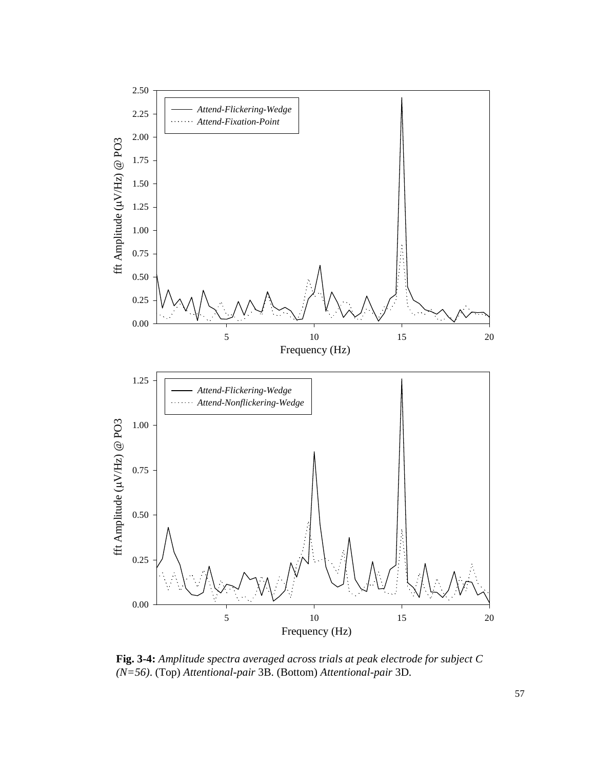

**Fig. 3-4:** *Amplitude spectra averaged across trials at peak electrode for subject C (N=56)*. (Top) *Attentional-pair* 3B. (Bottom) *Attentional-pair* 3D.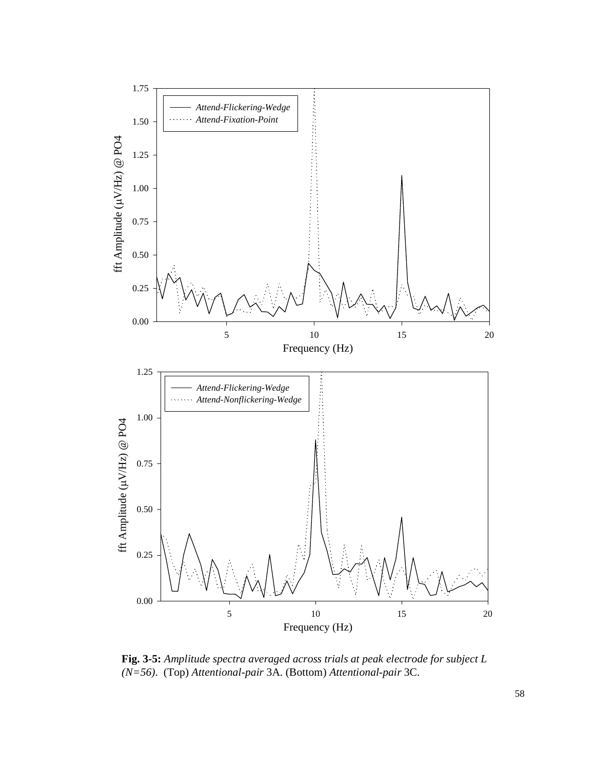

**Fig. 3-5:** *Amplitude spectra averaged across trials at peak electrode for subject L (N=56)*. (Top) *Attentional-pair* 3A. (Bottom) *Attentional-pair* 3C.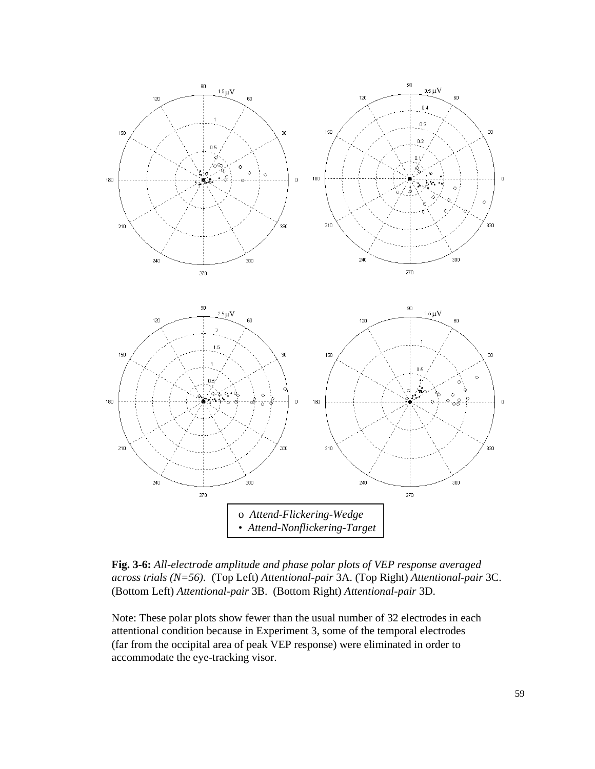

**Fig. 3-6:** *All-electrode amplitude and phase polar plots of VEP response averaged across trials (N=56).* (Top Left) *Attentional-pair* 3A. (Top Right) *Attentional-pair* 3C. (Bottom Left) *Attentional-pair* 3B. (Bottom Right) *Attentional-pair* 3D.

Note: These polar plots show fewer than the usual number of 32 electrodes in each attentional condition because in Experiment 3, some of the temporal electrodes (far from the occipital area of peak VEP response) were eliminated in order to accommodate the eye-tracking visor.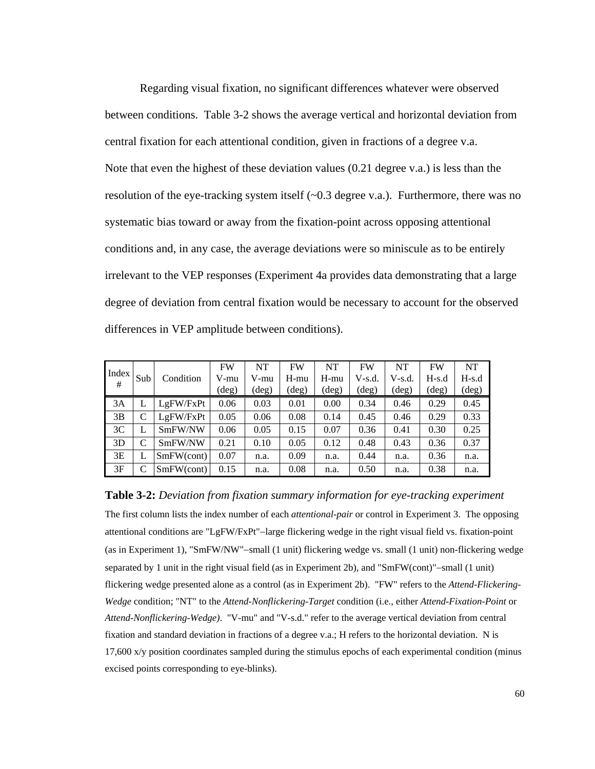Regarding visual fixation, no significant differences whatever were observed between conditions. Table 3-2 shows the average vertical and horizontal deviation from central fixation for each attentional condition, given in fractions of a degree v.a. Note that even the highest of these deviation values (0.21 degree v.a.) is less than the resolution of the eye-tracking system itself (~0.3 degree v.a.). Furthermore, there was no systematic bias toward or away from the fixation-point across opposing attentional conditions and, in any case, the average deviations were so miniscule as to be entirely irrelevant to the VEP responses (Experiment 4a provides data demonstrating that a large degree of deviation from central fixation would be necessary to account for the observed differences in VEP amplitude between conditions).

| Index |               |            | <b>FW</b> | <b>NT</b>      | FW    | <b>NT</b> | <b>FW</b> | NT       | <b>FW</b> | <b>NT</b>      |
|-------|---------------|------------|-----------|----------------|-------|-----------|-----------|----------|-----------|----------------|
| #     | Sub           | Condition  | V-mu      | V-mu           | H-mu  | $H$ -mu   | $V-s.d.$  | $V-s.d.$ | $H-s.d$   | $H-s.d$        |
|       |               |            | (deg)     | $(\text{deg})$ | (deg) | (deg)     | (deg)     | (deg)    | (deg)     | $(\text{deg})$ |
| 3A    |               | LgFW/FxPt  | 0.06      | 0.03           | 0.01  | 0.00      | 0.34      | 0.46     | 0.29      | 0.45           |
| 3B    | $\mathcal{C}$ | LgFW/FxPt  | 0.05      | 0.06           | 0.08  | 0.14      | 0.45      | 0.46     | 0.29      | 0.33           |
| 3C    |               | SmFW/NW    | 0.06      | 0.05           | 0.15  | 0.07      | 0.36      | 0.41     | 0.30      | 0.25           |
| 3D    | C             | SmFW/NW    | 0.21      | 0.10           | 0.05  | 0.12      | 0.48      | 0.43     | 0.36      | 0.37           |
| 3E    |               | SmFW(cont) | 0.07      | n.a.           | 0.09  | n.a.      | 0.44      | n.a.     | 0.36      | n.a.           |
| 3F    | C             | SmFW(cont) | 0.15      | n.a.           | 0.08  | n.a.      | 0.50      | n.a.     | 0.38      | n.a.           |

**Table 3-2:** *Deviation from fixation summary information for eye-tracking experiment* The first column lists the index number of each *attentional-pair* or control in Experiment 3. The opposing attentional conditions are "LgFW/FxPt"−large flickering wedge in the right visual field vs. fixation-point (as in Experiment 1), "SmFW/NW"−small (1 unit) flickering wedge vs. small (1 unit) non-flickering wedge separated by 1 unit in the right visual field (as in Experiment 2b), and "SmFW(cont)"–small (1 unit) flickering wedge presented alone as a control (as in Experiment 2b). "FW" refers to the *Attend-Flickering-Wedge* condition; "NT" to the *Attend-Nonflickering-Target* condition (i.e., either *Attend-Fixation-Point* or *Attend-Nonflickering-Wedge)*. "V-mu" and "V-s.d." refer to the average vertical deviation from central fixation and standard deviation in fractions of a degree v.a.; H refers to the horizontal deviation. N is 17,600 x/y position coordinates sampled during the stimulus epochs of each experimental condition (minus excised points corresponding to eye-blinks).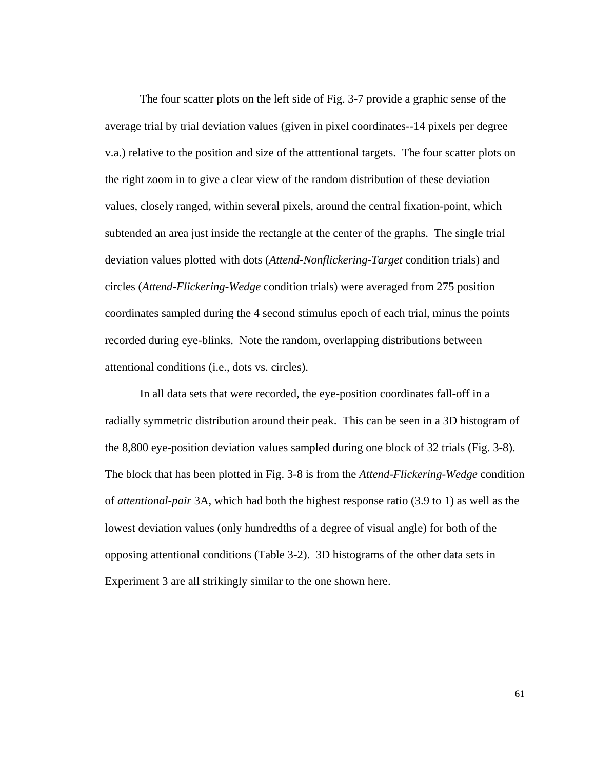The four scatter plots on the left side of Fig. 3-7 provide a graphic sense of the average trial by trial deviation values (given in pixel coordinates--14 pixels per degree v.a.) relative to the position and size of the atttentional targets. The four scatter plots on the right zoom in to give a clear view of the random distribution of these deviation values, closely ranged, within several pixels, around the central fixation-point, which subtended an area just inside the rectangle at the center of the graphs. The single trial deviation values plotted with dots (*Attend-Nonflickering-Target* condition trials) and circles (*Attend-Flickering-Wedge* condition trials) were averaged from 275 position coordinates sampled during the 4 second stimulus epoch of each trial, minus the points recorded during eye-blinks. Note the random, overlapping distributions between attentional conditions (i.e., dots vs. circles).

In all data sets that were recorded, the eye-position coordinates fall-off in a radially symmetric distribution around their peak. This can be seen in a 3D histogram of the 8,800 eye-position deviation values sampled during one block of 32 trials (Fig. 3-8). The block that has been plotted in Fig. 3-8 is from the *Attend-Flickering-Wedge* condition of *attentional-pair* 3A, which had both the highest response ratio (3.9 to 1) as well as the lowest deviation values (only hundredths of a degree of visual angle) for both of the opposing attentional conditions (Table 3-2). 3D histograms of the other data sets in Experiment 3 are all strikingly similar to the one shown here.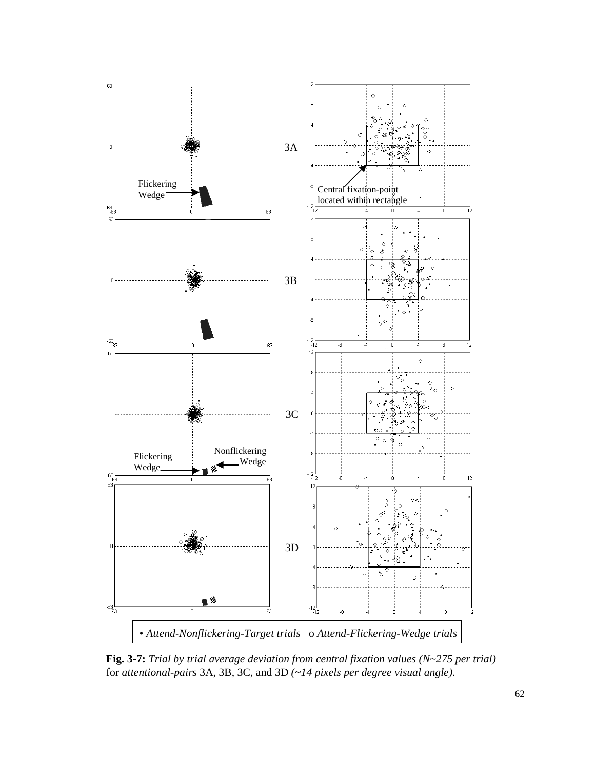

**Fig. 3-7:** *Trial by trial average deviation from central fixation values (N~275 per trial)* for *attentional-pairs* 3A, 3B, 3C, and 3D *(~14 pixels per degree visual angle).*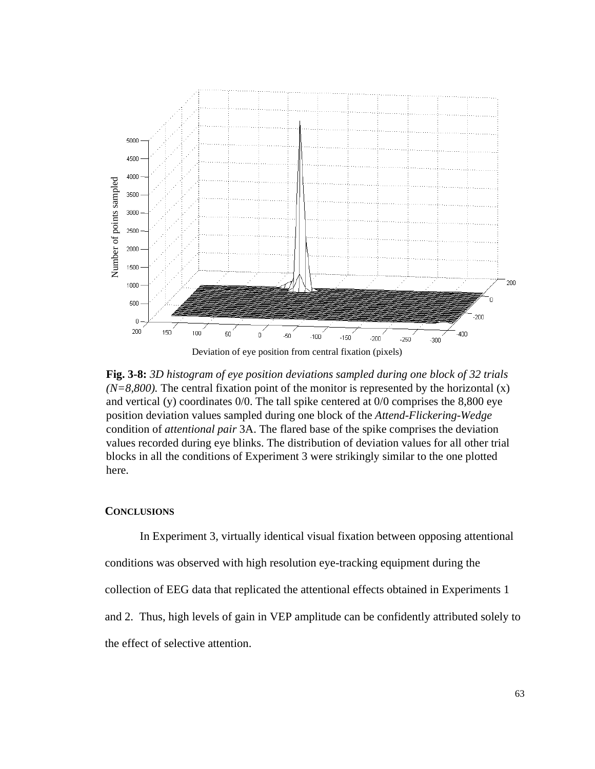

**Fig. 3-8:** *3D histogram of eye position deviations sampled during one block of 32 trials*  $(N=8,800)$ . The central fixation point of the monitor is represented by the horizontal  $(x)$ and vertical (y) coordinates 0/0. The tall spike centered at 0/0 comprises the 8,800 eye position deviation values sampled during one block of the *Attend-Flickering-Wedge* condition of *attentional pair* 3A. The flared base of the spike comprises the deviation values recorded during eye blinks. The distribution of deviation values for all other trial blocks in all the conditions of Experiment 3 were strikingly similar to the one plotted here.

### **CONCLUSIONS**

In Experiment 3, virtually identical visual fixation between opposing attentional conditions was observed with high resolution eye-tracking equipment during the collection of EEG data that replicated the attentional effects obtained in Experiments 1 and 2. Thus, high levels of gain in VEP amplitude can be confidently attributed solely to the effect of selective attention.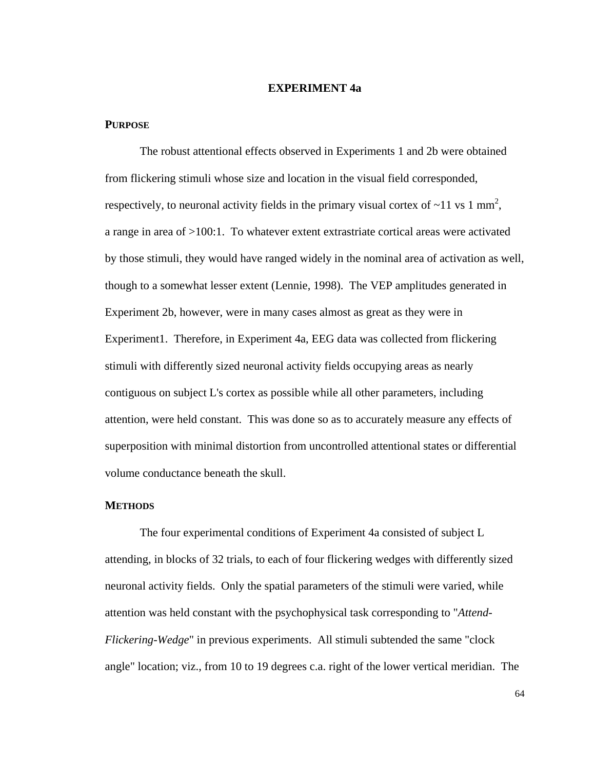## **EXPERIMENT 4a**

### **PURPOSE**

The robust attentional effects observed in Experiments 1 and 2b were obtained from flickering stimuli whose size and location in the visual field corresponded, respectively, to neuronal activity fields in the primary visual cortex of  $\sim$ 11 vs 1 mm<sup>2</sup>, a range in area of >100:1. To whatever extent extrastriate cortical areas were activated by those stimuli, they would have ranged widely in the nominal area of activation as well, though to a somewhat lesser extent (Lennie, 1998). The VEP amplitudes generated in Experiment 2b, however, were in many cases almost as great as they were in Experiment1. Therefore, in Experiment 4a, EEG data was collected from flickering stimuli with differently sized neuronal activity fields occupying areas as nearly contiguous on subject L's cortex as possible while all other parameters, including attention, were held constant. This was done so as to accurately measure any effects of superposition with minimal distortion from uncontrolled attentional states or differential volume conductance beneath the skull.

#### **METHODS**

The four experimental conditions of Experiment 4a consisted of subject L attending, in blocks of 32 trials, to each of four flickering wedges with differently sized neuronal activity fields. Only the spatial parameters of the stimuli were varied, while attention was held constant with the psychophysical task corresponding to "*Attend-Flickering-Wedge*" in previous experiments. All stimuli subtended the same "clock angle" location; viz., from 10 to 19 degrees c.a. right of the lower vertical meridian. The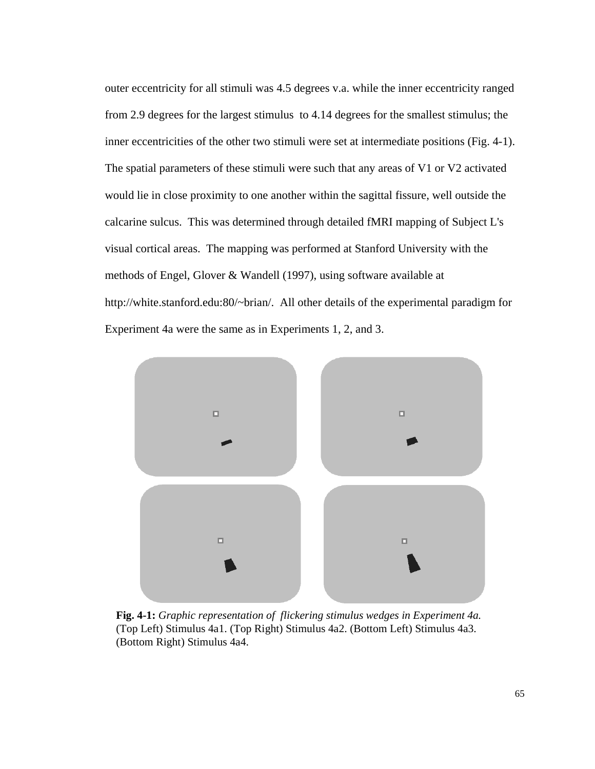outer eccentricity for all stimuli was 4.5 degrees v.a. while the inner eccentricity ranged from 2.9 degrees for the largest stimulus to 4.14 degrees for the smallest stimulus; the inner eccentricities of the other two stimuli were set at intermediate positions (Fig. 4-1). The spatial parameters of these stimuli were such that any areas of V1 or V2 activated would lie in close proximity to one another within the sagittal fissure, well outside the calcarine sulcus. This was determined through detailed fMRI mapping of Subject L's visual cortical areas. The mapping was performed at Stanford University with the methods of Engel, Glover & Wandell (1997), using software available at http://white.stanford.edu:80/~brian/. All other details of the experimental paradigm for Experiment 4a were the same as in Experiments 1, 2, and 3.



**Fig. 4-1:** *Graphic representation of flickering stimulus wedges in Experiment 4a.* (Top Left) Stimulus 4a1. (Top Right) Stimulus 4a2. (Bottom Left) Stimulus 4a3. (Bottom Right) Stimulus 4a4.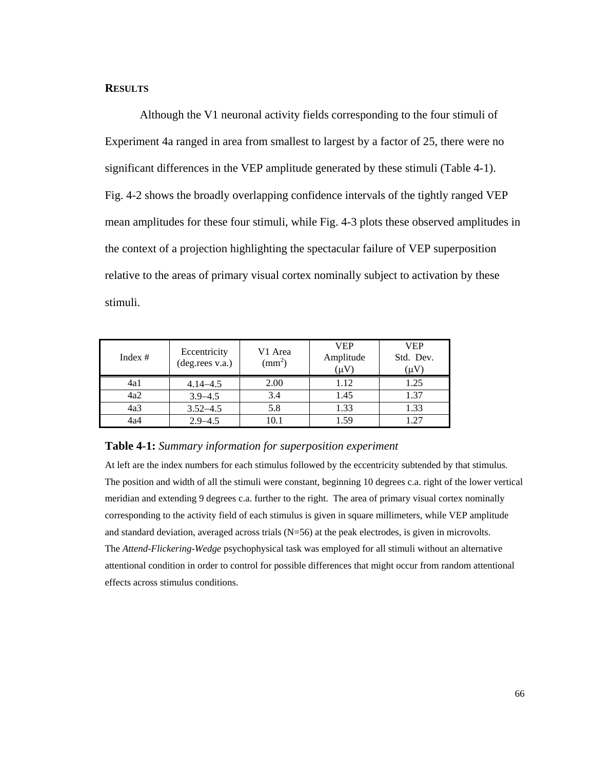# **RESULTS**

Although the V1 neuronal activity fields corresponding to the four stimuli of Experiment 4a ranged in area from smallest to largest by a factor of 25, there were no significant differences in the VEP amplitude generated by these stimuli (Table 4-1). Fig. 4-2 shows the broadly overlapping confidence intervals of the tightly ranged VEP mean amplitudes for these four stimuli, while Fig. 4-3 plots these observed amplitudes in the context of a projection highlighting the spectacular failure of VEP superposition relative to the areas of primary visual cortex nominally subject to activation by these stimuli.

| Index $#$ | Eccentricity<br>(deg.rees v.a.) | V1 Area<br>$\text{(mm)}^2$ | <b>VEP</b><br>Amplitude<br>(uV | <b>VEP</b><br>Std. Dev.<br>$(\mu v)$ |
|-----------|---------------------------------|----------------------------|--------------------------------|--------------------------------------|
| 4a1       | $4.14 - 4.5$                    | 2.00                       | 1.12                           | 1.25                                 |
| 4a2       | $3.9 - 4.5$                     | 3.4                        | 1.45                           | 1.37                                 |
| 4a3       | $3.52 - 4.5$                    | 5.8                        | 1.33                           | 1.33                                 |
| 4a4       | $2.9 - 4.5$                     | 10.1                       | 1.59                           | 1.27                                 |

### **Table 4-1:** *Summary information for superposition experiment*

At left are the index numbers for each stimulus followed by the eccentricity subtended by that stimulus. The position and width of all the stimuli were constant, beginning 10 degrees c.a. right of the lower vertical meridian and extending 9 degrees c.a. further to the right. The area of primary visual cortex nominally corresponding to the activity field of each stimulus is given in square millimeters, while VEP amplitude and standard deviation, averaged across trials (N=56) at the peak electrodes, is given in microvolts. The *Attend-Flickering-Wedge* psychophysical task was employed for all stimuli without an alternative attentional condition in order to control for possible differences that might occur from random attentional effects across stimulus conditions.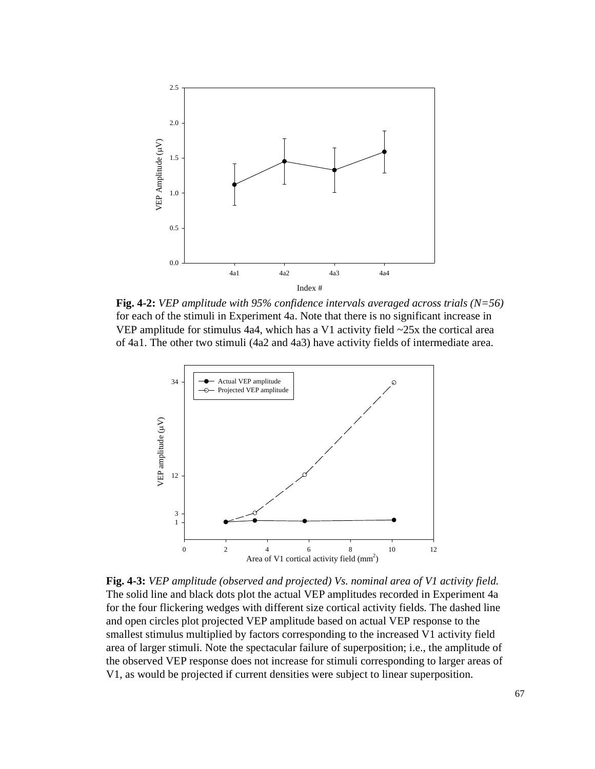

**Fig. 4-2:** *VEP amplitude with 95% confidence intervals averaged across trials (N=56)* for each of the stimuli in Experiment 4a. Note that there is no significant increase in VEP amplitude for stimulus 4a4, which has a V1 activity field  $\sim$ 25x the cortical area of 4a1. The other two stimuli (4a2 and 4a3) have activity fields of intermediate area.



**Fig. 4-3:** *VEP amplitude (observed and projected) Vs. nominal area of V1 activity field.* The solid line and black dots plot the actual VEP amplitudes recorded in Experiment 4a for the four flickering wedges with different size cortical activity fields. The dashed line and open circles plot projected VEP amplitude based on actual VEP response to the smallest stimulus multiplied by factors corresponding to the increased V1 activity field area of larger stimuli. Note the spectacular failure of superposition; i.e., the amplitude of the observed VEP response does not increase for stimuli corresponding to larger areas of V1, as would be projected if current densities were subject to linear superposition.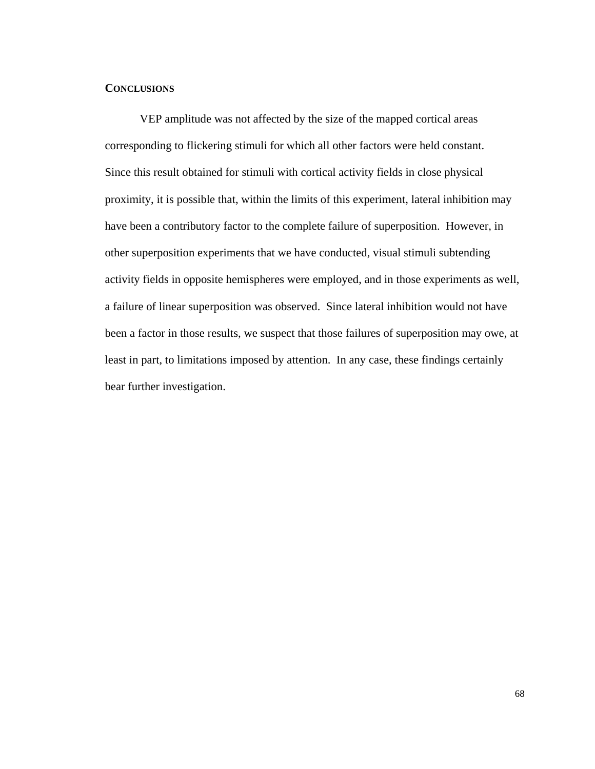## **CONCLUSIONS**

VEP amplitude was not affected by the size of the mapped cortical areas corresponding to flickering stimuli for which all other factors were held constant. Since this result obtained for stimuli with cortical activity fields in close physical proximity, it is possible that, within the limits of this experiment, lateral inhibition may have been a contributory factor to the complete failure of superposition. However, in other superposition experiments that we have conducted, visual stimuli subtending activity fields in opposite hemispheres were employed, and in those experiments as well, a failure of linear superposition was observed. Since lateral inhibition would not have been a factor in those results, we suspect that those failures of superposition may owe, at least in part, to limitations imposed by attention. In any case, these findings certainly bear further investigation.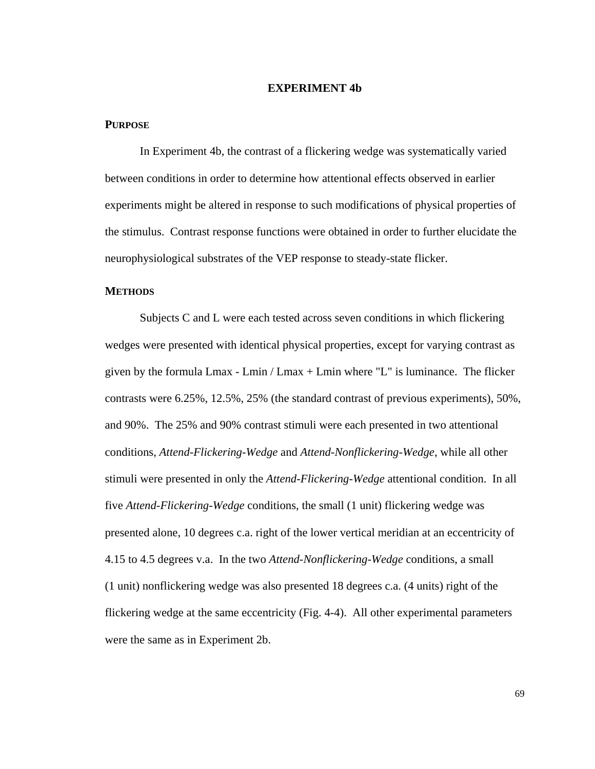## **EXPERIMENT 4b**

## **PURPOSE**

In Experiment 4b, the contrast of a flickering wedge was systematically varied between conditions in order to determine how attentional effects observed in earlier experiments might be altered in response to such modifications of physical properties of the stimulus. Contrast response functions were obtained in order to further elucidate the neurophysiological substrates of the VEP response to steady-state flicker.

### **METHODS**

Subjects C and L were each tested across seven conditions in which flickering wedges were presented with identical physical properties, except for varying contrast as given by the formula Lmax - Lmin / Lmax + Lmin where "L" is luminance. The flicker contrasts were 6.25%, 12.5%, 25% (the standard contrast of previous experiments), 50%, and 90%. The 25% and 90% contrast stimuli were each presented in two attentional conditions, *Attend-Flickering-Wedge* and *Attend-Nonflickering-Wedge*, while all other stimuli were presented in only the *Attend-Flickering-Wedge* attentional condition. In all five *Attend-Flickering-Wedge* conditions, the small (1 unit) flickering wedge was presented alone, 10 degrees c.a. right of the lower vertical meridian at an eccentricity of 4.15 to 4.5 degrees v.a. In the two *Attend-Nonflickering-Wedge* conditions, a small (1 unit) nonflickering wedge was also presented 18 degrees c.a. (4 units) right of the flickering wedge at the same eccentricity (Fig. 4-4). All other experimental parameters were the same as in Experiment 2b.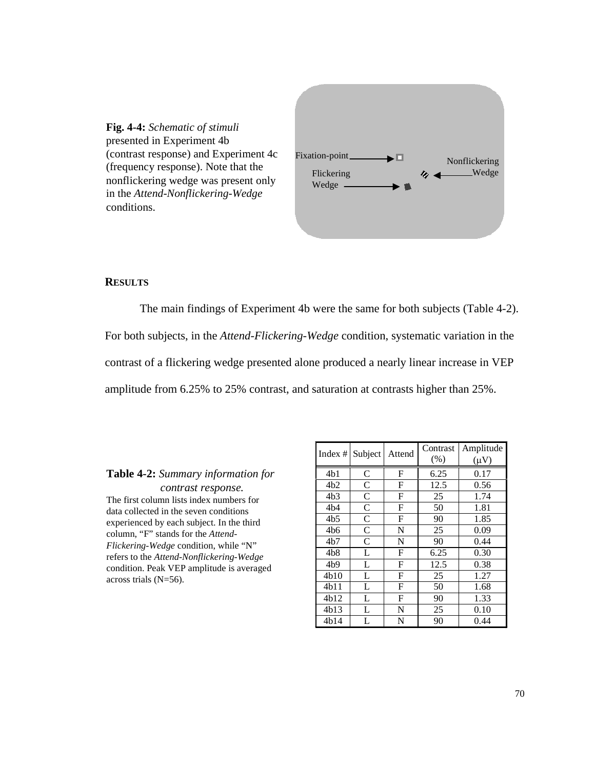

## **RESULTS**

The main findings of Experiment 4b were the same for both subjects (Table 4-2). For both subjects, in the *Attend-Flickering-Wedge* condition, systematic variation in the contrast of a flickering wedge presented alone produced a nearly linear increase in VEP amplitude from 6.25% to 25% contrast, and saturation at contrasts higher than 25%.

### **Table 4-2:** *Summary information for*

 *contrast response.* The first column lists index numbers for data collected in the seven conditions experienced by each subject. In the third column, "F" stands for the *Attend-Flickering-Wedge* condition, while "N" refers to the *Attend-Nonflickering-Wedge* condition. Peak VEP amplitude is averaged across trials (N=56).

| Index $#$ | Subject      | Attend | Contrast<br>(% ) | Amplitude<br>$(\mu V)$ |
|-----------|--------------|--------|------------------|------------------------|
| 4b1       | C            | F      | 6.25             | 0.17                   |
| 4b2       | C            | F      | 12.5             | 0.56                   |
| 4b3       | C            | F      | 25               | 1.74                   |
| 4b4       | $\mathsf{C}$ | F      | 50               | 1.81                   |
| 4b5       | $\mathsf{C}$ | F      | 90               | 1.85                   |
| 4b6       | $\mathsf{C}$ | N      | 25               | 0.09                   |
| 4b7       | $\mathsf{C}$ | N      | 90               | 0.44                   |
| 4b8       | L            | F      | 6.25             | 0.30                   |
| 4b9       | L            | F      | 12.5             | 0.38                   |
| 4b10      | L            | F      | 25               | 1.27                   |
| 4b11      | L            | F      | 50               | 1.68                   |
| 4h12      | L            | F      | 90               | 1.33                   |
| 4b13      | L            | N      | 25               | 0.10                   |
| 4b14      | L            | N      | 90               | 0.44                   |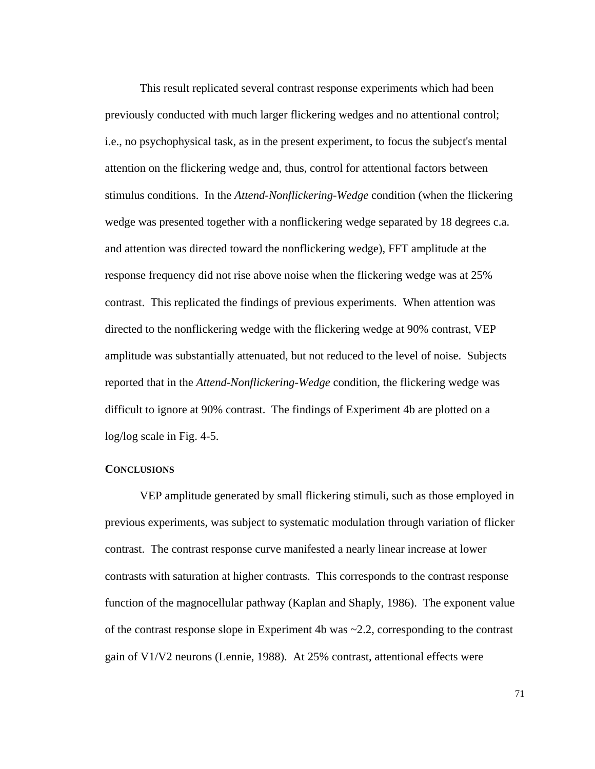This result replicated several contrast response experiments which had been previously conducted with much larger flickering wedges and no attentional control; i.e., no psychophysical task, as in the present experiment, to focus the subject's mental attention on the flickering wedge and, thus, control for attentional factors between stimulus conditions. In the *Attend-Nonflickering-Wedge* condition (when the flickering wedge was presented together with a nonflickering wedge separated by 18 degrees c.a. and attention was directed toward the nonflickering wedge), FFT amplitude at the response frequency did not rise above noise when the flickering wedge was at 25% contrast. This replicated the findings of previous experiments. When attention was directed to the nonflickering wedge with the flickering wedge at 90% contrast, VEP amplitude was substantially attenuated, but not reduced to the level of noise. Subjects reported that in the *Attend-Nonflickering-Wedge* condition, the flickering wedge was difficult to ignore at 90% contrast. The findings of Experiment 4b are plotted on a log/log scale in Fig. 4-5.

### **CONCLUSIONS**

VEP amplitude generated by small flickering stimuli, such as those employed in previous experiments, was subject to systematic modulation through variation of flicker contrast. The contrast response curve manifested a nearly linear increase at lower contrasts with saturation at higher contrasts. This corresponds to the contrast response function of the magnocellular pathway (Kaplan and Shaply, 1986). The exponent value of the contrast response slope in Experiment 4b was ~2.2, corresponding to the contrast gain of V1/V2 neurons (Lennie, 1988). At 25% contrast, attentional effects were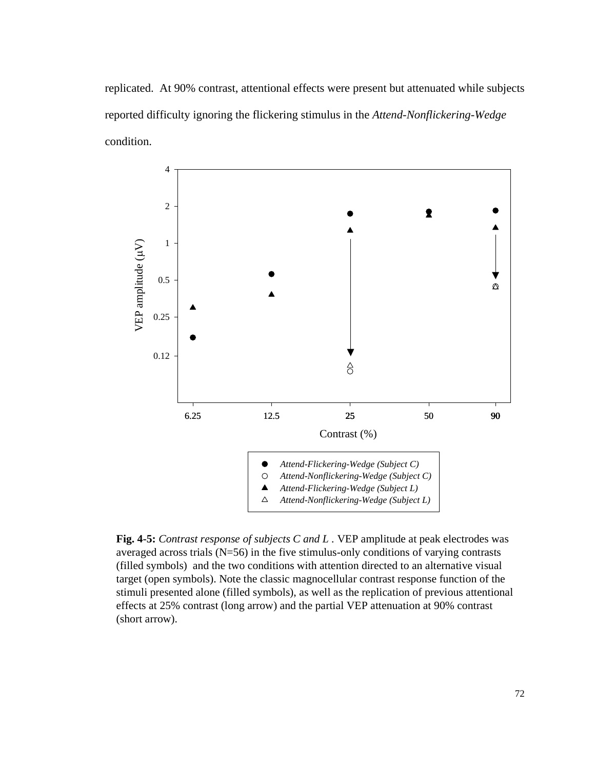replicated. At 90% contrast, attentional effects were present but attenuated while subjects reported difficulty ignoring the flickering stimulus in the *Attend-Nonflickering-Wedge* condition.



**Fig. 4-5:** *Contrast response of subjects C and L .* VEP amplitude at peak electrodes was averaged across trials (N=56) in the five stimulus-only conditions of varying contrasts (filled symbols) and the two conditions with attention directed to an alternative visual target (open symbols). Note the classic magnocellular contrast response function of the stimuli presented alone (filled symbols), as well as the replication of previous attentional effects at 25% contrast (long arrow) and the partial VEP attenuation at 90% contrast (short arrow).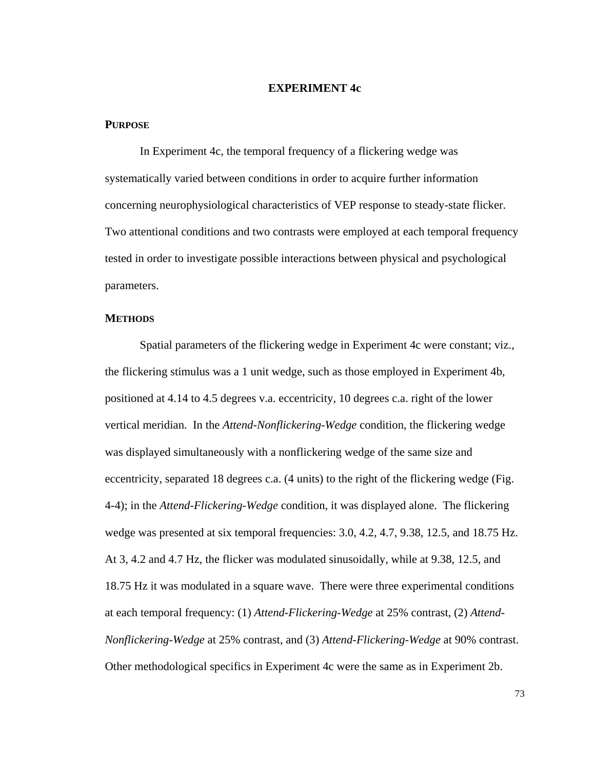## **EXPERIMENT 4c**

## **PURPOSE**

In Experiment 4c, the temporal frequency of a flickering wedge was systematically varied between conditions in order to acquire further information concerning neurophysiological characteristics of VEP response to steady-state flicker. Two attentional conditions and two contrasts were employed at each temporal frequency tested in order to investigate possible interactions between physical and psychological parameters.

#### **METHODS**

Spatial parameters of the flickering wedge in Experiment 4c were constant; viz., the flickering stimulus was a 1 unit wedge, such as those employed in Experiment 4b, positioned at 4.14 to 4.5 degrees v.a. eccentricity, 10 degrees c.a. right of the lower vertical meridian. In the *Attend-Nonflickering-Wedge* condition, the flickering wedge was displayed simultaneously with a nonflickering wedge of the same size and eccentricity, separated 18 degrees c.a. (4 units) to the right of the flickering wedge (Fig. 4-4); in the *Attend-Flickering-Wedge* condition, it was displayed alone. The flickering wedge was presented at six temporal frequencies: 3.0, 4.2, 4.7, 9.38, 12.5, and 18.75 Hz. At 3, 4.2 and 4.7 Hz, the flicker was modulated sinusoidally, while at 9.38, 12.5, and 18.75 Hz it was modulated in a square wave. There were three experimental conditions at each temporal frequency: (1) *Attend-Flickering-Wedge* at 25% contrast, (2) *Attend-Nonflickering-Wedge* at 25% contrast, and (3) *Attend-Flickering-Wedge* at 90% contrast. Other methodological specifics in Experiment 4c were the same as in Experiment 2b.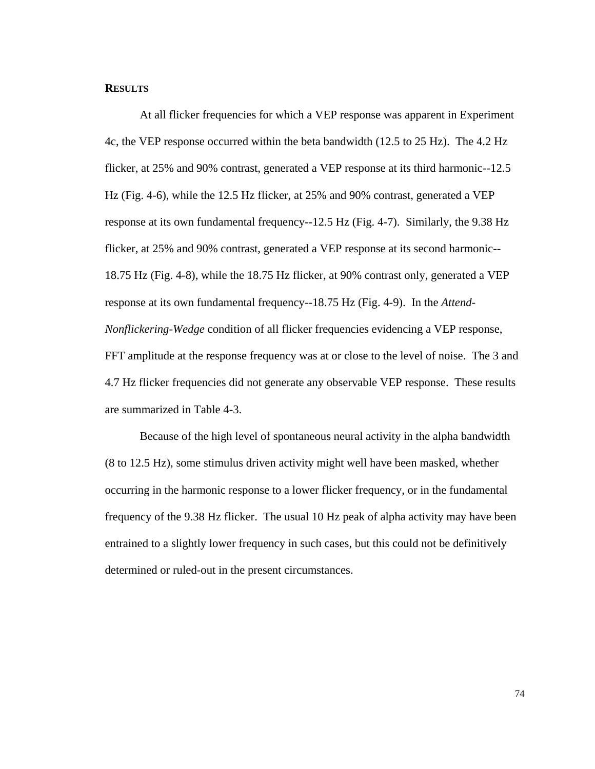## **RESULTS**

At all flicker frequencies for which a VEP response was apparent in Experiment 4c, the VEP response occurred within the beta bandwidth (12.5 to 25 Hz). The 4.2 Hz flicker, at 25% and 90% contrast, generated a VEP response at its third harmonic--12.5 Hz (Fig. 4-6), while the 12.5 Hz flicker, at 25% and 90% contrast, generated a VEP response at its own fundamental frequency--12.5 Hz (Fig. 4-7). Similarly, the 9.38 Hz flicker, at 25% and 90% contrast, generated a VEP response at its second harmonic-- 18.75 Hz (Fig. 4-8), while the 18.75 Hz flicker, at 90% contrast only, generated a VEP response at its own fundamental frequency--18.75 Hz (Fig. 4-9). In the *Attend-Nonflickering-Wedge* condition of all flicker frequencies evidencing a VEP response, FFT amplitude at the response frequency was at or close to the level of noise. The 3 and 4.7 Hz flicker frequencies did not generate any observable VEP response. These results are summarized in Table 4-3.

Because of the high level of spontaneous neural activity in the alpha bandwidth (8 to 12.5 Hz), some stimulus driven activity might well have been masked, whether occurring in the harmonic response to a lower flicker frequency, or in the fundamental frequency of the 9.38 Hz flicker. The usual 10 Hz peak of alpha activity may have been entrained to a slightly lower frequency in such cases, but this could not be definitively determined or ruled-out in the present circumstances.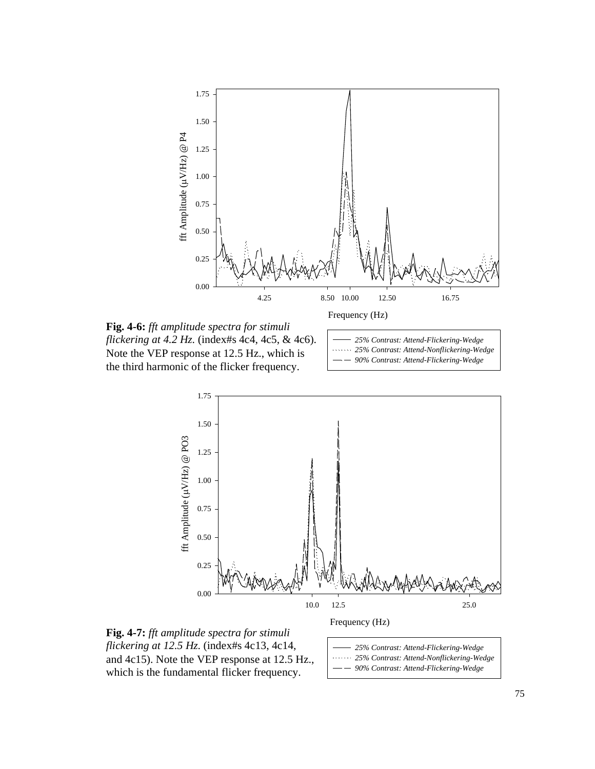

**Fig. 4-6:** *fft amplitude spectra for stimuli flickering at 4.2 Hz.* (index#s 4c4, 4c5, & 4c6). Note the VEP response at 12.5 Hz., which is the third harmonic of the flicker frequency.







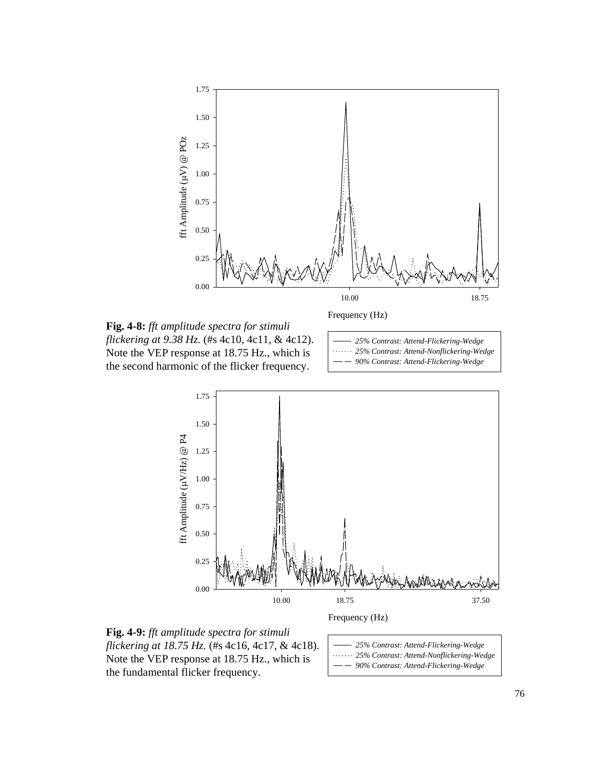

**Fig. 4-8:** *fft amplitude spectra for stimuli flickering at 9.38 Hz.* (#s 4c10, 4c11, & 4c12). Note the VEP response at 18.75 Hz., which is the second harmonic of the flicker frequency.







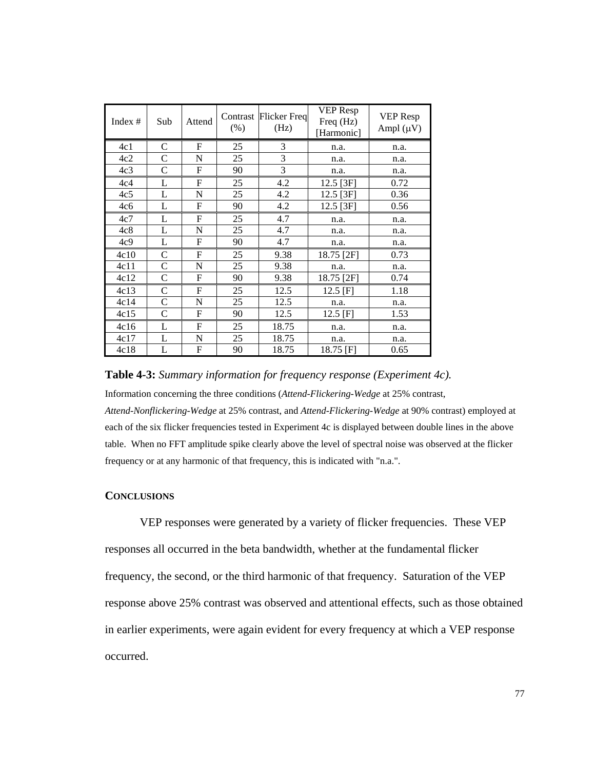| Index $#$       | Sub           | Attend | $(\% )$ | Contrast Flicker Freq<br>(Hz) | VEP Resp<br>Freq (Hz)<br>[Harmonic] | <b>VEP</b> Resp<br>Ampl $(\mu V)$ |
|-----------------|---------------|--------|---------|-------------------------------|-------------------------------------|-----------------------------------|
| 4c1             | $\mathcal{C}$ | F      | 25      | 3                             | n.a.                                | n.a.                              |
| 4c2             | C             | N      | 25      | 3                             | n.a.                                | n.a.                              |
| 4c <sub>3</sub> | $\mathcal{C}$ | F      | 90      | 3                             | n.a.                                | n.a.                              |
| 4c4             | L             | F      | 25      | 4.2                           | 12.5 [3F]                           | 0.72                              |
| 4c <sub>5</sub> | L             | N      | 25      | 4.2                           | 12.5 [3F]                           | 0.36                              |
| 4c6             | L             | F      | 90      | 4.2                           | $12.5$ [3F]                         | 0.56                              |
| 4c7             | L             | F      | 25      | 4.7                           | n.a.                                | n.a.                              |
| 4c8             | L             | N      | 25      | 4.7                           | n.a.                                | n.a.                              |
| 4c9             | L             | F      | 90      | 4.7                           | n.a.                                | n.a.                              |
| 4c10            | $\mathcal{C}$ | F      | 25      | 9.38                          | 18.75 [2F]                          | 0.73                              |
| 4c11            | $\mathsf{C}$  | N      | 25      | 9.38                          | n.a.                                | n.a.                              |
| 4c12            | $\mathsf{C}$  | F      | 90      | 9.38                          | 18.75 [2F]                          | 0.74                              |
| 4c13            | $\mathsf{C}$  | F      | 25      | 12.5                          | $12.5$ [F]                          | 1.18                              |
| 4c14            | C             | N      | 25      | 12.5                          | n.a.                                | n.a.                              |
| 4c15            | $\mathsf{C}$  | F      | 90      | 12.5                          | $12.5$ [F]                          | 1.53                              |
| 4c16            | L             | F      | 25      | 18.75                         | n.a.                                | n.a.                              |
| 4c17            | L             | N      | 25      | 18.75                         | n.a.                                | n.a.                              |
| 4c18            | L             | F      | 90      | 18.75                         | 18.75 [F]                           | 0.65                              |

### **Table 4-3:** *Summary information for frequency response (Experiment 4c).*

Information concerning the three conditions (*Attend-Flickering-Wedge* at 25% contrast,

*Attend-Nonflickering-Wedge* at 25% contrast, and *Attend-Flickering-Wedge* at 90% contrast) employed at each of the six flicker frequencies tested in Experiment 4c is displayed between double lines in the above table. When no FFT amplitude spike clearly above the level of spectral noise was observed at the flicker frequency or at any harmonic of that frequency, this is indicated with "n.a.".

# **CONCLUSIONS**

VEP responses were generated by a variety of flicker frequencies. These VEP responses all occurred in the beta bandwidth, whether at the fundamental flicker frequency, the second, or the third harmonic of that frequency. Saturation of the VEP response above 25% contrast was observed and attentional effects, such as those obtained in earlier experiments, were again evident for every frequency at which a VEP response occurred.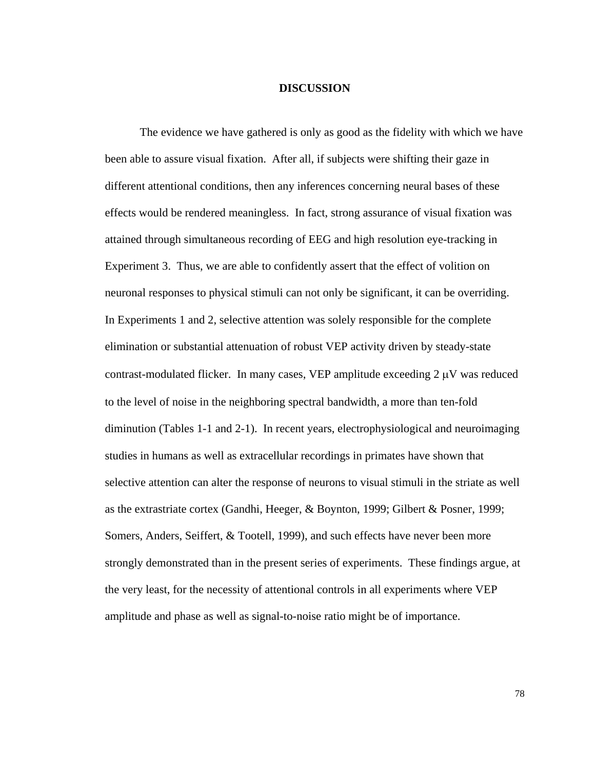## **DISCUSSION**

The evidence we have gathered is only as good as the fidelity with which we have been able to assure visual fixation. After all, if subjects were shifting their gaze in different attentional conditions, then any inferences concerning neural bases of these effects would be rendered meaningless. In fact, strong assurance of visual fixation was attained through simultaneous recording of EEG and high resolution eye-tracking in Experiment 3. Thus, we are able to confidently assert that the effect of volition on neuronal responses to physical stimuli can not only be significant, it can be overriding. In Experiments 1 and 2, selective attention was solely responsible for the complete elimination or substantial attenuation of robust VEP activity driven by steady-state contrast-modulated flicker. In many cases, VEP amplitude exceeding  $2 \mu V$  was reduced to the level of noise in the neighboring spectral bandwidth, a more than ten-fold diminution (Tables 1-1 and 2-1). In recent years, electrophysiological and neuroimaging studies in humans as well as extracellular recordings in primates have shown that selective attention can alter the response of neurons to visual stimuli in the striate as well as the extrastriate cortex (Gandhi, Heeger, & Boynton, 1999; Gilbert & Posner, 1999; Somers, Anders, Seiffert, & Tootell, 1999), and such effects have never been more strongly demonstrated than in the present series of experiments. These findings argue, at the very least, for the necessity of attentional controls in all experiments where VEP amplitude and phase as well as signal-to-noise ratio might be of importance.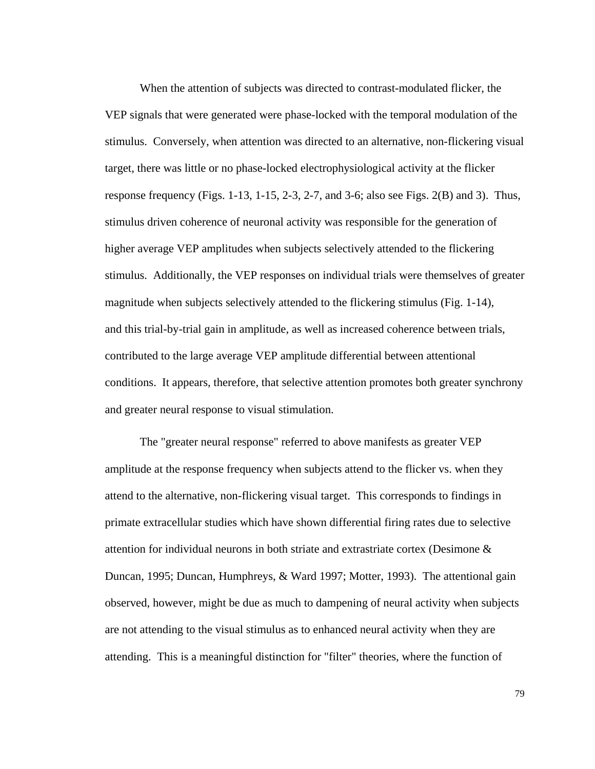When the attention of subjects was directed to contrast-modulated flicker, the VEP signals that were generated were phase-locked with the temporal modulation of the stimulus. Conversely, when attention was directed to an alternative, non-flickering visual target, there was little or no phase-locked electrophysiological activity at the flicker response frequency (Figs.  $1-13$ ,  $1-15$ ,  $2-3$ ,  $2-7$ , and  $3-6$ ; also see Figs.  $2(B)$  and 3). Thus, stimulus driven coherence of neuronal activity was responsible for the generation of higher average VEP amplitudes when subjects selectively attended to the flickering stimulus. Additionally, the VEP responses on individual trials were themselves of greater magnitude when subjects selectively attended to the flickering stimulus (Fig. 1-14), and this trial-by-trial gain in amplitude, as well as increased coherence between trials, contributed to the large average VEP amplitude differential between attentional conditions. It appears, therefore, that selective attention promotes both greater synchrony and greater neural response to visual stimulation.

The "greater neural response" referred to above manifests as greater VEP amplitude at the response frequency when subjects attend to the flicker vs. when they attend to the alternative, non-flickering visual target. This corresponds to findings in primate extracellular studies which have shown differential firing rates due to selective attention for individual neurons in both striate and extrastriate cortex (Desimone & Duncan, 1995; Duncan, Humphreys, & Ward 1997; Motter, 1993). The attentional gain observed, however, might be due as much to dampening of neural activity when subjects are not attending to the visual stimulus as to enhanced neural activity when they are attending. This is a meaningful distinction for "filter" theories, where the function of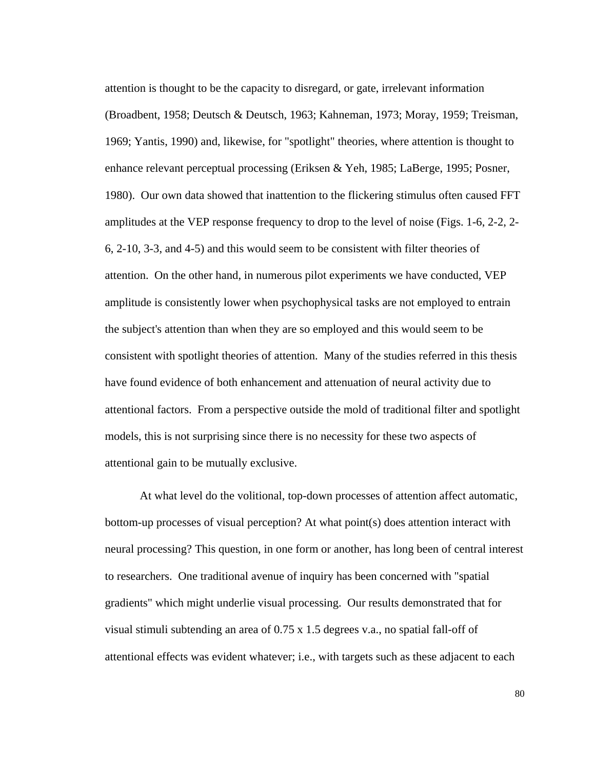attention is thought to be the capacity to disregard, or gate, irrelevant information (Broadbent, 1958; Deutsch & Deutsch, 1963; Kahneman, 1973; Moray, 1959; Treisman, 1969; Yantis, 1990) and, likewise, for "spotlight" theories, where attention is thought to enhance relevant perceptual processing (Eriksen & Yeh, 1985; LaBerge, 1995; Posner, 1980). Our own data showed that inattention to the flickering stimulus often caused FFT amplitudes at the VEP response frequency to drop to the level of noise (Figs. 1-6, 2-2, 2- 6, 2-10, 3-3, and 4-5) and this would seem to be consistent with filter theories of attention. On the other hand, in numerous pilot experiments we have conducted, VEP amplitude is consistently lower when psychophysical tasks are not employed to entrain the subject's attention than when they are so employed and this would seem to be consistent with spotlight theories of attention. Many of the studies referred in this thesis have found evidence of both enhancement and attenuation of neural activity due to attentional factors. From a perspective outside the mold of traditional filter and spotlight models, this is not surprising since there is no necessity for these two aspects of attentional gain to be mutually exclusive.

At what level do the volitional, top-down processes of attention affect automatic, bottom-up processes of visual perception? At what point(s) does attention interact with neural processing? This question, in one form or another, has long been of central interest to researchers. One traditional avenue of inquiry has been concerned with "spatial gradients" which might underlie visual processing. Our results demonstrated that for visual stimuli subtending an area of 0.75 x 1.5 degrees v.a., no spatial fall-off of attentional effects was evident whatever; i.e., with targets such as these adjacent to each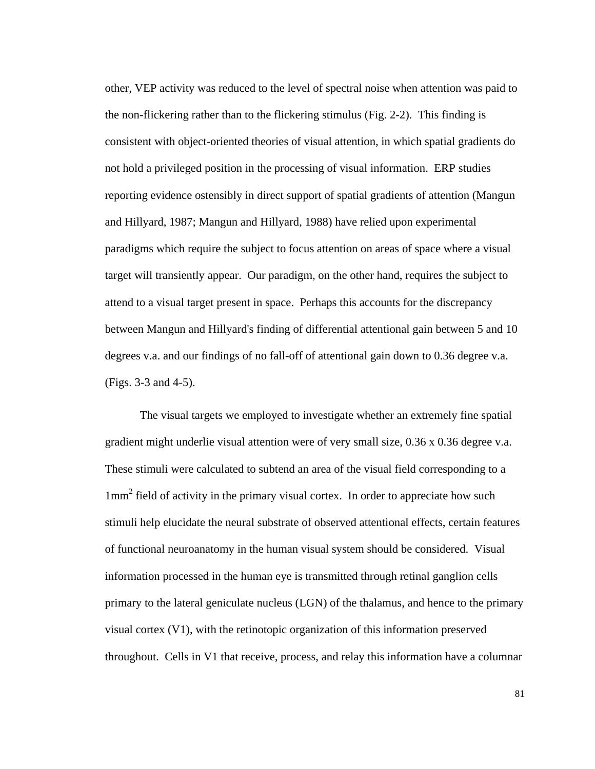other, VEP activity was reduced to the level of spectral noise when attention was paid to the non-flickering rather than to the flickering stimulus (Fig. 2-2). This finding is consistent with object-oriented theories of visual attention, in which spatial gradients do not hold a privileged position in the processing of visual information. ERP studies reporting evidence ostensibly in direct support of spatial gradients of attention (Mangun and Hillyard, 1987; Mangun and Hillyard, 1988) have relied upon experimental paradigms which require the subject to focus attention on areas of space where a visual target will transiently appear. Our paradigm, on the other hand, requires the subject to attend to a visual target present in space. Perhaps this accounts for the discrepancy between Mangun and Hillyard's finding of differential attentional gain between 5 and 10 degrees v.a. and our findings of no fall-off of attentional gain down to 0.36 degree v.a. (Figs. 3-3 and 4-5).

The visual targets we employed to investigate whether an extremely fine spatial gradient might underlie visual attention were of very small size, 0.36 x 0.36 degree v.a. These stimuli were calculated to subtend an area of the visual field corresponding to a 1mm<sup>2</sup> field of activity in the primary visual cortex. In order to appreciate how such stimuli help elucidate the neural substrate of observed attentional effects, certain features of functional neuroanatomy in the human visual system should be considered. Visual information processed in the human eye is transmitted through retinal ganglion cells primary to the lateral geniculate nucleus (LGN) of the thalamus, and hence to the primary visual cortex (V1), with the retinotopic organization of this information preserved throughout. Cells in V1 that receive, process, and relay this information have a columnar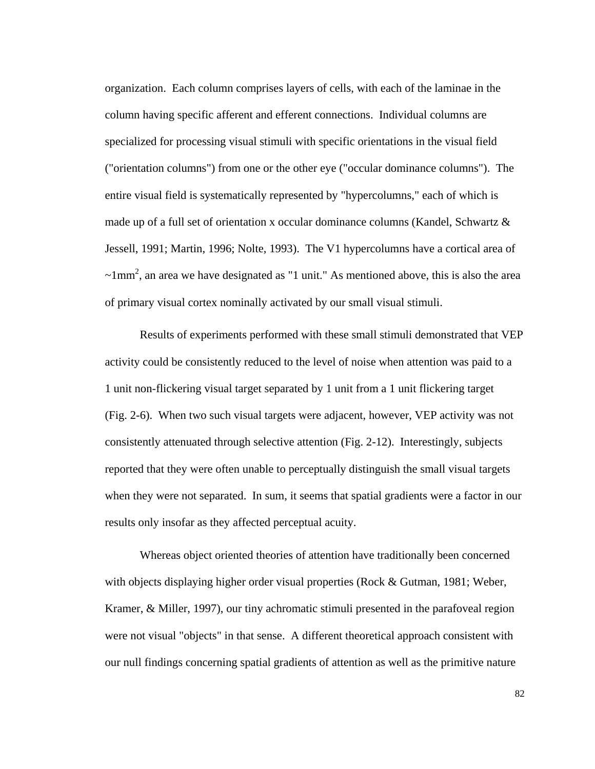organization. Each column comprises layers of cells, with each of the laminae in the column having specific afferent and efferent connections. Individual columns are specialized for processing visual stimuli with specific orientations in the visual field ("orientation columns") from one or the other eye ("occular dominance columns"). The entire visual field is systematically represented by "hypercolumns," each of which is made up of a full set of orientation x occular dominance columns (Kandel, Schwartz & Jessell, 1991; Martin, 1996; Nolte, 1993). The V1 hypercolumns have a cortical area of  $\sim$ 1mm<sup>2</sup>, an area we have designated as "1 unit." As mentioned above, this is also the area of primary visual cortex nominally activated by our small visual stimuli.

Results of experiments performed with these small stimuli demonstrated that VEP activity could be consistently reduced to the level of noise when attention was paid to a 1 unit non-flickering visual target separated by 1 unit from a 1 unit flickering target (Fig. 2-6). When two such visual targets were adjacent, however, VEP activity was not consistently attenuated through selective attention (Fig. 2-12). Interestingly, subjects reported that they were often unable to perceptually distinguish the small visual targets when they were not separated. In sum, it seems that spatial gradients were a factor in our results only insofar as they affected perceptual acuity.

Whereas object oriented theories of attention have traditionally been concerned with objects displaying higher order visual properties (Rock & Gutman, 1981; Weber, Kramer, & Miller, 1997), our tiny achromatic stimuli presented in the parafoveal region were not visual "objects" in that sense. A different theoretical approach consistent with our null findings concerning spatial gradients of attention as well as the primitive nature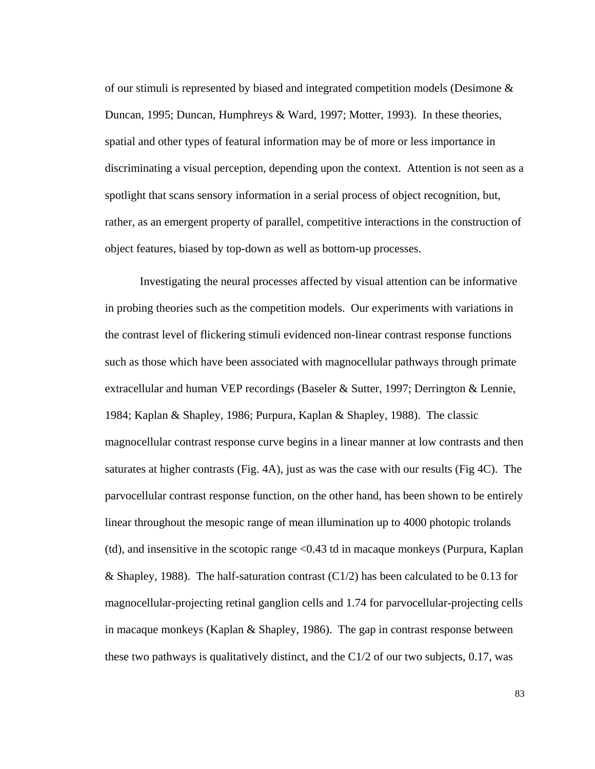of our stimuli is represented by biased and integrated competition models (Desimone & Duncan, 1995; Duncan, Humphreys & Ward, 1997; Motter, 1993). In these theories, spatial and other types of featural information may be of more or less importance in discriminating a visual perception, depending upon the context. Attention is not seen as a spotlight that scans sensory information in a serial process of object recognition, but, rather, as an emergent property of parallel, competitive interactions in the construction of object features, biased by top-down as well as bottom-up processes.

Investigating the neural processes affected by visual attention can be informative in probing theories such as the competition models. Our experiments with variations in the contrast level of flickering stimuli evidenced non-linear contrast response functions such as those which have been associated with magnocellular pathways through primate extracellular and human VEP recordings (Baseler & Sutter, 1997; Derrington & Lennie, 1984; Kaplan & Shapley, 1986; Purpura, Kaplan & Shapley, 1988). The classic magnocellular contrast response curve begins in a linear manner at low contrasts and then saturates at higher contrasts (Fig. 4A), just as was the case with our results (Fig 4C). The parvocellular contrast response function, on the other hand, has been shown to be entirely linear throughout the mesopic range of mean illumination up to 4000 photopic trolands (td), and insensitive in the scotopic range <0.43 td in macaque monkeys (Purpura, Kaplan & Shapley, 1988). The half-saturation contrast  $(C1/2)$  has been calculated to be 0.13 for magnocellular-projecting retinal ganglion cells and 1.74 for parvocellular-projecting cells in macaque monkeys (Kaplan & Shapley, 1986). The gap in contrast response between these two pathways is qualitatively distinct, and the C1/2 of our two subjects, 0.17, was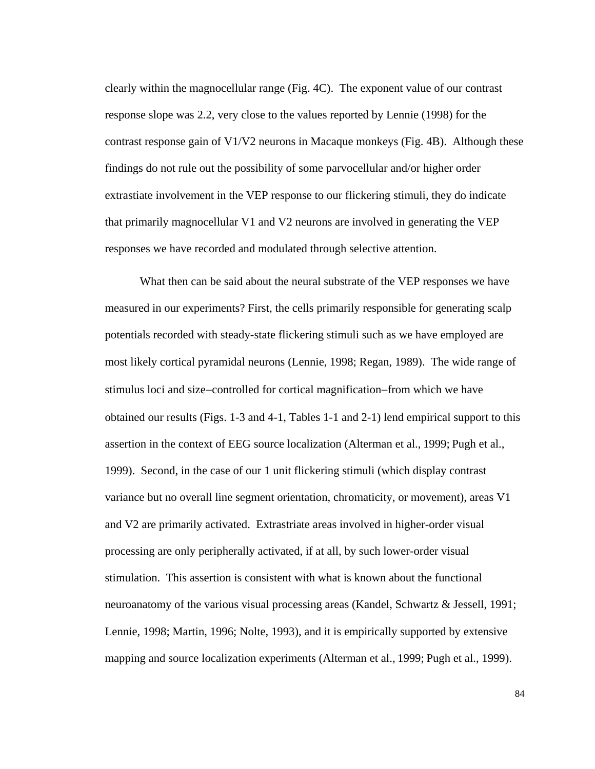clearly within the magnocellular range (Fig. 4C). The exponent value of our contrast response slope was 2.2, very close to the values reported by Lennie (1998) for the contrast response gain of V1/V2 neurons in Macaque monkeys (Fig. 4B). Although these findings do not rule out the possibility of some parvocellular and/or higher order extrastiate involvement in the VEP response to our flickering stimuli, they do indicate that primarily magnocellular V1 and V2 neurons are involved in generating the VEP responses we have recorded and modulated through selective attention.

What then can be said about the neural substrate of the VEP responses we have measured in our experiments? First, the cells primarily responsible for generating scalp potentials recorded with steady-state flickering stimuli such as we have employed are most likely cortical pyramidal neurons (Lennie, 1998; Regan, 1989). The wide range of stimulus loci and size−controlled for cortical magnification−from which we have obtained our results (Figs. 1-3 and 4-1, Tables 1-1 and 2-1) lend empirical support to this assertion in the context of EEG source localization (Alterman et al., 1999; Pugh et al., 1999). Second, in the case of our 1 unit flickering stimuli (which display contrast variance but no overall line segment orientation, chromaticity, or movement), areas V1 and V2 are primarily activated. Extrastriate areas involved in higher-order visual processing are only peripherally activated, if at all, by such lower-order visual stimulation. This assertion is consistent with what is known about the functional neuroanatomy of the various visual processing areas (Kandel, Schwartz & Jessell, 1991; Lennie, 1998; Martin, 1996; Nolte, 1993), and it is empirically supported by extensive mapping and source localization experiments (Alterman et al., 1999; Pugh et al., 1999).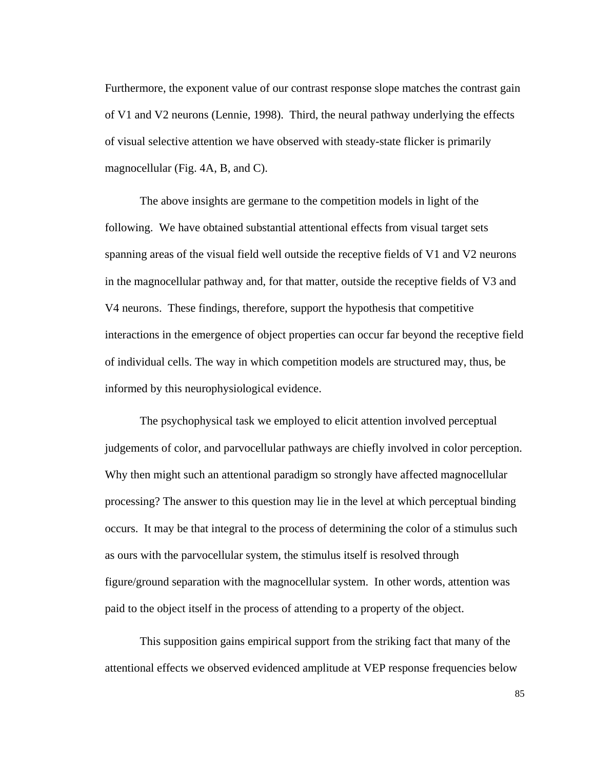Furthermore, the exponent value of our contrast response slope matches the contrast gain of V1 and V2 neurons (Lennie, 1998). Third, the neural pathway underlying the effects of visual selective attention we have observed with steady-state flicker is primarily magnocellular (Fig. 4A, B, and C).

The above insights are germane to the competition models in light of the following. We have obtained substantial attentional effects from visual target sets spanning areas of the visual field well outside the receptive fields of V1 and V2 neurons in the magnocellular pathway and, for that matter, outside the receptive fields of V3 and V4 neurons. These findings, therefore, support the hypothesis that competitive interactions in the emergence of object properties can occur far beyond the receptive field of individual cells. The way in which competition models are structured may, thus, be informed by this neurophysiological evidence.

The psychophysical task we employed to elicit attention involved perceptual judgements of color, and parvocellular pathways are chiefly involved in color perception. Why then might such an attentional paradigm so strongly have affected magnocellular processing? The answer to this question may lie in the level at which perceptual binding occurs. It may be that integral to the process of determining the color of a stimulus such as ours with the parvocellular system, the stimulus itself is resolved through figure/ground separation with the magnocellular system. In other words, attention was paid to the object itself in the process of attending to a property of the object.

This supposition gains empirical support from the striking fact that many of the attentional effects we observed evidenced amplitude at VEP response frequencies below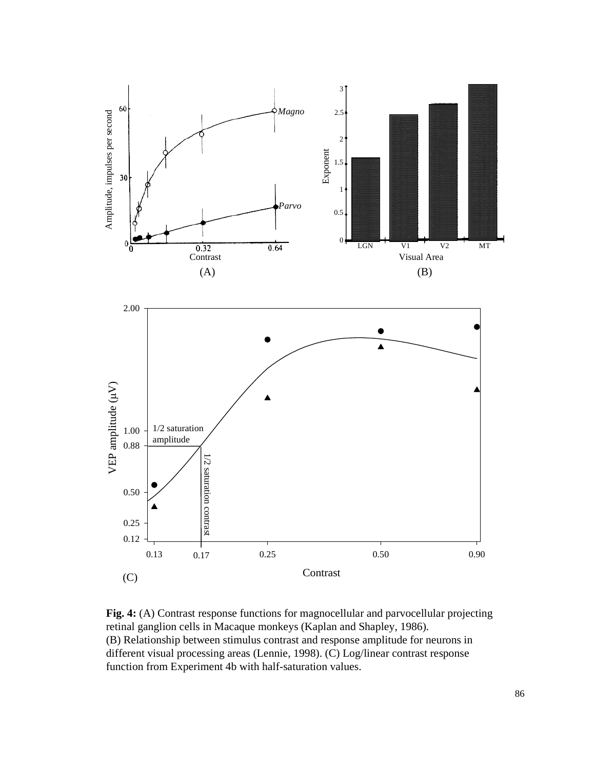

**Fig. 4:** (A) Contrast response functions for magnocellular and parvocellular projecting retinal ganglion cells in Macaque monkeys (Kaplan and Shapley, 1986). (B) Relationship between stimulus contrast and response amplitude for neurons in different visual processing areas (Lennie, 1998). (C) Log/linear contrast response function from Experiment 4b with half-saturation values.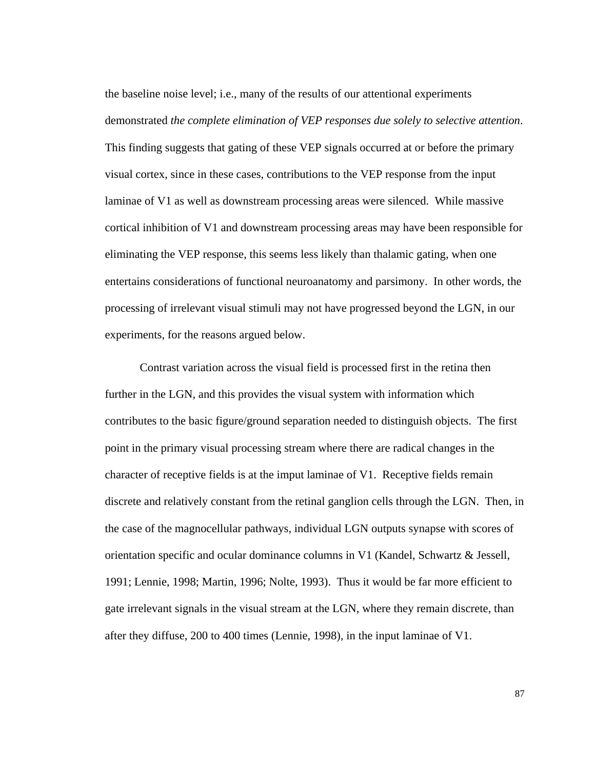the baseline noise level; i.e., many of the results of our attentional experiments demonstrated *the complete elimination of VEP responses due solely to selective attention*. This finding suggests that gating of these VEP signals occurred at or before the primary visual cortex, since in these cases, contributions to the VEP response from the input laminae of V1 as well as downstream processing areas were silenced. While massive cortical inhibition of V1 and downstream processing areas may have been responsible for eliminating the VEP response, this seems less likely than thalamic gating, when one entertains considerations of functional neuroanatomy and parsimony. In other words, the processing of irrelevant visual stimuli may not have progressed beyond the LGN, in our experiments, for the reasons argued below.

Contrast variation across the visual field is processed first in the retina then further in the LGN, and this provides the visual system with information which contributes to the basic figure/ground separation needed to distinguish objects. The first point in the primary visual processing stream where there are radical changes in the character of receptive fields is at the imput laminae of V1. Receptive fields remain discrete and relatively constant from the retinal ganglion cells through the LGN. Then, in the case of the magnocellular pathways, individual LGN outputs synapse with scores of orientation specific and ocular dominance columns in V1 (Kandel, Schwartz & Jessell, 1991; Lennie, 1998; Martin, 1996; Nolte, 1993). Thus it would be far more efficient to gate irrelevant signals in the visual stream at the LGN, where they remain discrete, than after they diffuse, 200 to 400 times (Lennie, 1998), in the input laminae of V1.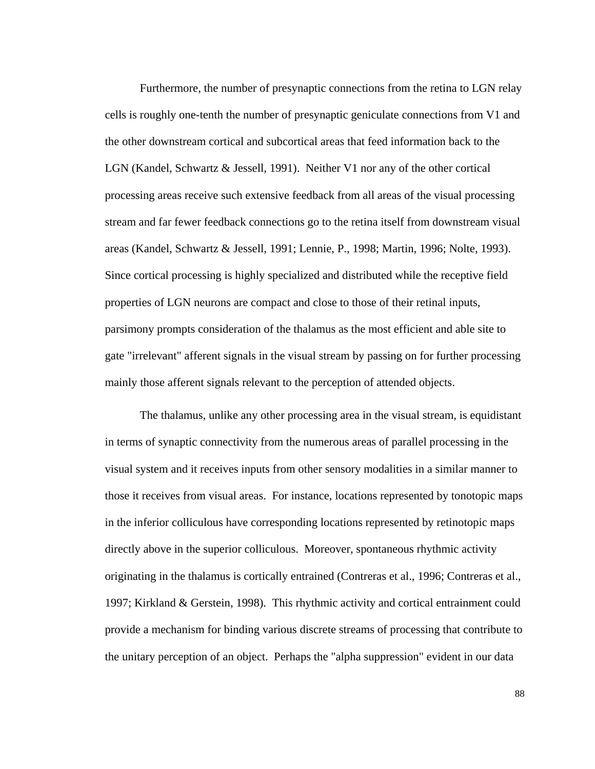Furthermore, the number of presynaptic connections from the retina to LGN relay cells is roughly one-tenth the number of presynaptic geniculate connections from V1 and the other downstream cortical and subcortical areas that feed information back to the LGN (Kandel, Schwartz & Jessell, 1991). Neither V1 nor any of the other cortical processing areas receive such extensive feedback from all areas of the visual processing stream and far fewer feedback connections go to the retina itself from downstream visual areas (Kandel, Schwartz & Jessell, 1991; Lennie, P., 1998; Martin, 1996; Nolte, 1993). Since cortical processing is highly specialized and distributed while the receptive field properties of LGN neurons are compact and close to those of their retinal inputs, parsimony prompts consideration of the thalamus as the most efficient and able site to gate "irrelevant" afferent signals in the visual stream by passing on for further processing mainly those afferent signals relevant to the perception of attended objects.

The thalamus, unlike any other processing area in the visual stream, is equidistant in terms of synaptic connectivity from the numerous areas of parallel processing in the visual system and it receives inputs from other sensory modalities in a similar manner to those it receives from visual areas. For instance, locations represented by tonotopic maps in the inferior colliculous have corresponding locations represented by retinotopic maps directly above in the superior colliculous. Moreover, spontaneous rhythmic activity originating in the thalamus is cortically entrained (Contreras et al., 1996; Contreras et al., 1997; Kirkland & Gerstein, 1998). This rhythmic activity and cortical entrainment could provide a mechanism for binding various discrete streams of processing that contribute to the unitary perception of an object. Perhaps the "alpha suppression" evident in our data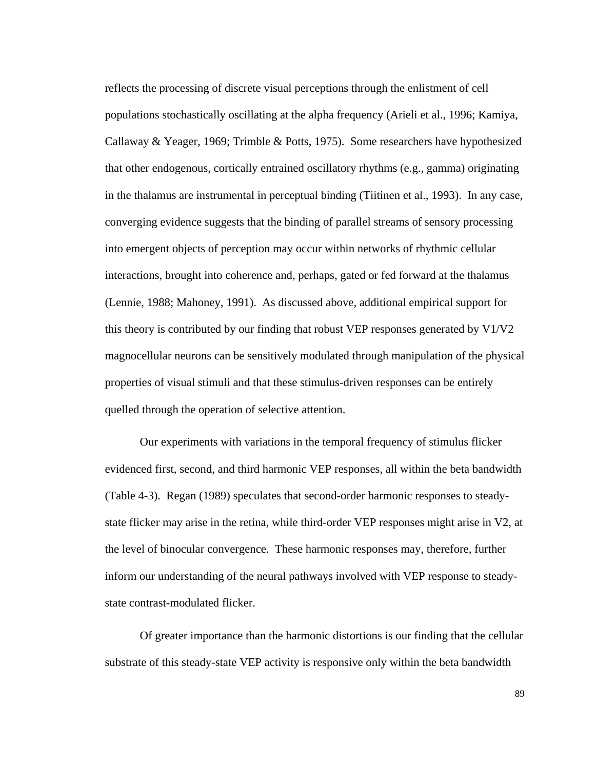reflects the processing of discrete visual perceptions through the enlistment of cell populations stochastically oscillating at the alpha frequency (Arieli et al., 1996; Kamiya, Callaway & Yeager, 1969; Trimble & Potts, 1975). Some researchers have hypothesized that other endogenous, cortically entrained oscillatory rhythms (e.g., gamma) originating in the thalamus are instrumental in perceptual binding (Tiitinen et al., 1993). In any case, converging evidence suggests that the binding of parallel streams of sensory processing into emergent objects of perception may occur within networks of rhythmic cellular interactions, brought into coherence and, perhaps, gated or fed forward at the thalamus (Lennie, 1988; Mahoney, 1991). As discussed above, additional empirical support for this theory is contributed by our finding that robust VEP responses generated by  $V1/V2$ magnocellular neurons can be sensitively modulated through manipulation of the physical properties of visual stimuli and that these stimulus-driven responses can be entirely quelled through the operation of selective attention.

Our experiments with variations in the temporal frequency of stimulus flicker evidenced first, second, and third harmonic VEP responses, all within the beta bandwidth (Table 4-3). Regan (1989) speculates that second-order harmonic responses to steadystate flicker may arise in the retina, while third-order VEP responses might arise in V2, at the level of binocular convergence. These harmonic responses may, therefore, further inform our understanding of the neural pathways involved with VEP response to steadystate contrast-modulated flicker.

Of greater importance than the harmonic distortions is our finding that the cellular substrate of this steady-state VEP activity is responsive only within the beta bandwidth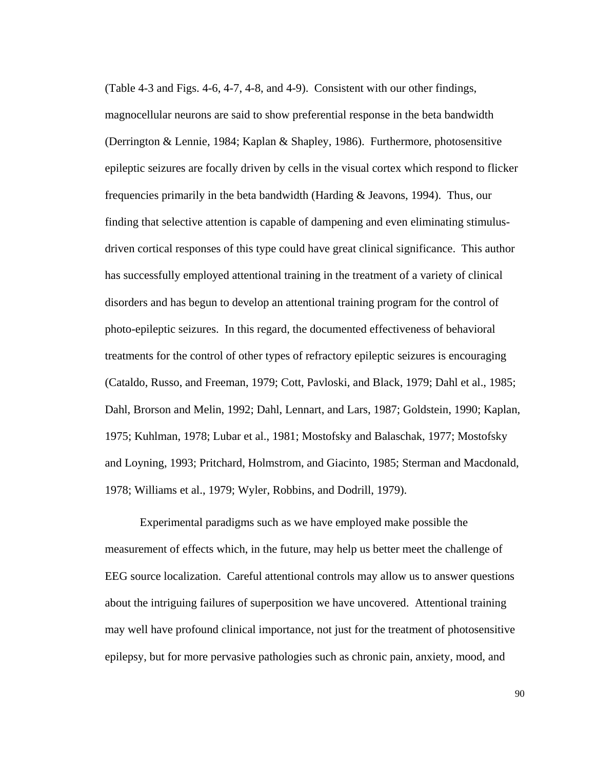(Table 4-3 and Figs. 4-6, 4-7, 4-8, and 4-9). Consistent with our other findings, magnocellular neurons are said to show preferential response in the beta bandwidth (Derrington & Lennie, 1984; Kaplan & Shapley, 1986). Furthermore, photosensitive epileptic seizures are focally driven by cells in the visual cortex which respond to flicker frequencies primarily in the beta bandwidth (Harding & Jeavons, 1994). Thus, our finding that selective attention is capable of dampening and even eliminating stimulusdriven cortical responses of this type could have great clinical significance. This author has successfully employed attentional training in the treatment of a variety of clinical disorders and has begun to develop an attentional training program for the control of photo-epileptic seizures. In this regard, the documented effectiveness of behavioral treatments for the control of other types of refractory epileptic seizures is encouraging (Cataldo, Russo, and Freeman, 1979; Cott, Pavloski, and Black, 1979; Dahl et al., 1985; Dahl, Brorson and Melin, 1992; Dahl, Lennart, and Lars, 1987; Goldstein, 1990; Kaplan, 1975; Kuhlman, 1978; Lubar et al., 1981; Mostofsky and Balaschak, 1977; Mostofsky and Loyning, 1993; Pritchard, Holmstrom, and Giacinto, 1985; Sterman and Macdonald, 1978; Williams et al., 1979; Wyler, Robbins, and Dodrill, 1979).

Experimental paradigms such as we have employed make possible the measurement of effects which, in the future, may help us better meet the challenge of EEG source localization. Careful attentional controls may allow us to answer questions about the intriguing failures of superposition we have uncovered. Attentional training may well have profound clinical importance, not just for the treatment of photosensitive epilepsy, but for more pervasive pathologies such as chronic pain, anxiety, mood, and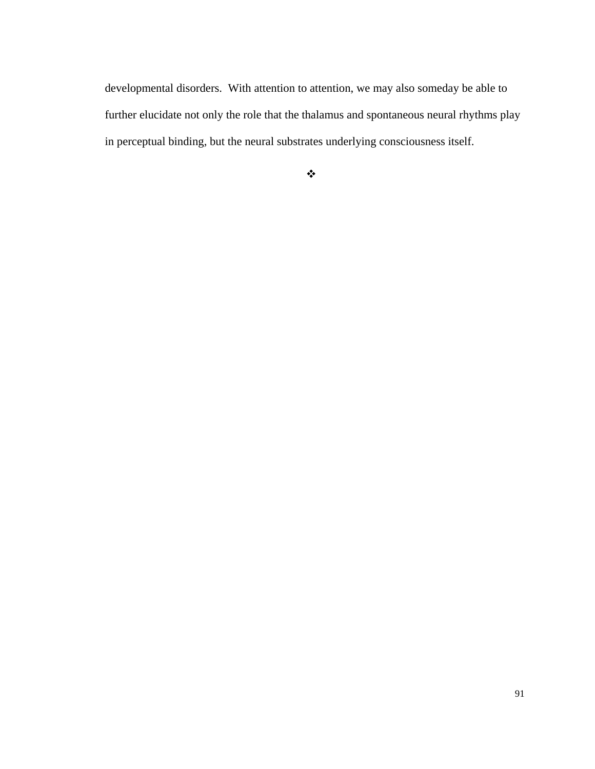developmental disorders. With attention to attention, we may also someday be able to further elucidate not only the role that the thalamus and spontaneous neural rhythms play in perceptual binding, but the neural substrates underlying consciousness itself.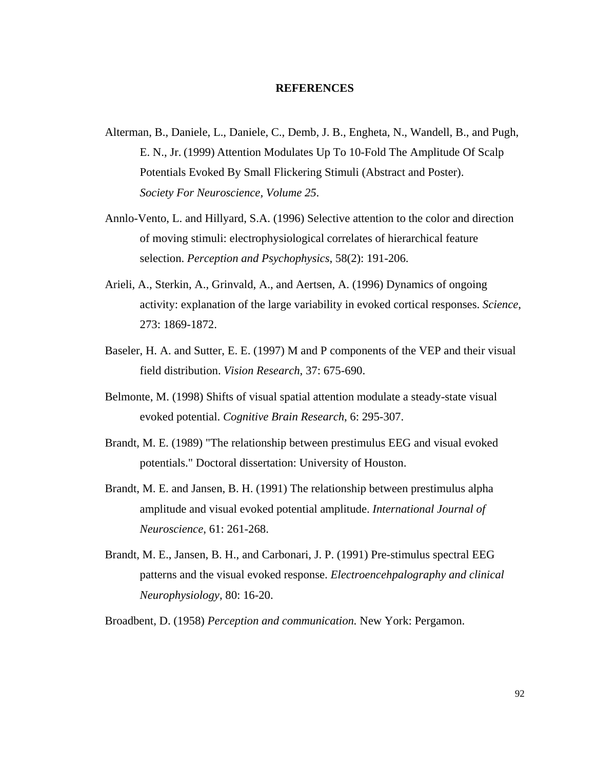## **REFERENCES**

- Alterman, B., Daniele, L., Daniele, C., Demb, J. B., Engheta, N., Wandell, B., and Pugh, E. N., Jr. (1999) Attention Modulates Up To 10-Fold The Amplitude Of Scalp Potentials Evoked By Small Flickering Stimuli (Abstract and Poster). *Society For Neuroscience, Volume 25*.
- Annlo-Vento, L. and Hillyard, S.A. (1996) Selective attention to the color and direction of moving stimuli: electrophysiological correlates of hierarchical feature selection. *Perception and Psychophysics*, 58(2): 191-206.
- Arieli, A., Sterkin, A., Grinvald, A., and Aertsen, A. (1996) Dynamics of ongoing activity: explanation of the large variability in evoked cortical responses. *Science*, 273: 1869-1872.
- Baseler, H. A. and Sutter, E. E. (1997) M and P components of the VEP and their visual field distribution. *Vision Research*, 37: 675-690.
- Belmonte, M. (1998) Shifts of visual spatial attention modulate a steady-state visual evoked potential. *Cognitive Brain Research*, 6: 295-307.
- Brandt, M. E. (1989) "The relationship between prestimulus EEG and visual evoked potentials." Doctoral dissertation: University of Houston.
- Brandt, M. E. and Jansen, B. H. (1991) The relationship between prestimulus alpha amplitude and visual evoked potential amplitude. *International Journal of Neuroscience*, 61: 261-268.
- Brandt, M. E., Jansen, B. H., and Carbonari, J. P. (1991) Pre-stimulus spectral EEG patterns and the visual evoked response. *Electroencehpalography and clinical Neurophysiology*, 80: 16-20.

Broadbent, D. (1958) *Perception and communication.* New York: Pergamon.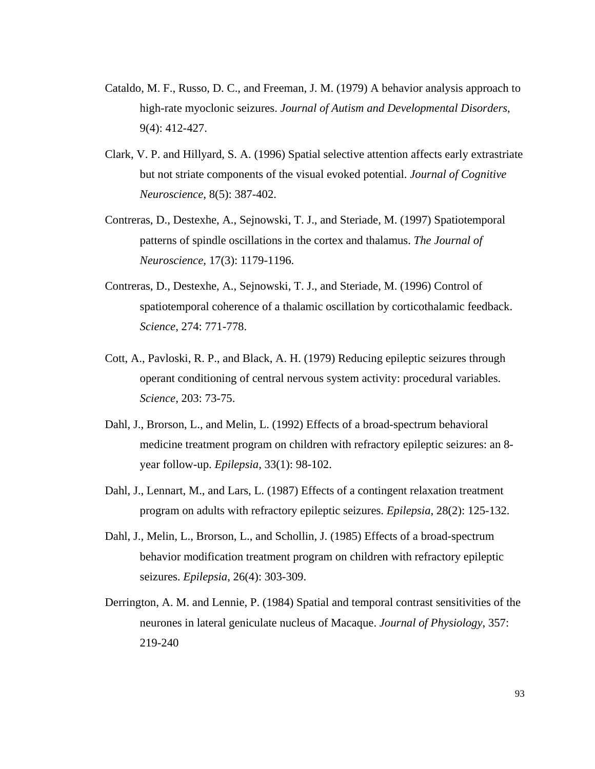- Cataldo, M. F., Russo, D. C., and Freeman, J. M. (1979) A behavior analysis approach to high-rate myoclonic seizures. *Journal of Autism and Developmental Disorders*, 9(4): 412-427.
- Clark, V. P. and Hillyard, S. A. (1996) Spatial selective attention affects early extrastriate but not striate components of the visual evoked potential. *Journal of Cognitive Neuroscience*, 8(5): 387-402.
- Contreras, D., Destexhe, A., Sejnowski, T. J., and Steriade, M. (1997) Spatiotemporal patterns of spindle oscillations in the cortex and thalamus. *The Journal of Neuroscience*, 17(3): 1179-1196.
- Contreras, D., Destexhe, A., Sejnowski, T. J., and Steriade, M. (1996) Control of spatiotemporal coherence of a thalamic oscillation by corticothalamic feedback. *Science*, 274: 771-778.
- Cott, A., Pavloski, R. P., and Black, A. H. (1979) Reducing epileptic seizures through operant conditioning of central nervous system activity: procedural variables. *Science*, 203: 73-75.
- Dahl, J., Brorson, L., and Melin, L. (1992) Effects of a broad-spectrum behavioral medicine treatment program on children with refractory epileptic seizures: an 8 year follow-up. *Epilepsia*, 33(1): 98-102.
- Dahl, J., Lennart, M., and Lars, L. (1987) Effects of a contingent relaxation treatment program on adults with refractory epileptic seizures. *Epilepsia*, 28(2): 125-132.
- Dahl, J., Melin, L., Brorson, L., and Schollin, J. (1985) Effects of a broad-spectrum behavior modification treatment program on children with refractory epileptic seizures. *Epilepsia*, 26(4): 303-309.
- Derrington, A. M. and Lennie, P. (1984) Spatial and temporal contrast sensitivities of the neurones in lateral geniculate nucleus of Macaque. *Journal of Physiology*, 357: 219-240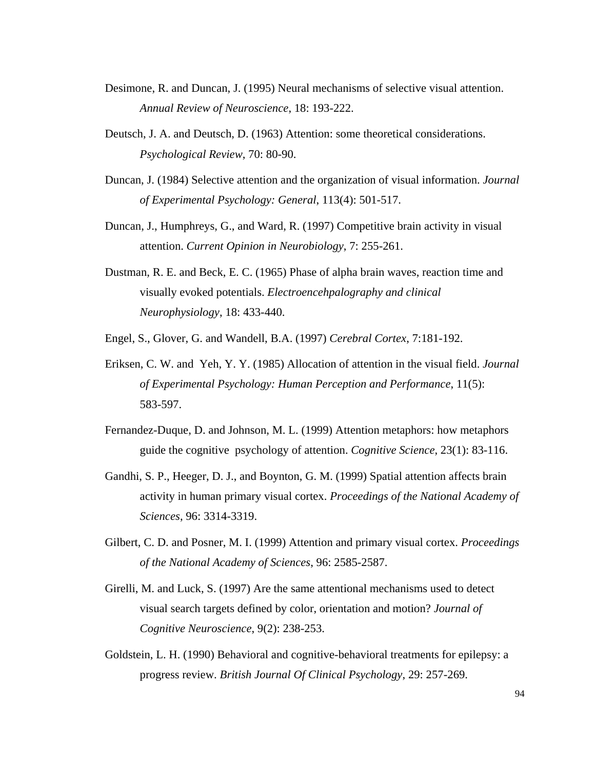- Desimone, R. and Duncan, J. (1995) Neural mechanisms of selective visual attention. *Annual Review of Neuroscience*, 18: 193-222.
- Deutsch, J. A. and Deutsch, D. (1963) Attention: some theoretical considerations. *Psychological Review*, 70: 80-90.
- Duncan, J. (1984) Selective attention and the organization of visual information. *Journal of Experimental Psychology: General*, 113(4): 501-517.
- Duncan, J., Humphreys, G., and Ward, R. (1997) Competitive brain activity in visual attention. *Current Opinion in Neurobiology*, 7: 255-261.
- Dustman, R. E. and Beck, E. C. (1965) Phase of alpha brain waves, reaction time and visually evoked potentials. *Electroencehpalography and clinical Neurophysiology*, 18: 433-440.
- Engel, S., Glover, G. and Wandell, B.A. (1997) *Cerebral Cortex*, 7:181-192.
- Eriksen, C. W. and Yeh, Y. Y. (1985) Allocation of attention in the visual field. *Journal of Experimental Psychology: Human Perception and Performance*, 11(5): 583-597.
- Fernandez-Duque, D. and Johnson, M. L. (1999) Attention metaphors: how metaphors guide the cognitive psychology of attention. *Cognitive Science*, 23(1): 83-116.
- Gandhi, S. P., Heeger, D. J., and Boynton, G. M. (1999) Spatial attention affects brain activity in human primary visual cortex. *Proceedings of the National Academy of Sciences*, 96: 3314-3319.
- Gilbert, C. D. and Posner, M. I. (1999) Attention and primary visual cortex. *Proceedings of the National Academy of Sciences*, 96: 2585-2587.
- Girelli, M. and Luck, S. (1997) Are the same attentional mechanisms used to detect visual search targets defined by color, orientation and motion? *Journal of Cognitive Neuroscience*, 9(2): 238-253.
- Goldstein, L. H. (1990) Behavioral and cognitive-behavioral treatments for epilepsy: a progress review. *British Journal Of Clinical Psychology*, 29: 257-269.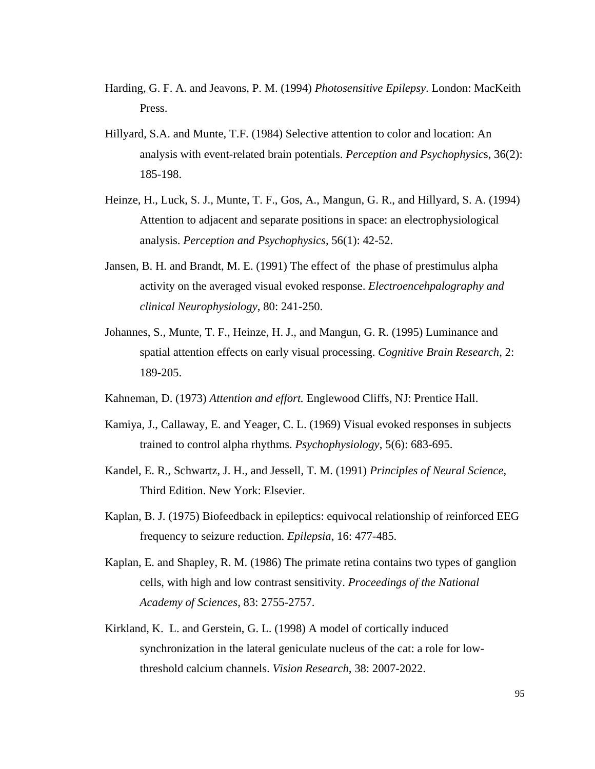- Harding, G. F. A. and Jeavons, P. M. (1994) *Photosensitive Epilepsy*. London: MacKeith Press.
- Hillyard, S.A. and Munte, T.F. (1984) Selective attention to color and location: An analysis with event-related brain potentials. *Perception and Psychophysic*s, 36(2): 185-198.
- Heinze, H., Luck, S. J., Munte, T. F., Gos, A., Mangun, G. R., and Hillyard, S. A. (1994) Attention to adjacent and separate positions in space: an electrophysiological analysis. *Perception and Psychophysics*, 56(1): 42-52.
- Jansen, B. H. and Brandt, M. E. (1991) The effect of the phase of prestimulus alpha activity on the averaged visual evoked response. *Electroencehpalography and clinical Neurophysiology*, 80: 241-250.
- Johannes, S., Munte, T. F., Heinze, H. J., and Mangun, G. R. (1995) Luminance and spatial attention effects on early visual processing. *Cognitive Brain Research*, 2: 189-205.
- Kahneman, D. (1973) *Attention and effort.* Englewood Cliffs, NJ: Prentice Hall.
- Kamiya, J., Callaway, E. and Yeager, C. L. (1969) Visual evoked responses in subjects trained to control alpha rhythms. *Psychophysiology*, 5(6): 683-695.
- Kandel, E. R., Schwartz, J. H., and Jessell, T. M. (1991) *Principles of Neural Science*, Third Edition. New York: Elsevier.
- Kaplan, B. J. (1975) Biofeedback in epileptics: equivocal relationship of reinforced EEG frequency to seizure reduction. *Epilepsia*, 16: 477-485.
- Kaplan, E. and Shapley, R. M. (1986) The primate retina contains two types of ganglion cells, with high and low contrast sensitivity. *Proceedings of the National Academy of Sciences*, 83: 2755-2757.
- Kirkland, K. L. and Gerstein, G. L. (1998) A model of cortically induced synchronization in the lateral geniculate nucleus of the cat: a role for lowthreshold calcium channels. *Vision Research*, 38: 2007-2022.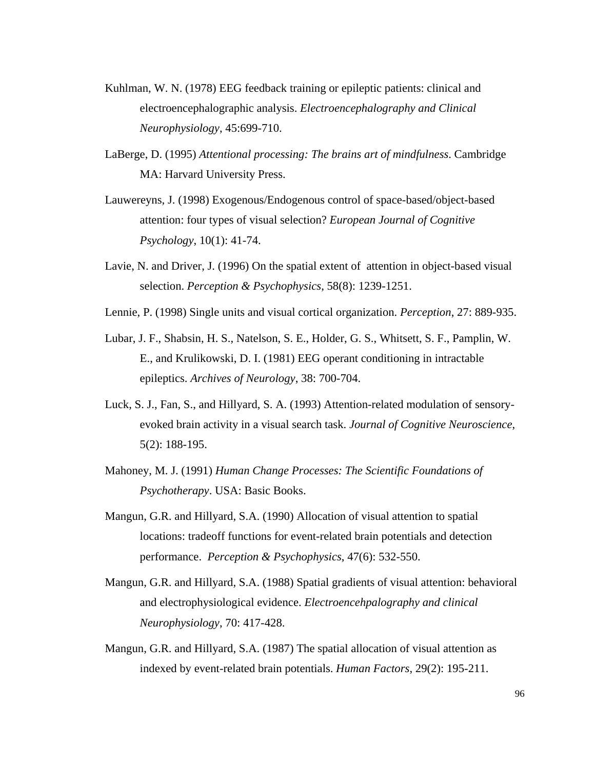- Kuhlman, W. N. (1978) EEG feedback training or epileptic patients: clinical and electroencephalographic analysis. *Electroencephalography and Clinical Neurophysiology*, 45:699-710.
- LaBerge, D. (1995) *Attentional processing: The brains art of mindfulness*. Cambridge MA: Harvard University Press.
- Lauwereyns, J. (1998) Exogenous/Endogenous control of space-based/object-based attention: four types of visual selection? *European Journal of Cognitive Psychology*, 10(1): 41-74.
- Lavie, N. and Driver, J. (1996) On the spatial extent of attention in object-based visual selection. *Perception & Psychophysics*, 58(8): 1239-1251.
- Lennie, P. (1998) Single units and visual cortical organization. *Perception*, 27: 889-935.
- Lubar, J. F., Shabsin, H. S., Natelson, S. E., Holder, G. S., Whitsett, S. F., Pamplin, W. E., and Krulikowski, D. I. (1981) EEG operant conditioning in intractable epileptics. *Archives of Neurology*, 38: 700-704.
- Luck, S. J., Fan, S., and Hillyard, S. A. (1993) Attention-related modulation of sensoryevoked brain activity in a visual search task. *Journal of Cognitive Neuroscience*, 5(2): 188-195.
- Mahoney, M. J. (1991) *Human Change Processes: The Scientific Foundations of Psychotherapy*. USA: Basic Books.
- Mangun, G.R. and Hillyard, S.A. (1990) Allocation of visual attention to spatial locations: tradeoff functions for event-related brain potentials and detection performance. *Perception & Psychophysics*, 47(6): 532-550.
- Mangun, G.R. and Hillyard, S.A. (1988) Spatial gradients of visual attention: behavioral and electrophysiological evidence. *Electroencehpalography and clinical Neurophysiology*, 70: 417-428.
- Mangun, G.R. and Hillyard, S.A. (1987) The spatial allocation of visual attention as indexed by event-related brain potentials. *Human Factors*, 29(2): 195-211.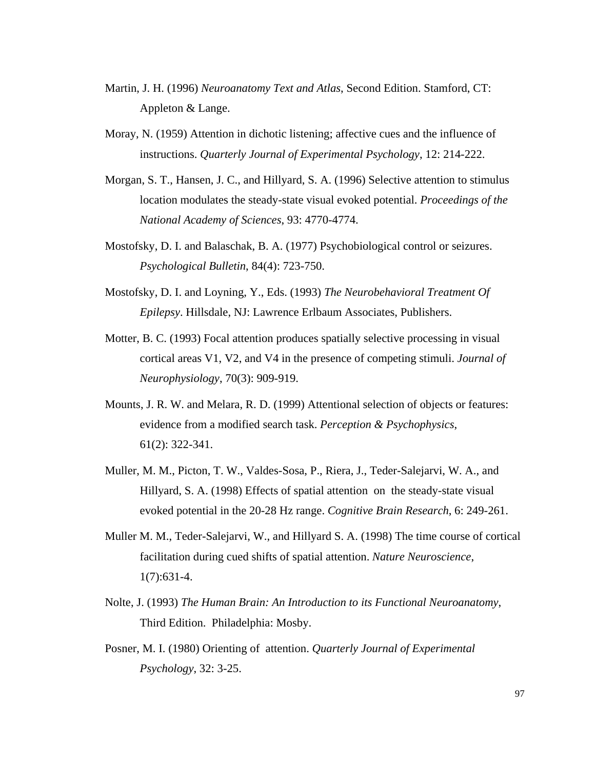- Martin, J. H. (1996) *Neuroanatomy Text and Atlas*, Second Edition. Stamford, CT: Appleton & Lange.
- Moray, N. (1959) Attention in dichotic listening; affective cues and the influence of instructions. *Quarterly Journal of Experimental Psychology*, 12: 214-222.
- Morgan, S. T., Hansen, J. C., and Hillyard, S. A. (1996) Selective attention to stimulus location modulates the steady-state visual evoked potential. *Proceedings of the National Academy of Sciences*, 93: 4770-4774.
- Mostofsky, D. I. and Balaschak, B. A. (1977) Psychobiological control or seizures. *Psychological Bulletin*, 84(4): 723-750.
- Mostofsky, D. I. and Loyning, Y., Eds. (1993) *The Neurobehavioral Treatment Of Epilepsy*. Hillsdale, NJ: Lawrence Erlbaum Associates, Publishers.
- Motter, B. C. (1993) Focal attention produces spatially selective processing in visual cortical areas V1, V2, and V4 in the presence of competing stimuli. *Journal of Neurophysiology*, 70(3): 909-919.
- Mounts, J. R. W. and Melara, R. D. (1999) Attentional selection of objects or features: evidence from a modified search task. *Perception & Psychophysics*, 61(2): 322-341.
- Muller, M. M., Picton, T. W., Valdes-Sosa, P., Riera, J., Teder-Salejarvi, W. A., and Hillyard, S. A. (1998) Effects of spatial attention on the steady-state visual evoked potential in the 20-28 Hz range. *Cognitive Brain Research*, 6: 249-261.
- Muller M. M., Teder-Salejarvi, W., and Hillyard S. A. (1998) The time course of cortical facilitation during cued shifts of spatial attention. *Nature Neuroscience*, 1(7):631-4.
- Nolte, J. (1993) *The Human Brain: An Introduction to its Functional Neuroanatomy*, Third Edition. Philadelphia: Mosby.
- Posner, M. I. (1980) Orienting of attention. *Quarterly Journal of Experimental Psychology*, 32: 3-25.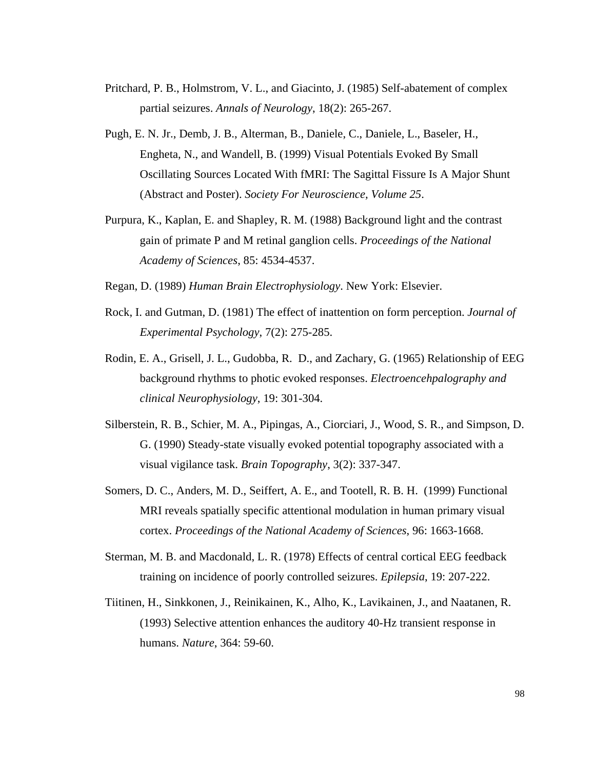- Pritchard, P. B., Holmstrom, V. L., and Giacinto, J. (1985) Self-abatement of complex partial seizures. *Annals of Neurology*, 18(2): 265-267.
- Pugh, E. N. Jr., Demb, J. B., Alterman, B., Daniele, C., Daniele, L., Baseler, H., Engheta, N., and Wandell, B. (1999) Visual Potentials Evoked By Small Oscillating Sources Located With fMRI: The Sagittal Fissure Is A Major Shunt (Abstract and Poster). *Society For Neuroscience, Volume 25*.
- Purpura, K., Kaplan, E. and Shapley, R. M. (1988) Background light and the contrast gain of primate P and M retinal ganglion cells. *Proceedings of the National Academy of Sciences*, 85: 4534-4537.
- Regan, D. (1989) *Human Brain Electrophysiology*. New York: Elsevier.
- Rock, I. and Gutman, D. (1981) The effect of inattention on form perception. *Journal of Experimental Psychology*, 7(2): 275-285.
- Rodin, E. A., Grisell, J. L., Gudobba, R. D., and Zachary, G. (1965) Relationship of EEG background rhythms to photic evoked responses. *Electroencehpalography and clinical Neurophysiology*, 19: 301-304.
- Silberstein, R. B., Schier, M. A., Pipingas, A., Ciorciari, J., Wood, S. R., and Simpson, D. G. (1990) Steady-state visually evoked potential topography associated with a visual vigilance task. *Brain Topography*, 3(2): 337-347.
- Somers, D. C., Anders, M. D., Seiffert, A. E., and Tootell, R. B. H. (1999) Functional MRI reveals spatially specific attentional modulation in human primary visual cortex. *Proceedings of the National Academy of Sciences*, 96: 1663-1668.
- Sterman, M. B. and Macdonald, L. R. (1978) Effects of central cortical EEG feedback training on incidence of poorly controlled seizures. *Epilepsia*, 19: 207-222.
- Tiitinen, H., Sinkkonen, J., Reinikainen, K., Alho, K., Lavikainen, J., and Naatanen, R. (1993) Selective attention enhances the auditory 40-Hz transient response in humans. *Nature*, 364: 59-60.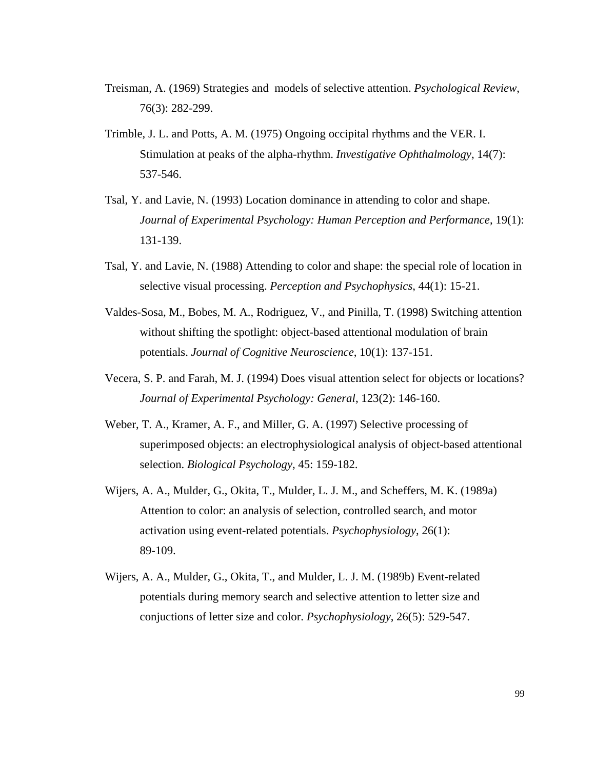- Treisman, A. (1969) Strategies and models of selective attention. *Psychological Review*, 76(3): 282-299.
- Trimble, J. L. and Potts, A. M. (1975) Ongoing occipital rhythms and the VER. I. Stimulation at peaks of the alpha-rhythm. *Investigative Ophthalmology*, 14(7): 537-546.
- Tsal, Y. and Lavie, N. (1993) Location dominance in attending to color and shape. *Journal of Experimental Psychology: Human Perception and Performance*, 19(1): 131-139.
- Tsal, Y. and Lavie, N. (1988) Attending to color and shape: the special role of location in selective visual processing. *Perception and Psychophysics*, 44(1): 15-21.
- Valdes-Sosa, M., Bobes, M. A., Rodriguez, V., and Pinilla, T. (1998) Switching attention without shifting the spotlight: object-based attentional modulation of brain potentials. *Journal of Cognitive Neuroscience*, 10(1): 137-151.
- Vecera, S. P. and Farah, M. J. (1994) Does visual attention select for objects or locations? *Journal of Experimental Psychology: General*, 123(2): 146-160.
- Weber, T. A., Kramer, A. F., and Miller, G. A. (1997) Selective processing of superimposed objects: an electrophysiological analysis of object-based attentional selection. *Biological Psychology*, 45: 159-182.
- Wijers, A. A., Mulder, G., Okita, T., Mulder, L. J. M., and Scheffers, M. K. (1989a) Attention to color: an analysis of selection, controlled search, and motor activation using event-related potentials. *Psychophysiology*, 26(1): 89-109.
- Wijers, A. A., Mulder, G., Okita, T., and Mulder, L. J. M. (1989b) Event-related potentials during memory search and selective attention to letter size and conjuctions of letter size and color. *Psychophysiology*, 26(5): 529-547.